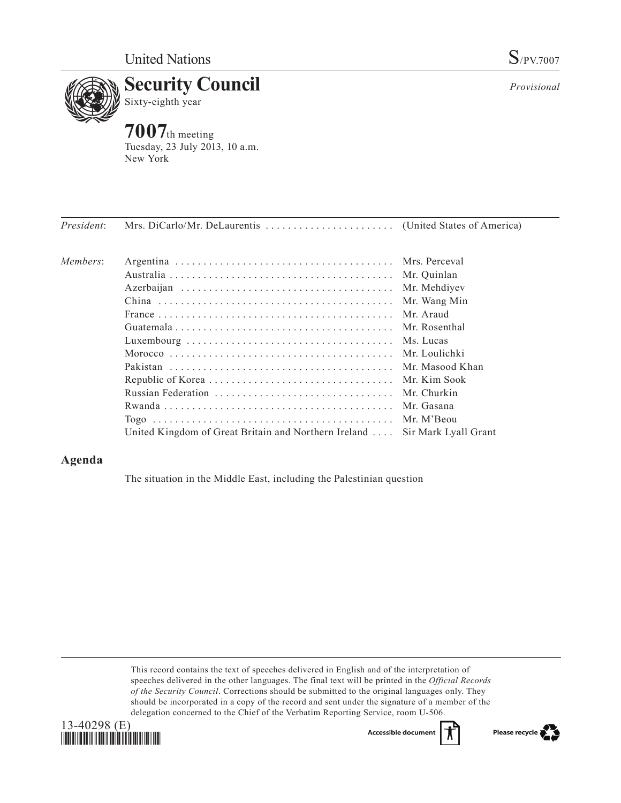



**7007**th meeting Tuesday, 23 July 2013, 10 a.m. New York

| <i>President:</i> |                                                      |                      |
|-------------------|------------------------------------------------------|----------------------|
| Members:          |                                                      |                      |
|                   |                                                      | Mr. Quinlan          |
|                   |                                                      | Mr. Mehdiyev         |
|                   |                                                      | Mr. Wang Min         |
|                   |                                                      | Mr. Araud            |
|                   |                                                      | Mr. Rosenthal        |
|                   |                                                      | Ms. Lucas            |
|                   |                                                      |                      |
|                   |                                                      |                      |
|                   |                                                      |                      |
|                   |                                                      | Mr. Churkin          |
|                   |                                                      | Mr. Gasana           |
|                   |                                                      |                      |
|                   | United Kingdom of Great Britain and Northern Ireland | Sir Mark Lyall Grant |

# **Agenda**

The situation in the Middle East, including the Palestinian question

This record contains the text of speeches delivered in English and of the interpretation of speeches delivered in the other languages. The final text will be printed in the *Official Records of the Security Council*. Corrections should be submitted to the original languages only. They should be incorporated in a copy of the record and sent under the signature of a member of the delegation concerned to the Chief of the Verbatim Reporting Service, room U-506.





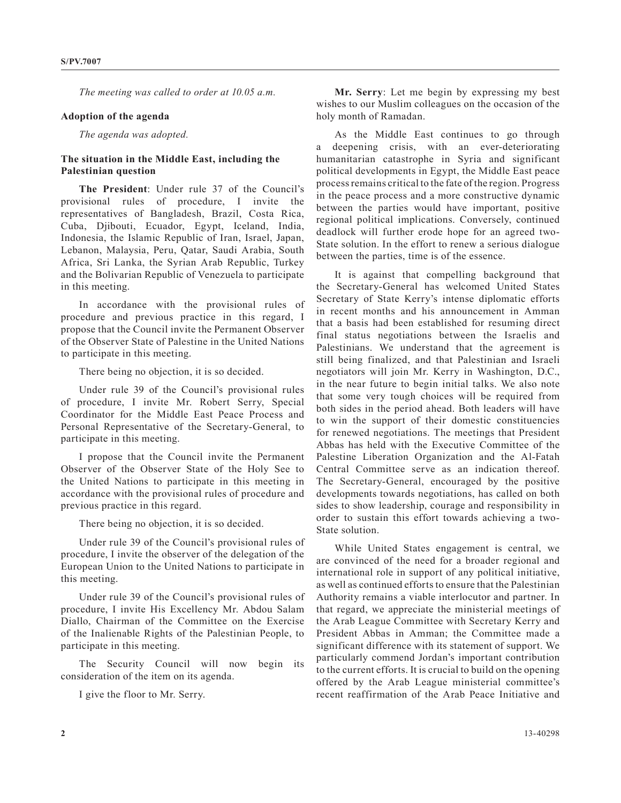*The meeting was called to order at 10.05 a.m.*

### **Adoption of the agenda**

*The agenda was adopted.*

## **The situation in the Middle East, including the Palestinian question**

**The President**: Under rule 37 of the Council's provisional rules of procedure, I invite the representatives of Bangladesh, Brazil, Costa Rica, Cuba, Djibouti, Ecuador, Egypt, Iceland, India, Indonesia, the Islamic Republic of Iran, Israel, Japan, Lebanon, Malaysia, Peru, Qatar, Saudi Arabia, South Africa, Sri Lanka, the Syrian Arab Republic, Turkey and the Bolivarian Republic of Venezuela to participate in this meeting.

In accordance with the provisional rules of procedure and previous practice in this regard, I propose that the Council invite the Permanent Observer of the Observer State of Palestine in the United Nations to participate in this meeting.

There being no objection, it is so decided.

Under rule 39 of the Council's provisional rules of procedure, I invite Mr. Robert Serry, Special Coordinator for the Middle East Peace Process and Personal Representative of the Secretary-General, to participate in this meeting.

I propose that the Council invite the Permanent Observer of the Observer State of the Holy See to the United Nations to participate in this meeting in accordance with the provisional rules of procedure and previous practice in this regard.

There being no objection, it is so decided.

Under rule 39 of the Council's provisional rules of procedure, I invite the observer of the delegation of the European Union to the United Nations to participate in this meeting.

Under rule 39 of the Council's provisional rules of procedure, I invite His Excellency Mr. Abdou Salam Diallo, Chairman of the Committee on the Exercise of the Inalienable Rights of the Palestinian People, to participate in this meeting.

The Security Council will now begin its consideration of the item on its agenda.

I give the floor to Mr. Serry.

**Mr. Serry**: Let me begin by expressing my best wishes to our Muslim colleagues on the occasion of the holy month of Ramadan.

As the Middle East continues to go through a deepening crisis, with an ever-deteriorating humanitarian catastrophe in Syria and significant political developments in Egypt, the Middle East peace process remains critical to the fate of the region. Progress in the peace process and a more constructive dynamic between the parties would have important, positive regional political implications. Conversely, continued deadlock will further erode hope for an agreed two-State solution. In the effort to renew a serious dialogue between the parties, time is of the essence.

It is against that compelling background that the Secretary-General has welcomed United States Secretary of State Kerry's intense diplomatic efforts in recent months and his announcement in Amman that a basis had been established for resuming direct final status negotiations between the Israelis and Palestinians. We understand that the agreement is still being finalized, and that Palestinian and Israeli negotiators will join Mr. Kerry in Washington, D.C., in the near future to begin initial talks. We also note that some very tough choices will be required from both sides in the period ahead. Both leaders will have to win the support of their domestic constituencies for renewed negotiations. The meetings that President Abbas has held with the Executive Committee of the Palestine Liberation Organization and the Al-Fatah Central Committee serve as an indication thereof. The Secretary-General, encouraged by the positive developments towards negotiations, has called on both sides to show leadership, courage and responsibility in order to sustain this effort towards achieving a two-State solution.

While United States engagement is central, we are convinced of the need for a broader regional and international role in support of any political initiative, as well as continued efforts to ensure that the Palestinian Authority remains a viable interlocutor and partner. In that regard, we appreciate the ministerial meetings of the Arab League Committee with Secretary Kerry and President Abbas in Amman; the Committee made a significant difference with its statement of support. We particularly commend Jordan's important contribution to the current efforts. It is crucial to build on the opening offered by the Arab League ministerial committee's recent reaffirmation of the Arab Peace Initiative and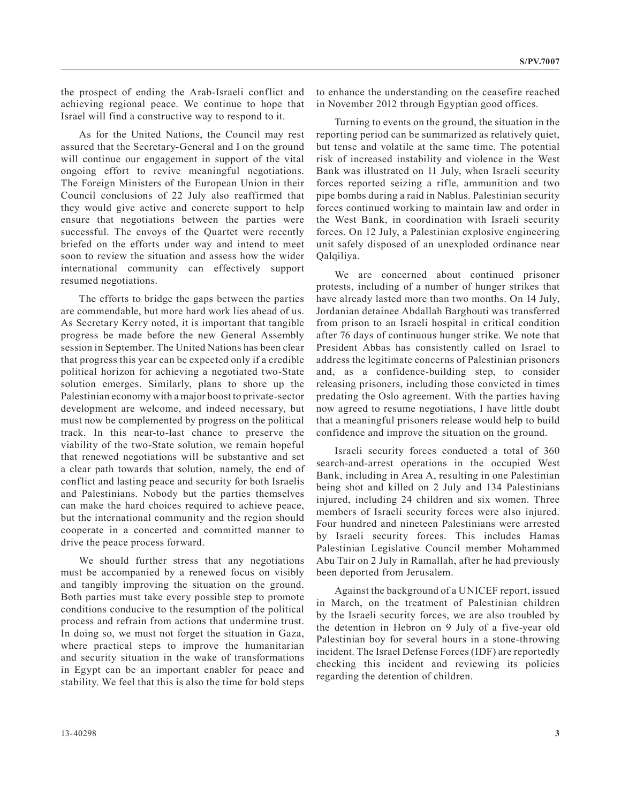the prospect of ending the Arab-Israeli conflict and achieving regional peace. We continue to hope that Israel will find a constructive way to respond to it.

As for the United Nations, the Council may rest assured that the Secretary-General and I on the ground will continue our engagement in support of the vital ongoing effort to revive meaningful negotiations. The Foreign Ministers of the European Union in their Council conclusions of 22 July also reaffirmed that they would give active and concrete support to help ensure that negotiations between the parties were successful. The envoys of the Quartet were recently briefed on the efforts under way and intend to meet soon to review the situation and assess how the wider international community can effectively support resumed negotiations.

The efforts to bridge the gaps between the parties are commendable, but more hard work lies ahead of us. As Secretary Kerry noted, it is important that tangible progress be made before the new General Assembly session in September. The United Nations has been clear that progress this year can be expected only if a credible political horizon for achieving a negotiated two-State solution emerges. Similarly, plans to shore up the Palestinian economy with a major boost to private-sector development are welcome, and indeed necessary, but must now be complemented by progress on the political track. In this near-to-last chance to preserve the viability of the two-State solution, we remain hopeful that renewed negotiations will be substantive and set a clear path towards that solution, namely, the end of conflict and lasting peace and security for both Israelis and Palestinians. Nobody but the parties themselves can make the hard choices required to achieve peace, but the international community and the region should cooperate in a concerted and committed manner to drive the peace process forward.

We should further stress that any negotiations must be accompanied by a renewed focus on visibly and tangibly improving the situation on the ground. Both parties must take every possible step to promote conditions conducive to the resumption of the political process and refrain from actions that undermine trust. In doing so, we must not forget the situation in Gaza, where practical steps to improve the humanitarian and security situation in the wake of transformations in Egypt can be an important enabler for peace and stability. We feel that this is also the time for bold steps to enhance the understanding on the ceasefire reached in November 2012 through Egyptian good offices.

Turning to events on the ground, the situation in the reporting period can be summarized as relatively quiet, but tense and volatile at the same time. The potential risk of increased instability and violence in the West Bank was illustrated on 11 July, when Israeli security forces reported seizing a rifle, ammunition and two pipe bombs during a raid in Nablus. Palestinian security forces continued working to maintain law and order in the West Bank, in coordination with Israeli security forces. On 12 July, a Palestinian explosive engineering unit safely disposed of an unexploded ordinance near Qalqiliya.

We are concerned about continued prisoner protests, including of a number of hunger strikes that have already lasted more than two months. On 14 July, Jordanian detainee Abdallah Barghouti was transferred from prison to an Israeli hospital in critical condition after 76 days of continuous hunger strike. We note that President Abbas has consistently called on Israel to address the legitimate concerns of Palestinian prisoners and, as a confidence-building step, to consider releasing prisoners, including those convicted in times predating the Oslo agreement. With the parties having now agreed to resume negotiations, I have little doubt that a meaningful prisoners release would help to build confidence and improve the situation on the ground.

Israeli security forces conducted a total of 360 search-and-arrest operations in the occupied West Bank, including in Area A, resulting in one Palestinian being shot and killed on 2 July and 134 Palestinians injured, including 24 children and six women. Three members of Israeli security forces were also injured. Four hundred and nineteen Palestinians were arrested by Israeli security forces. This includes Hamas Palestinian Legislative Council member Mohammed Abu Tair on 2 July in Ramallah, after he had previously been deported from Jerusalem.

Against the background of a UNICEF report, issued in March, on the treatment of Palestinian children by the Israeli security forces, we are also troubled by the detention in Hebron on 9 July of a five-year old Palestinian boy for several hours in a stone-throwing incident. The Israel Defense Forces (IDF) are reportedly checking this incident and reviewing its policies regarding the detention of children.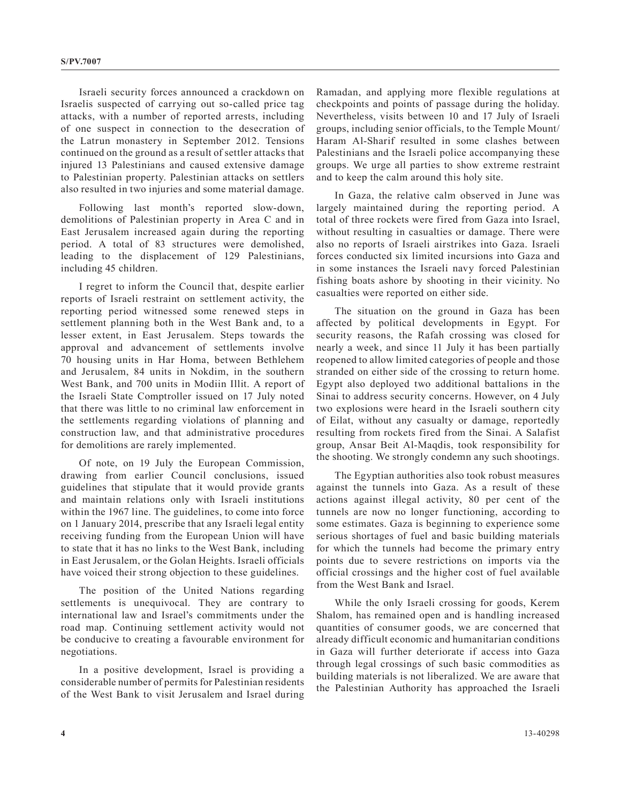Israeli security forces announced a crackdown on Israelis suspected of carrying out so-called price tag attacks, with a number of reported arrests, including of one suspect in connection to the desecration of the Latrun monastery in September 2012. Tensions continued on the ground as a result of settler attacks that injured 13 Palestinians and caused extensive damage to Palestinian property. Palestinian attacks on settlers also resulted in two injuries and some material damage.

Following last month's reported slow-down, demolitions of Palestinian property in Area C and in East Jerusalem increased again during the reporting period. A total of 83 structures were demolished, leading to the displacement of 129 Palestinians, including 45 children.

I regret to inform the Council that, despite earlier reports of Israeli restraint on settlement activity, the reporting period witnessed some renewed steps in settlement planning both in the West Bank and, to a lesser extent, in East Jerusalem. Steps towards the approval and advancement of settlements involve 70 housing units in Har Homa, between Bethlehem and Jerusalem, 84 units in Nokdim, in the southern West Bank, and 700 units in Modiin Illit. A report of the Israeli State Comptroller issued on 17 July noted that there was little to no criminal law enforcement in the settlements regarding violations of planning and construction law, and that administrative procedures for demolitions are rarely implemented.

Of note, on 19 July the European Commission, drawing from earlier Council conclusions, issued guidelines that stipulate that it would provide grants and maintain relations only with Israeli institutions within the 1967 line. The guidelines, to come into force on 1 January 2014, prescribe that any Israeli legal entity receiving funding from the European Union will have to state that it has no links to the West Bank, including in East Jerusalem, or the Golan Heights. Israeli officials have voiced their strong objection to these guidelines.

The position of the United Nations regarding settlements is unequivocal. They are contrary to international law and Israel's commitments under the road map. Continuing settlement activity would not be conducive to creating a favourable environment for negotiations.

In a positive development, Israel is providing a considerable number of permits for Palestinian residents of the West Bank to visit Jerusalem and Israel during Ramadan, and applying more flexible regulations at checkpoints and points of passage during the holiday. Nevertheless, visits between 10 and 17 July of Israeli groups, including senior officials, to the Temple Mount/ Haram Al-Sharif resulted in some clashes between Palestinians and the Israeli police accompanying these groups. We urge all parties to show extreme restraint and to keep the calm around this holy site.

In Gaza, the relative calm observed in June was largely maintained during the reporting period. A total of three rockets were fired from Gaza into Israel, without resulting in casualties or damage. There were also no reports of Israeli airstrikes into Gaza. Israeli forces conducted six limited incursions into Gaza and in some instances the Israeli navy forced Palestinian fishing boats ashore by shooting in their vicinity. No casualties were reported on either side.

The situation on the ground in Gaza has been affected by political developments in Egypt. For security reasons, the Rafah crossing was closed for nearly a week, and since 11 July it has been partially reopened to allow limited categories of people and those stranded on either side of the crossing to return home. Egypt also deployed two additional battalions in the Sinai to address security concerns. However, on 4 July two explosions were heard in the Israeli southern city of Eilat, without any casualty or damage, reportedly resulting from rockets fired from the Sinai. A Salafist group, Ansar Beit Al-Maqdis, took responsibility for the shooting. We strongly condemn any such shootings.

The Egyptian authorities also took robust measures against the tunnels into Gaza. As a result of these actions against illegal activity, 80 per cent of the tunnels are now no longer functioning, according to some estimates. Gaza is beginning to experience some serious shortages of fuel and basic building materials for which the tunnels had become the primary entry points due to severe restrictions on imports via the official crossings and the higher cost of fuel available from the West Bank and Israel.

While the only Israeli crossing for goods, Kerem Shalom, has remained open and is handling increased quantities of consumer goods, we are concerned that already difficult economic and humanitarian conditions in Gaza will further deteriorate if access into Gaza through legal crossings of such basic commodities as building materials is not liberalized. We are aware that the Palestinian Authority has approached the Israeli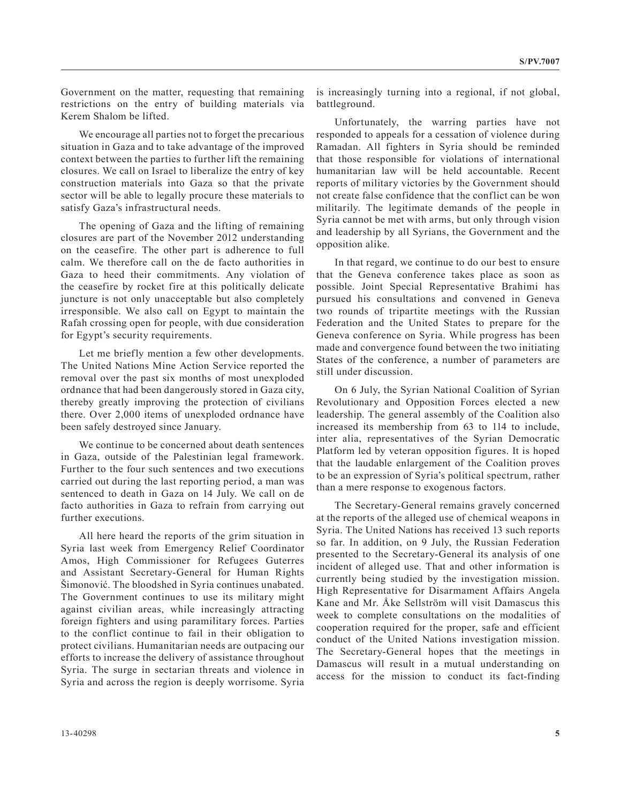Government on the matter, requesting that remaining restrictions on the entry of building materials via Kerem Shalom be lifted.

We encourage all parties not to forget the precarious situation in Gaza and to take advantage of the improved context between the parties to further lift the remaining closures. We call on Israel to liberalize the entry of key construction materials into Gaza so that the private sector will be able to legally procure these materials to satisfy Gaza's infrastructural needs.

The opening of Gaza and the lifting of remaining closures are part of the November 2012 understanding on the ceasefire. The other part is adherence to full calm. We therefore call on the de facto authorities in Gaza to heed their commitments. Any violation of the ceasefire by rocket fire at this politically delicate juncture is not only unacceptable but also completely irresponsible. We also call on Egypt to maintain the Rafah crossing open for people, with due consideration for Egypt's security requirements.

Let me briefly mention a few other developments. The United Nations Mine Action Service reported the removal over the past six months of most unexploded ordnance that had been dangerously stored in Gaza city, thereby greatly improving the protection of civilians there. Over 2,000 items of unexploded ordnance have been safely destroyed since January.

We continue to be concerned about death sentences in Gaza, outside of the Palestinian legal framework. Further to the four such sentences and two executions carried out during the last reporting period, a man was sentenced to death in Gaza on 14 July. We call on de facto authorities in Gaza to refrain from carrying out further executions.

All here heard the reports of the grim situation in Syria last week from Emergency Relief Coordinator Amos, High Commissioner for Refugees Guterres and Assistant Secretary-General for Human Rights Šimonović. The bloodshed in Syria continues unabated. The Government continues to use its military might against civilian areas, while increasingly attracting foreign fighters and using paramilitary forces. Parties to the conflict continue to fail in their obligation to protect civilians. Humanitarian needs are outpacing our efforts to increase the delivery of assistance throughout Syria. The surge in sectarian threats and violence in Syria and across the region is deeply worrisome. Syria

is increasingly turning into a regional, if not global, battleground.

Unfortunately, the warring parties have not responded to appeals for a cessation of violence during Ramadan. All fighters in Syria should be reminded that those responsible for violations of international humanitarian law will be held accountable. Recent reports of military victories by the Government should not create false confidence that the conflict can be won militarily. The legitimate demands of the people in Syria cannot be met with arms, but only through vision and leadership by all Syrians, the Government and the opposition alike.

In that regard, we continue to do our best to ensure that the Geneva conference takes place as soon as possible. Joint Special Representative Brahimi has pursued his consultations and convened in Geneva two rounds of tripartite meetings with the Russian Federation and the United States to prepare for the Geneva conference on Syria. While progress has been made and convergence found between the two initiating States of the conference, a number of parameters are still under discussion.

On 6 July, the Syrian National Coalition of Syrian Revolutionary and Opposition Forces elected a new leadership. The general assembly of the Coalition also increased its membership from 63 to 114 to include, inter alia, representatives of the Syrian Democratic Platform led by veteran opposition figures. It is hoped that the laudable enlargement of the Coalition proves to be an expression of Syria's political spectrum, rather than a mere response to exogenous factors.

The Secretary-General remains gravely concerned at the reports of the alleged use of chemical weapons in Syria. The United Nations has received 13 such reports so far. In addition, on 9 July, the Russian Federation presented to the Secretary-General its analysis of one incident of alleged use. That and other information is currently being studied by the investigation mission. High Representative for Disarmament Affairs Angela Kane and Mr. Åke Sellström will visit Damascus this week to complete consultations on the modalities of cooperation required for the proper, safe and efficient conduct of the United Nations investigation mission. The Secretary-General hopes that the meetings in Damascus will result in a mutual understanding on access for the mission to conduct its fact-finding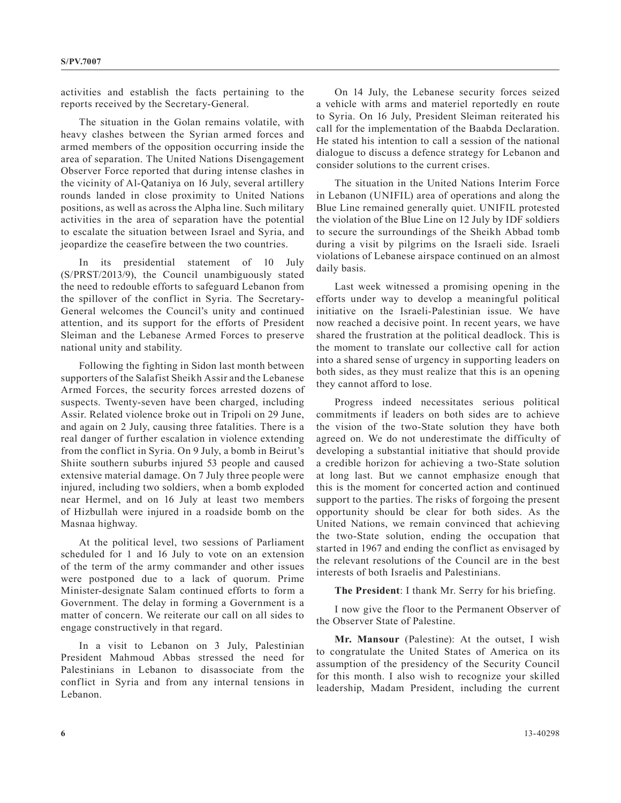activities and establish the facts pertaining to the reports received by the Secretary-General.

The situation in the Golan remains volatile, with heavy clashes between the Syrian armed forces and armed members of the opposition occurring inside the area of separation. The United Nations Disengagement Observer Force reported that during intense clashes in the vicinity of Al-Qataniya on 16 July, several artillery rounds landed in close proximity to United Nations positions, as well as across the Alpha line. Such military activities in the area of separation have the potential to escalate the situation between Israel and Syria, and jeopardize the ceasefire between the two countries.

In its presidential statement of 10 July (S/PRST/2013/9), the Council unambiguously stated the need to redouble efforts to safeguard Lebanon from the spillover of the conflict in Syria. The Secretary-General welcomes the Council's unity and continued attention, and its support for the efforts of President Sleiman and the Lebanese Armed Forces to preserve national unity and stability.

Following the fighting in Sidon last month between supporters of the Salafist Sheikh Assir and the Lebanese Armed Forces, the security forces arrested dozens of suspects. Twenty-seven have been charged, including Assir. Related violence broke out in Tripoli on 29 June, and again on 2 July, causing three fatalities. There is a real danger of further escalation in violence extending from the conflict in Syria. On 9 July, a bomb in Beirut's Shiite southern suburbs injured 53 people and caused extensive material damage. On 7 July three people were injured, including two soldiers, when a bomb exploded near Hermel, and on 16 July at least two members of Hizbullah were injured in a roadside bomb on the Masnaa highway.

At the political level, two sessions of Parliament scheduled for 1 and 16 July to vote on an extension of the term of the army commander and other issues were postponed due to a lack of quorum. Prime Minister-designate Salam continued efforts to form a Government. The delay in forming a Government is a matter of concern. We reiterate our call on all sides to engage constructively in that regard.

In a visit to Lebanon on 3 July, Palestinian President Mahmoud Abbas stressed the need for Palestinians in Lebanon to disassociate from the conflict in Syria and from any internal tensions in Lebanon.

On 14 July, the Lebanese security forces seized a vehicle with arms and materiel reportedly en route to Syria. On 16 July, President Sleiman reiterated his call for the implementation of the Baabda Declaration. He stated his intention to call a session of the national dialogue to discuss a defence strategy for Lebanon and consider solutions to the current crises.

The situation in the United Nations Interim Force in Lebanon (UNIFIL) area of operations and along the Blue Line remained generally quiet. UNIFIL protested the violation of the Blue Line on 12 July by IDF soldiers to secure the surroundings of the Sheikh Abbad tomb during a visit by pilgrims on the Israeli side. Israeli violations of Lebanese airspace continued on an almost daily basis.

Last week witnessed a promising opening in the efforts under way to develop a meaningful political initiative on the Israeli-Palestinian issue. We have now reached a decisive point. In recent years, we have shared the frustration at the political deadlock. This is the moment to translate our collective call for action into a shared sense of urgency in supporting leaders on both sides, as they must realize that this is an opening they cannot afford to lose.

Progress indeed necessitates serious political commitments if leaders on both sides are to achieve the vision of the two-State solution they have both agreed on. We do not underestimate the difficulty of developing a substantial initiative that should provide a credible horizon for achieving a two-State solution at long last. But we cannot emphasize enough that this is the moment for concerted action and continued support to the parties. The risks of forgoing the present opportunity should be clear for both sides. As the United Nations, we remain convinced that achieving the two-State solution, ending the occupation that started in 1967 and ending the conflict as envisaged by the relevant resolutions of the Council are in the best interests of both Israelis and Palestinians.

**The President**: I thank Mr. Serry for his briefing.

I now give the floor to the Permanent Observer of the Observer State of Palestine.

**Mr. Mansour** (Palestine): At the outset, I wish to congratulate the United States of America on its assumption of the presidency of the Security Council for this month. I also wish to recognize your skilled leadership, Madam President, including the current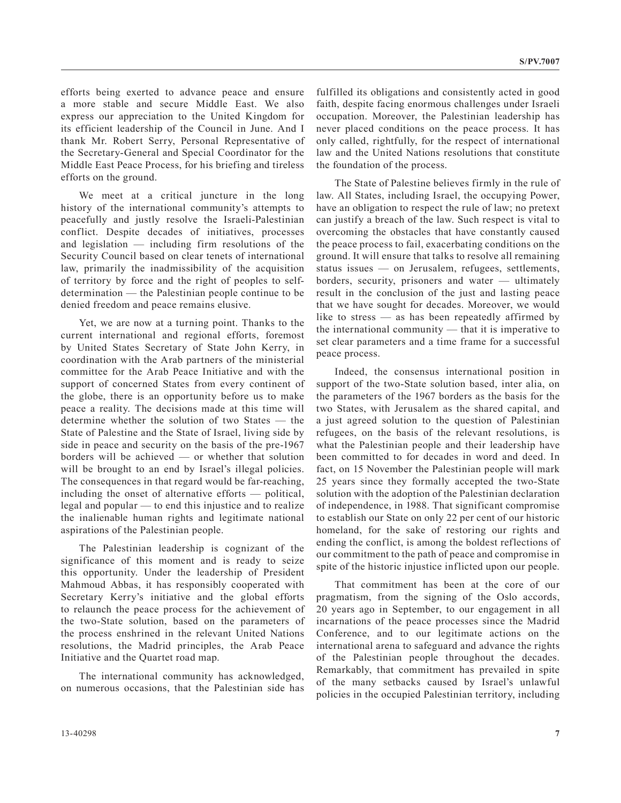efforts being exerted to advance peace and ensure a more stable and secure Middle East. We also express our appreciation to the United Kingdom for its efficient leadership of the Council in June. And I thank Mr. Robert Serry, Personal Representative of the Secretary-General and Special Coordinator for the Middle East Peace Process, for his briefing and tireless efforts on the ground.

We meet at a critical juncture in the long history of the international community's attempts to peacefully and justly resolve the Israeli-Palestinian conflict. Despite decades of initiatives, processes and legislation — including firm resolutions of the Security Council based on clear tenets of international law, primarily the inadmissibility of the acquisition of territory by force and the right of peoples to selfdetermination — the Palestinian people continue to be denied freedom and peace remains elusive.

Yet, we are now at a turning point. Thanks to the current international and regional efforts, foremost by United States Secretary of State John Kerry, in coordination with the Arab partners of the ministerial committee for the Arab Peace Initiative and with the support of concerned States from every continent of the globe, there is an opportunity before us to make peace a reality. The decisions made at this time will determine whether the solution of two States — the State of Palestine and the State of Israel, living side by side in peace and security on the basis of the pre-1967 borders will be achieved — or whether that solution will be brought to an end by Israel's illegal policies. The consequences in that regard would be far-reaching, including the onset of alternative efforts — political, legal and popular — to end this injustice and to realize the inalienable human rights and legitimate national aspirations of the Palestinian people.

The Palestinian leadership is cognizant of the significance of this moment and is ready to seize this opportunity. Under the leadership of President Mahmoud Abbas, it has responsibly cooperated with Secretary Kerry's initiative and the global efforts to relaunch the peace process for the achievement of the two-State solution, based on the parameters of the process enshrined in the relevant United Nations resolutions, the Madrid principles, the Arab Peace Initiative and the Quartet road map.

The international community has acknowledged, on numerous occasions, that the Palestinian side has

fulfilled its obligations and consistently acted in good faith, despite facing enormous challenges under Israeli occupation. Moreover, the Palestinian leadership has never placed conditions on the peace process. It has only called, rightfully, for the respect of international law and the United Nations resolutions that constitute the foundation of the process.

The State of Palestine believes firmly in the rule of law. All States, including Israel, the occupying Power, have an obligation to respect the rule of law; no pretext can justify a breach of the law. Such respect is vital to overcoming the obstacles that have constantly caused the peace process to fail, exacerbating conditions on the ground. It will ensure that talks to resolve all remaining status issues — on Jerusalem, refugees, settlements, borders, security, prisoners and water — ultimately result in the conclusion of the just and lasting peace that we have sought for decades. Moreover, we would like to stress — as has been repeatedly affirmed by the international community — that it is imperative to set clear parameters and a time frame for a successful peace process.

Indeed, the consensus international position in support of the two-State solution based, inter alia, on the parameters of the 1967 borders as the basis for the two States, with Jerusalem as the shared capital, and a just agreed solution to the question of Palestinian refugees, on the basis of the relevant resolutions, is what the Palestinian people and their leadership have been committed to for decades in word and deed. In fact, on 15 November the Palestinian people will mark 25 years since they formally accepted the two-State solution with the adoption of the Palestinian declaration of independence, in 1988. That significant compromise to establish our State on only 22 per cent of our historic homeland, for the sake of restoring our rights and ending the conflict, is among the boldest reflections of our commitment to the path of peace and compromise in spite of the historic injustice inflicted upon our people.

That commitment has been at the core of our pragmatism, from the signing of the Oslo accords, 20 years ago in September, to our engagement in all incarnations of the peace processes since the Madrid Conference, and to our legitimate actions on the international arena to safeguard and advance the rights of the Palestinian people throughout the decades. Remarkably, that commitment has prevailed in spite of the many setbacks caused by Israel's unlawful policies in the occupied Palestinian territory, including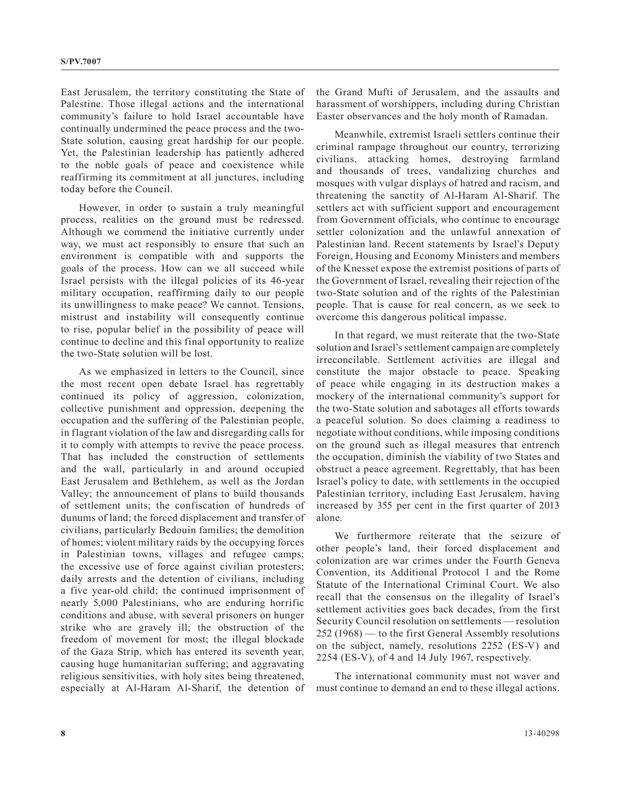East Jerusalem, the territory constituting the State of Palestine. Those illegal actions and the international community's failure to hold Israel accountable have continually undermined the peace process and the two-State solution, causing great hardship for our people. Yet, the Palestinian leadership has patiently adhered to the noble goals of peace and coexistence while reaffirming its commitment at all junctures, including today before the Council.

However, in order to sustain a truly meaningful process, realities on the ground must be redressed. Although we commend the initiative currently under way, we must act responsibly to ensure that such an environment is compatible with and supports the goals of the process. How can we all succeed while Israel persists with the illegal policies of its 46-year military occupation, reaffirming daily to our people its unwillingness to make peace? We cannot. Tensions, mistrust and instability will consequently continue to rise, popular belief in the possibility of peace will continue to decline and this final opportunity to realize the two-State solution will be lost.

As we emphasized in letters to the Council, since the most recent open debate Israel has regrettably continued its policy of aggression, colonization, collective punishment and oppression, deepening the occupation and the suffering of the Palestinian people, in flagrant violation of the law and disregarding calls for it to comply with attempts to revive the peace process. That has included the construction of settlements and the wall, particularly in and around occupied East Jerusalem and Bethlehem, as well as the Jordan Valley; the announcement of plans to build thousands of settlement units; the confiscation of hundreds of dunums of land; the forced displacement and transfer of civilians, particularly Bedouin families; the demolition of homes; violent military raids by the occupying forces in Palestinian towns, villages and refugee camps; the excessive use of force against civilian protesters; daily arrests and the detention of civilians, including a five year-old child; the continued imprisonment of nearly 5,000 Palestinians, who are enduring horrific conditions and abuse, with several prisoners on hunger strike who are gravely ill; the obstruction of the freedom of movement for most; the illegal blockade of the Gaza Strip, which has entered its seventh year, causing huge humanitarian suffering; and aggravating religious sensitivities, with holy sites being threatened, especially at Al-Haram Al-Sharif, the detention of

the Grand Mufti of Jerusalem, and the assaults and harassment of worshippers, including during Christian Easter observances and the holy month of Ramadan.

Meanwhile, extremist Israeli settlers continue their criminal rampage throughout our country, terrorizing civilians, attacking homes, destroying farmland and thousands of trees, vandalizing churches and mosques with vulgar displays of hatred and racism, and threatening the sanctity of Al-Haram Al-Sharif. The settlers act with sufficient support and encouragement from Government officials, who continue to encourage settler colonization and the unlawful annexation of Palestinian land. Recent statements by Israel's Deputy Foreign, Housing and Economy Ministers and members of the Knesset expose the extremist positions of parts of the Government of Israel, revealing their rejection of the two-State solution and of the rights of the Palestinian people. That is cause for real concern, as we seek to overcome this dangerous political impasse.

In that regard, we must reiterate that the two-State solution and Israel's settlement campaign are completely irreconcilable. Settlement activities are illegal and constitute the major obstacle to peace. Speaking of peace while engaging in its destruction makes a mockery of the international community's support for the two-State solution and sabotages all efforts towards a peaceful solution. So does claiming a readiness to negotiate without conditions, while imposing conditions on the ground such as illegal measures that entrench the occupation, diminish the viability of two States and obstruct a peace agreement. Regrettably, that has been Israel's policy to date, with settlements in the occupied Palestinian territory, including East Jerusalem, having increased by 355 per cent in the first quarter of 2013 alone.

We furthermore reiterate that the seizure of other people's land, their forced displacement and colonization are war crimes under the Fourth Geneva Convention, its Additional Protocol 1 and the Rome Statute of the International Criminal Court. We also recall that the consensus on the illegality of Israel's settlement activities goes back decades, from the first Security Council resolution on settlements — resolution 252 (1968) — to the first General Assembly resolutions on the subject, namely, resolutions 2252 (ES-V) and 2254 (ES-V), of 4 and 14 July 1967, respectively.

The international community must not waver and must continue to demand an end to these illegal actions.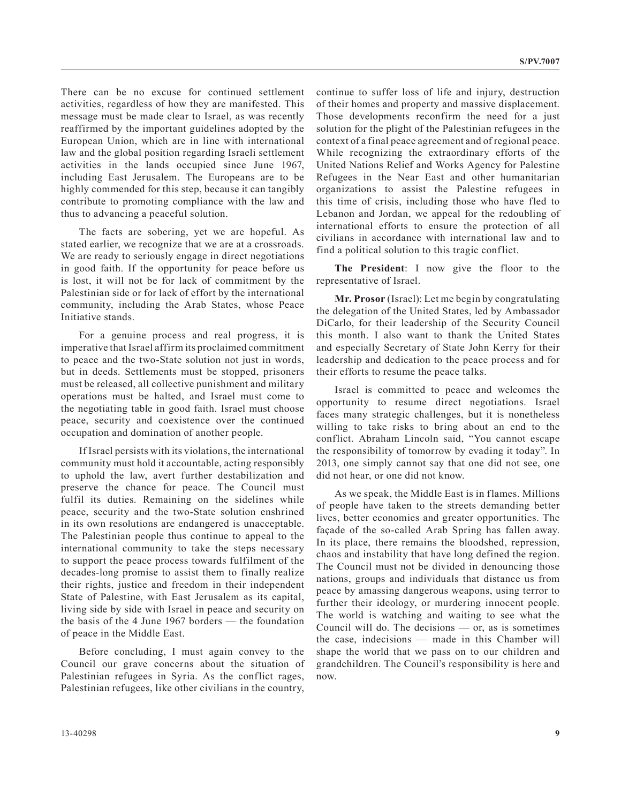There can be no excuse for continued settlement activities, regardless of how they are manifested. This message must be made clear to Israel, as was recently reaffirmed by the important guidelines adopted by the European Union, which are in line with international law and the global position regarding Israeli settlement activities in the lands occupied since June 1967, including East Jerusalem. The Europeans are to be highly commended for this step, because it can tangibly contribute to promoting compliance with the law and thus to advancing a peaceful solution.

The facts are sobering, yet we are hopeful. As stated earlier, we recognize that we are at a crossroads. We are ready to seriously engage in direct negotiations in good faith. If the opportunity for peace before us is lost, it will not be for lack of commitment by the Palestinian side or for lack of effort by the international community, including the Arab States, whose Peace Initiative stands.

For a genuine process and real progress, it is imperative that Israel affirm its proclaimed commitment to peace and the two-State solution not just in words, but in deeds. Settlements must be stopped, prisoners must be released, all collective punishment and military operations must be halted, and Israel must come to the negotiating table in good faith. Israel must choose peace, security and coexistence over the continued occupation and domination of another people.

If Israel persists with its violations, the international community must hold it accountable, acting responsibly to uphold the law, avert further destabilization and preserve the chance for peace. The Council must fulfil its duties. Remaining on the sidelines while peace, security and the two-State solution enshrined in its own resolutions are endangered is unacceptable. The Palestinian people thus continue to appeal to the international community to take the steps necessary to support the peace process towards fulfilment of the decades-long promise to assist them to finally realize their rights, justice and freedom in their independent State of Palestine, with East Jerusalem as its capital, living side by side with Israel in peace and security on the basis of the 4 June 1967 borders — the foundation of peace in the Middle East.

Before concluding, I must again convey to the Council our grave concerns about the situation of Palestinian refugees in Syria. As the conflict rages, Palestinian refugees, like other civilians in the country,

continue to suffer loss of life and injury, destruction of their homes and property and massive displacement. Those developments reconfirm the need for a just solution for the plight of the Palestinian refugees in the context of a final peace agreement and of regional peace. While recognizing the extraordinary efforts of the United Nations Relief and Works Agency for Palestine Refugees in the Near East and other humanitarian organizations to assist the Palestine refugees in this time of crisis, including those who have fled to Lebanon and Jordan, we appeal for the redoubling of international efforts to ensure the protection of all civilians in accordance with international law and to find a political solution to this tragic conflict.

**The President**: I now give the floor to the representative of Israel.

**Mr. Prosor** (Israel): Let me begin by congratulating the delegation of the United States, led by Ambassador DiCarlo, for their leadership of the Security Council this month. I also want to thank the United States and especially Secretary of State John Kerry for their leadership and dedication to the peace process and for their efforts to resume the peace talks.

Israel is committed to peace and welcomes the opportunity to resume direct negotiations. Israel faces many strategic challenges, but it is nonetheless willing to take risks to bring about an end to the conflict. Abraham Lincoln said, "You cannot escape the responsibility of tomorrow by evading it today". In 2013, one simply cannot say that one did not see, one did not hear, or one did not know.

As we speak, the Middle East is in flames. Millions of people have taken to the streets demanding better lives, better economies and greater opportunities. The façade of the so-called Arab Spring has fallen away. In its place, there remains the bloodshed, repression, chaos and instability that have long defined the region. The Council must not be divided in denouncing those nations, groups and individuals that distance us from peace by amassing dangerous weapons, using terror to further their ideology, or murdering innocent people. The world is watching and waiting to see what the Council will do. The decisions — or, as is sometimes the case, indecisions — made in this Chamber will shape the world that we pass on to our children and grandchildren. The Council's responsibility is here and now.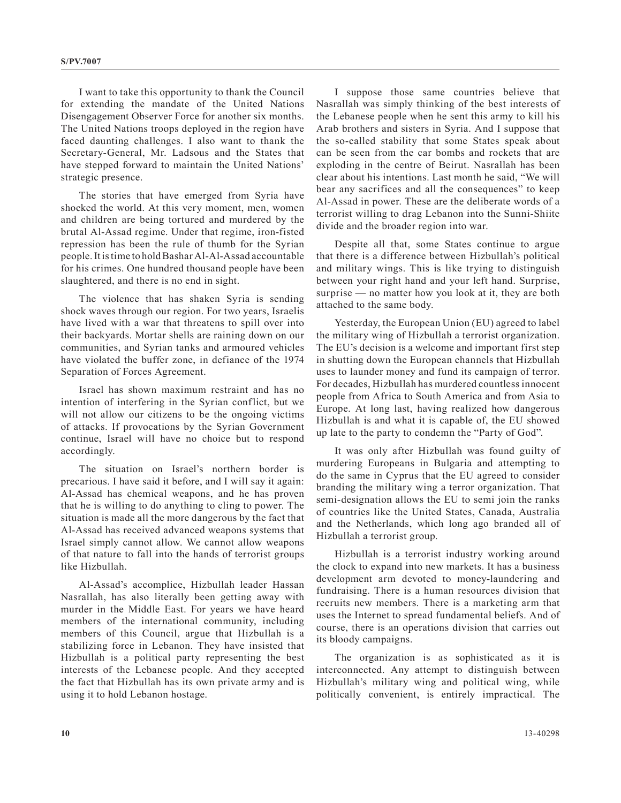I want to take this opportunity to thank the Council for extending the mandate of the United Nations Disengagement Observer Force for another six months. The United Nations troops deployed in the region have faced daunting challenges. I also want to thank the Secretary-General, Mr. Ladsous and the States that have stepped forward to maintain the United Nations' strategic presence.

The stories that have emerged from Syria have shocked the world. At this very moment, men, women and children are being tortured and murdered by the brutal Al-Assad regime. Under that regime, iron-fisted repression has been the rule of thumb for the Syrian people. It is time to hold Bashar Al-Al-Assad accountable for his crimes. One hundred thousand people have been slaughtered, and there is no end in sight.

The violence that has shaken Syria is sending shock waves through our region. For two years, Israelis have lived with a war that threatens to spill over into their backyards. Mortar shells are raining down on our communities, and Syrian tanks and armoured vehicles have violated the buffer zone, in defiance of the 1974 Separation of Forces Agreement.

Israel has shown maximum restraint and has no intention of interfering in the Syrian conflict, but we will not allow our citizens to be the ongoing victims of attacks. If provocations by the Syrian Government continue, Israel will have no choice but to respond accordingly.

The situation on Israel's northern border is precarious. I have said it before, and I will say it again: Al-Assad has chemical weapons, and he has proven that he is willing to do anything to cling to power. The situation is made all the more dangerous by the fact that Al-Assad has received advanced weapons systems that Israel simply cannot allow. We cannot allow weapons of that nature to fall into the hands of terrorist groups like Hizbullah.

Al-Assad's accomplice, Hizbullah leader Hassan Nasrallah, has also literally been getting away with murder in the Middle East. For years we have heard members of the international community, including members of this Council, argue that Hizbullah is a stabilizing force in Lebanon. They have insisted that Hizbullah is a political party representing the best interests of the Lebanese people. And they accepted the fact that Hizbullah has its own private army and is using it to hold Lebanon hostage.

I suppose those same countries believe that Nasrallah was simply thinking of the best interests of the Lebanese people when he sent this army to kill his Arab brothers and sisters in Syria. And I suppose that the so-called stability that some States speak about can be seen from the car bombs and rockets that are exploding in the centre of Beirut. Nasrallah has been clear about his intentions. Last month he said, "We will bear any sacrifices and all the consequences" to keep Al-Assad in power. These are the deliberate words of a terrorist willing to drag Lebanon into the Sunni-Shiite divide and the broader region into war.

Despite all that, some States continue to argue that there is a difference between Hizbullah's political and military wings. This is like trying to distinguish between your right hand and your left hand. Surprise, surprise — no matter how you look at it, they are both attached to the same body.

Yesterday, the European Union (EU) agreed to label the military wing of Hizbullah a terrorist organization. The EU's decision is a welcome and important first step in shutting down the European channels that Hizbullah uses to launder money and fund its campaign of terror. For decades, Hizbullah has murdered countless innocent people from Africa to South America and from Asia to Europe. At long last, having realized how dangerous Hizbullah is and what it is capable of, the EU showed up late to the party to condemn the "Party of God".

It was only after Hizbullah was found guilty of murdering Europeans in Bulgaria and attempting to do the same in Cyprus that the EU agreed to consider branding the military wing a terror organization. That semi-designation allows the EU to semi join the ranks of countries like the United States, Canada, Australia and the Netherlands, which long ago branded all of Hizbullah a terrorist group.

Hizbullah is a terrorist industry working around the clock to expand into new markets. It has a business development arm devoted to money-laundering and fundraising. There is a human resources division that recruits new members. There is a marketing arm that uses the Internet to spread fundamental beliefs. And of course, there is an operations division that carries out its bloody campaigns.

The organization is as sophisticated as it is interconnected. Any attempt to distinguish between Hizbullah's military wing and political wing, while politically convenient, is entirely impractical. The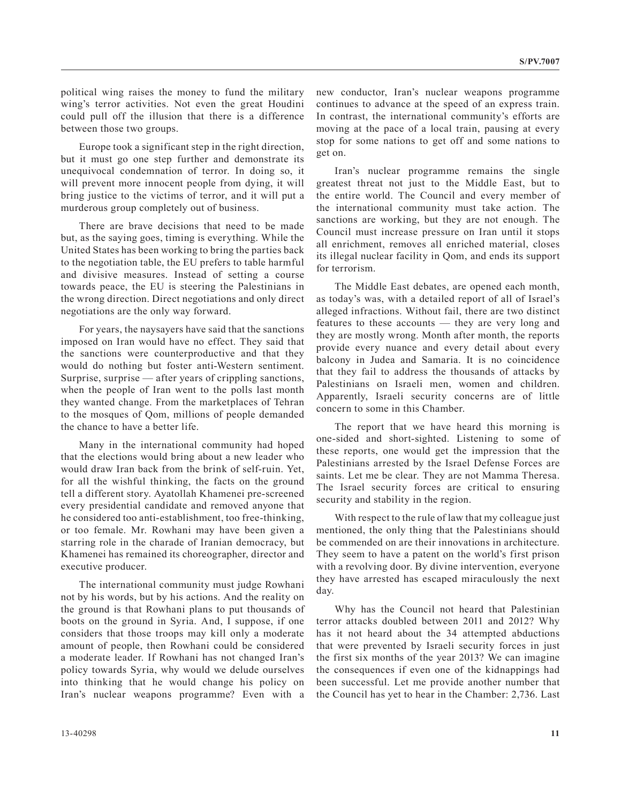political wing raises the money to fund the military wing's terror activities. Not even the great Houdini could pull off the illusion that there is a difference between those two groups.

Europe took a significant step in the right direction, but it must go one step further and demonstrate its unequivocal condemnation of terror. In doing so, it will prevent more innocent people from dying, it will bring justice to the victims of terror, and it will put a murderous group completely out of business.

There are brave decisions that need to be made but, as the saying goes, timing is everything. While the United States has been working to bring the parties back to the negotiation table, the EU prefers to table harmful and divisive measures. Instead of setting a course towards peace, the EU is steering the Palestinians in the wrong direction. Direct negotiations and only direct negotiations are the only way forward.

For years, the naysayers have said that the sanctions imposed on Iran would have no effect. They said that the sanctions were counterproductive and that they would do nothing but foster anti-Western sentiment. Surprise, surprise — after years of crippling sanctions, when the people of Iran went to the polls last month they wanted change. From the marketplaces of Tehran to the mosques of Qom, millions of people demanded the chance to have a better life.

Many in the international community had hoped that the elections would bring about a new leader who would draw Iran back from the brink of self-ruin. Yet, for all the wishful thinking, the facts on the ground tell a different story. Ayatollah Khamenei pre-screened every presidential candidate and removed anyone that he considered too anti-establishment, too free-thinking, or too female. Mr. Rowhani may have been given a starring role in the charade of Iranian democracy, but Khamenei has remained its choreographer, director and executive producer.

The international community must judge Rowhani not by his words, but by his actions. And the reality on the ground is that Rowhani plans to put thousands of boots on the ground in Syria. And, I suppose, if one considers that those troops may kill only a moderate amount of people, then Rowhani could be considered a moderate leader. If Rowhani has not changed Iran's policy towards Syria, why would we delude ourselves into thinking that he would change his policy on Iran's nuclear weapons programme? Even with a

new conductor, Iran's nuclear weapons programme continues to advance at the speed of an express train. In contrast, the international community's efforts are moving at the pace of a local train, pausing at every stop for some nations to get off and some nations to get on.

Iran's nuclear programme remains the single greatest threat not just to the Middle East, but to the entire world. The Council and every member of the international community must take action. The sanctions are working, but they are not enough. The Council must increase pressure on Iran until it stops all enrichment, removes all enriched material, closes its illegal nuclear facility in Qom, and ends its support for terrorism.

The Middle East debates, are opened each month, as today's was, with a detailed report of all of Israel's alleged infractions. Without fail, there are two distinct features to these accounts — they are very long and they are mostly wrong. Month after month, the reports provide every nuance and every detail about every balcony in Judea and Samaria. It is no coincidence that they fail to address the thousands of attacks by Palestinians on Israeli men, women and children. Apparently, Israeli security concerns are of little concern to some in this Chamber.

The report that we have heard this morning is one-sided and short-sighted. Listening to some of these reports, one would get the impression that the Palestinians arrested by the Israel Defense Forces are saints. Let me be clear. They are not Mamma Theresa. The Israel security forces are critical to ensuring security and stability in the region.

With respect to the rule of law that my colleague just mentioned, the only thing that the Palestinians should be commended on are their innovations in architecture. They seem to have a patent on the world's first prison with a revolving door. By divine intervention, everyone they have arrested has escaped miraculously the next day.

Why has the Council not heard that Palestinian terror attacks doubled between 2011 and 2012? Why has it not heard about the 34 attempted abductions that were prevented by Israeli security forces in just the first six months of the year 2013? We can imagine the consequences if even one of the kidnappings had been successful. Let me provide another number that the Council has yet to hear in the Chamber: 2,736. Last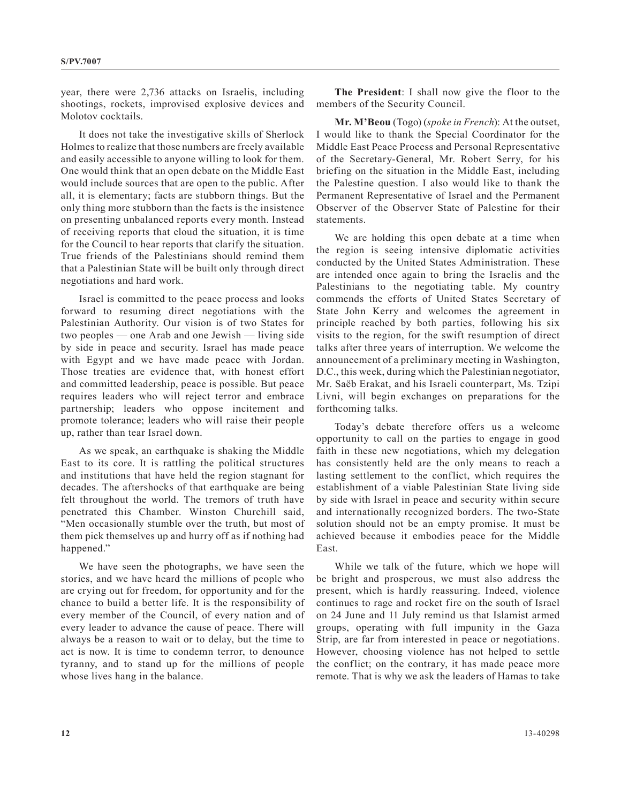year, there were 2,736 attacks on Israelis, including shootings, rockets, improvised explosive devices and Molotov cocktails.

It does not take the investigative skills of Sherlock Holmes to realize that those numbers are freely available and easily accessible to anyone willing to look for them. One would think that an open debate on the Middle East would include sources that are open to the public. After all, it is elementary; facts are stubborn things. But the only thing more stubborn than the facts is the insistence on presenting unbalanced reports every month. Instead of receiving reports that cloud the situation, it is time for the Council to hear reports that clarify the situation. True friends of the Palestinians should remind them that a Palestinian State will be built only through direct negotiations and hard work.

Israel is committed to the peace process and looks forward to resuming direct negotiations with the Palestinian Authority. Our vision is of two States for two peoples — one Arab and one Jewish — living side by side in peace and security. Israel has made peace with Egypt and we have made peace with Jordan. Those treaties are evidence that, with honest effort and committed leadership, peace is possible. But peace requires leaders who will reject terror and embrace partnership; leaders who oppose incitement and promote tolerance; leaders who will raise their people up, rather than tear Israel down.

As we speak, an earthquake is shaking the Middle East to its core. It is rattling the political structures and institutions that have held the region stagnant for decades. The aftershocks of that earthquake are being felt throughout the world. The tremors of truth have penetrated this Chamber. Winston Churchill said, "Men occasionally stumble over the truth, but most of them pick themselves up and hurry off as if nothing had happened."

We have seen the photographs, we have seen the stories, and we have heard the millions of people who are crying out for freedom, for opportunity and for the chance to build a better life. It is the responsibility of every member of the Council, of every nation and of every leader to advance the cause of peace. There will always be a reason to wait or to delay, but the time to act is now. It is time to condemn terror, to denounce tyranny, and to stand up for the millions of people whose lives hang in the balance.

**The President**: I shall now give the floor to the members of the Security Council.

**Mr. M'Beou** (Togo) (*spoke in French*): At the outset, I would like to thank the Special Coordinator for the Middle East Peace Process and Personal Representative of the Secretary-General, Mr. Robert Serry, for his briefing on the situation in the Middle East, including the Palestine question. I also would like to thank the Permanent Representative of Israel and the Permanent Observer of the Observer State of Palestine for their statements.

We are holding this open debate at a time when the region is seeing intensive diplomatic activities conducted by the United States Administration. These are intended once again to bring the Israelis and the Palestinians to the negotiating table. My country commends the efforts of United States Secretary of State John Kerry and welcomes the agreement in principle reached by both parties, following his six visits to the region, for the swift resumption of direct talks after three years of interruption. We welcome the announcement of a preliminary meeting in Washington, D.C., this week, during which the Palestinian negotiator, Mr. Saëb Erakat, and his Israeli counterpart, Ms. Tzipi Livni, will begin exchanges on preparations for the forthcoming talks.

Today's debate therefore offers us a welcome opportunity to call on the parties to engage in good faith in these new negotiations, which my delegation has consistently held are the only means to reach a lasting settlement to the conflict, which requires the establishment of a viable Palestinian State living side by side with Israel in peace and security within secure and internationally recognized borders. The two-State solution should not be an empty promise. It must be achieved because it embodies peace for the Middle East.

While we talk of the future, which we hope will be bright and prosperous, we must also address the present, which is hardly reassuring. Indeed, violence continues to rage and rocket fire on the south of Israel on 24 June and 11 July remind us that Islamist armed groups, operating with full impunity in the Gaza Strip, are far from interested in peace or negotiations. However, choosing violence has not helped to settle the conflict; on the contrary, it has made peace more remote. That is why we ask the leaders of Hamas to take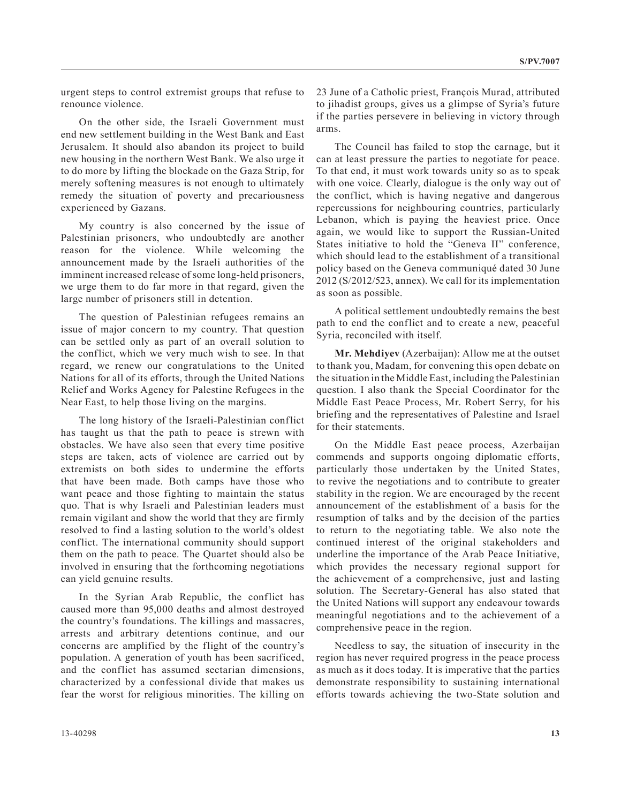urgent steps to control extremist groups that refuse to renounce violence.

On the other side, the Israeli Government must end new settlement building in the West Bank and East Jerusalem. It should also abandon its project to build new housing in the northern West Bank. We also urge it to do more by lifting the blockade on the Gaza Strip, for merely softening measures is not enough to ultimately remedy the situation of poverty and precariousness experienced by Gazans.

My country is also concerned by the issue of Palestinian prisoners, who undoubtedly are another reason for the violence. While welcoming the announcement made by the Israeli authorities of the imminent increased release of some long-held prisoners, we urge them to do far more in that regard, given the large number of prisoners still in detention.

The question of Palestinian refugees remains an issue of major concern to my country. That question can be settled only as part of an overall solution to the conflict, which we very much wish to see. In that regard, we renew our congratulations to the United Nations for all of its efforts, through the United Nations Relief and Works Agency for Palestine Refugees in the Near East, to help those living on the margins.

The long history of the Israeli-Palestinian conflict has taught us that the path to peace is strewn with obstacles. We have also seen that every time positive steps are taken, acts of violence are carried out by extremists on both sides to undermine the efforts that have been made. Both camps have those who want peace and those fighting to maintain the status quo. That is why Israeli and Palestinian leaders must remain vigilant and show the world that they are firmly resolved to find a lasting solution to the world's oldest conflict. The international community should support them on the path to peace. The Quartet should also be involved in ensuring that the forthcoming negotiations can yield genuine results.

In the Syrian Arab Republic, the conflict has caused more than 95,000 deaths and almost destroyed the country's foundations. The killings and massacres, arrests and arbitrary detentions continue, and our concerns are amplified by the flight of the country's population. A generation of youth has been sacrificed, and the conflict has assumed sectarian dimensions, characterized by a confessional divide that makes us fear the worst for religious minorities. The killing on 23 June of a Catholic priest, François Murad, attributed to jihadist groups, gives us a glimpse of Syria's future if the parties persevere in believing in victory through arms.

The Council has failed to stop the carnage, but it can at least pressure the parties to negotiate for peace. To that end, it must work towards unity so as to speak with one voice. Clearly, dialogue is the only way out of the conflict, which is having negative and dangerous repercussions for neighbouring countries, particularly Lebanon, which is paying the heaviest price. Once again, we would like to support the Russian-United States initiative to hold the "Geneva II" conference, which should lead to the establishment of a transitional policy based on the Geneva communiqué dated 30 June 2012 (S/2012/523, annex). We call for its implementation as soon as possible.

A political settlement undoubtedly remains the best path to end the conflict and to create a new, peaceful Syria, reconciled with itself.

**Mr. Mehdiyev** (Azerbaijan): Allow me at the outset to thank you, Madam, for convening this open debate on the situation in the Middle East, including the Palestinian question. I also thank the Special Coordinator for the Middle East Peace Process, Mr. Robert Serry, for his briefing and the representatives of Palestine and Israel for their statements.

On the Middle East peace process, Azerbaijan commends and supports ongoing diplomatic efforts, particularly those undertaken by the United States, to revive the negotiations and to contribute to greater stability in the region. We are encouraged by the recent announcement of the establishment of a basis for the resumption of talks and by the decision of the parties to return to the negotiating table. We also note the continued interest of the original stakeholders and underline the importance of the Arab Peace Initiative, which provides the necessary regional support for the achievement of a comprehensive, just and lasting solution. The Secretary-General has also stated that the United Nations will support any endeavour towards meaningful negotiations and to the achievement of a comprehensive peace in the region.

Needless to say, the situation of insecurity in the region has never required progress in the peace process as much as it does today. It is imperative that the parties demonstrate responsibility to sustaining international efforts towards achieving the two-State solution and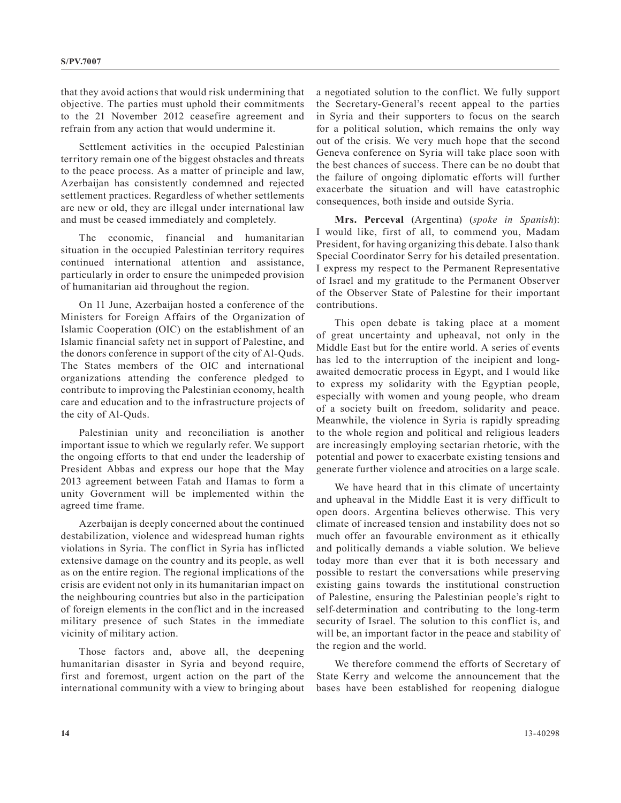that they avoid actions that would risk undermining that objective. The parties must uphold their commitments to the 21 November 2012 ceasefire agreement and refrain from any action that would undermine it.

Settlement activities in the occupied Palestinian territory remain one of the biggest obstacles and threats to the peace process. As a matter of principle and law, Azerbaijan has consistently condemned and rejected settlement practices. Regardless of whether settlements are new or old, they are illegal under international law and must be ceased immediately and completely.

The economic, financial and humanitarian situation in the occupied Palestinian territory requires continued international attention and assistance, particularly in order to ensure the unimpeded provision of humanitarian aid throughout the region.

On 11 June, Azerbaijan hosted a conference of the Ministers for Foreign Affairs of the Organization of Islamic Cooperation (OIC) on the establishment of an Islamic financial safety net in support of Palestine, and the donors conference in support of the city of Al-Quds. The States members of the OIC and international organizations attending the conference pledged to contribute to improving the Palestinian economy, health care and education and to the infrastructure projects of the city of Al-Quds.

Palestinian unity and reconciliation is another important issue to which we regularly refer. We support the ongoing efforts to that end under the leadership of President Abbas and express our hope that the May 2013 agreement between Fatah and Hamas to form a unity Government will be implemented within the agreed time frame.

Azerbaijan is deeply concerned about the continued destabilization, violence and widespread human rights violations in Syria. The conflict in Syria has inflicted extensive damage on the country and its people, as well as on the entire region. The regional implications of the crisis are evident not only in its humanitarian impact on the neighbouring countries but also in the participation of foreign elements in the conflict and in the increased military presence of such States in the immediate vicinity of military action.

Those factors and, above all, the deepening humanitarian disaster in Syria and beyond require, first and foremost, urgent action on the part of the international community with a view to bringing about a negotiated solution to the conflict. We fully support the Secretary-General's recent appeal to the parties in Syria and their supporters to focus on the search for a political solution, which remains the only way out of the crisis. We very much hope that the second Geneva conference on Syria will take place soon with the best chances of success. There can be no doubt that the failure of ongoing diplomatic efforts will further exacerbate the situation and will have catastrophic consequences, both inside and outside Syria.

**Mrs. Perceval** (Argentina) (*spoke in Spanish*): I would like, first of all, to commend you, Madam President, for having organizing this debate. I also thank Special Coordinator Serry for his detailed presentation. I express my respect to the Permanent Representative of Israel and my gratitude to the Permanent Observer of the Observer State of Palestine for their important contributions.

This open debate is taking place at a moment of great uncertainty and upheaval, not only in the Middle East but for the entire world. A series of events has led to the interruption of the incipient and longawaited democratic process in Egypt, and I would like to express my solidarity with the Egyptian people, especially with women and young people, who dream of a society built on freedom, solidarity and peace. Meanwhile, the violence in Syria is rapidly spreading to the whole region and political and religious leaders are increasingly employing sectarian rhetoric, with the potential and power to exacerbate existing tensions and generate further violence and atrocities on a large scale.

We have heard that in this climate of uncertainty and upheaval in the Middle East it is very difficult to open doors. Argentina believes otherwise. This very climate of increased tension and instability does not so much offer an favourable environment as it ethically and politically demands a viable solution. We believe today more than ever that it is both necessary and possible to restart the conversations while preserving existing gains towards the institutional construction of Palestine, ensuring the Palestinian people's right to self-determination and contributing to the long-term security of Israel. The solution to this conflict is, and will be, an important factor in the peace and stability of the region and the world.

We therefore commend the efforts of Secretary of State Kerry and welcome the announcement that the bases have been established for reopening dialogue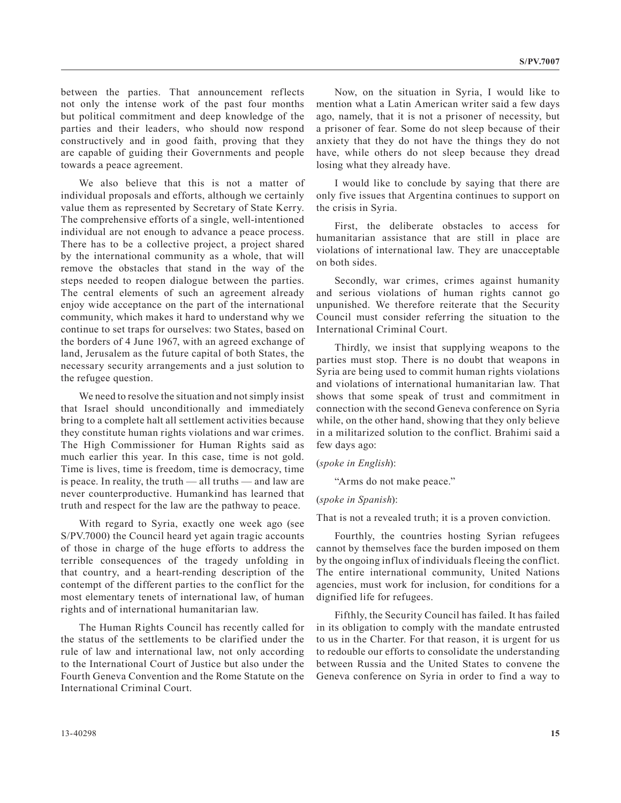between the parties. That announcement reflects not only the intense work of the past four months but political commitment and deep knowledge of the parties and their leaders, who should now respond constructively and in good faith, proving that they are capable of guiding their Governments and people towards a peace agreement.

We also believe that this is not a matter of individual proposals and efforts, although we certainly value them as represented by Secretary of State Kerry. The comprehensive efforts of a single, well-intentioned individual are not enough to advance a peace process. There has to be a collective project, a project shared by the international community as a whole, that will remove the obstacles that stand in the way of the steps needed to reopen dialogue between the parties. The central elements of such an agreement already enjoy wide acceptance on the part of the international community, which makes it hard to understand why we continue to set traps for ourselves: two States, based on the borders of 4 June 1967, with an agreed exchange of land, Jerusalem as the future capital of both States, the necessary security arrangements and a just solution to the refugee question.

We need to resolve the situation and not simply insist that Israel should unconditionally and immediately bring to a complete halt all settlement activities because they constitute human rights violations and war crimes. The High Commissioner for Human Rights said as much earlier this year. In this case, time is not gold. Time is lives, time is freedom, time is democracy, time is peace. In reality, the truth — all truths — and law are never counterproductive. Humankind has learned that truth and respect for the law are the pathway to peace.

With regard to Syria, exactly one week ago (see S/PV.7000) the Council heard yet again tragic accounts of those in charge of the huge efforts to address the terrible consequences of the tragedy unfolding in that country, and a heart-rending description of the contempt of the different parties to the conflict for the most elementary tenets of international law, of human rights and of international humanitarian law.

The Human Rights Council has recently called for the status of the settlements to be clarified under the rule of law and international law, not only according to the International Court of Justice but also under the Fourth Geneva Convention and the Rome Statute on the International Criminal Court.

Now, on the situation in Syria, I would like to mention what a Latin American writer said a few days ago, namely, that it is not a prisoner of necessity, but a prisoner of fear. Some do not sleep because of their anxiety that they do not have the things they do not have, while others do not sleep because they dread losing what they already have.

I would like to conclude by saying that there are only five issues that Argentina continues to support on the crisis in Syria.

First, the deliberate obstacles to access for humanitarian assistance that are still in place are violations of international law. They are unacceptable on both sides.

Secondly, war crimes, crimes against humanity and serious violations of human rights cannot go unpunished. We therefore reiterate that the Security Council must consider referring the situation to the International Criminal Court.

Thirdly, we insist that supplying weapons to the parties must stop. There is no doubt that weapons in Syria are being used to commit human rights violations and violations of international humanitarian law. That shows that some speak of trust and commitment in connection with the second Geneva conference on Syria while, on the other hand, showing that they only believe in a militarized solution to the conflict. Brahimi said a few days ago:

### (*spoke in English*):

"Arms do not make peace."

#### (*spoke in Spanish*):

That is not a revealed truth; it is a proven conviction.

Fourthly, the countries hosting Syrian refugees cannot by themselves face the burden imposed on them by the ongoing influx of individuals fleeing the conflict. The entire international community, United Nations agencies, must work for inclusion, for conditions for a dignified life for refugees.

Fifthly, the Security Council has failed. It has failed in its obligation to comply with the mandate entrusted to us in the Charter. For that reason, it is urgent for us to redouble our efforts to consolidate the understanding between Russia and the United States to convene the Geneva conference on Syria in order to find a way to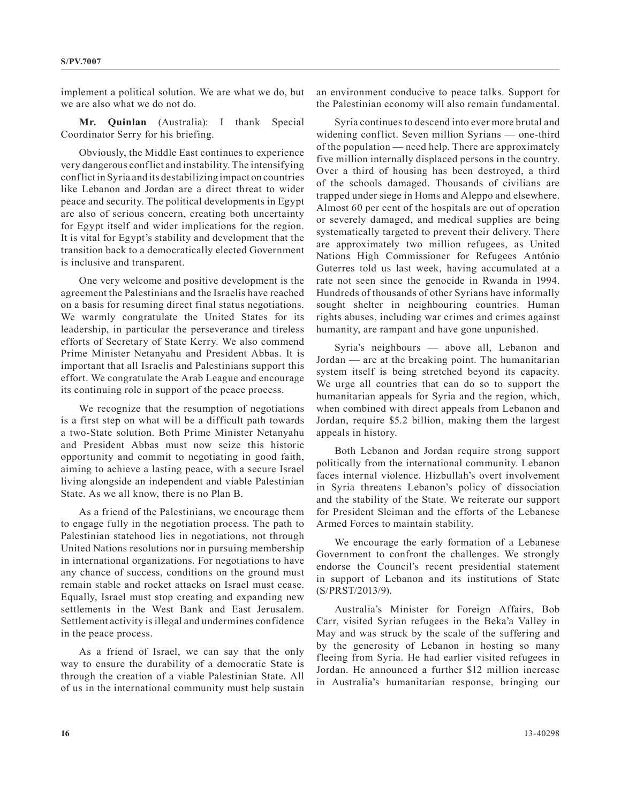implement a political solution. We are what we do, but we are also what we do not do.

**Mr. Quinlan** (Australia): I thank Special Coordinator Serry for his briefing.

Obviously, the Middle East continues to experience very dangerous conflict and instability. The intensifying conflict in Syria and its destabilizing impact on countries like Lebanon and Jordan are a direct threat to wider peace and security. The political developments in Egypt are also of serious concern, creating both uncertainty for Egypt itself and wider implications for the region. It is vital for Egypt's stability and development that the transition back to a democratically elected Government is inclusive and transparent.

One very welcome and positive development is the agreement the Palestinians and the Israelis have reached on a basis for resuming direct final status negotiations. We warmly congratulate the United States for its leadership, in particular the perseverance and tireless efforts of Secretary of State Kerry. We also commend Prime Minister Netanyahu and President Abbas. It is important that all Israelis and Palestinians support this effort. We congratulate the Arab League and encourage its continuing role in support of the peace process.

We recognize that the resumption of negotiations is a first step on what will be a difficult path towards a two-State solution. Both Prime Minister Netanyahu and President Abbas must now seize this historic opportunity and commit to negotiating in good faith, aiming to achieve a lasting peace, with a secure Israel living alongside an independent and viable Palestinian State. As we all know, there is no Plan B.

As a friend of the Palestinians, we encourage them to engage fully in the negotiation process. The path to Palestinian statehood lies in negotiations, not through United Nations resolutions nor in pursuing membership in international organizations. For negotiations to have any chance of success, conditions on the ground must remain stable and rocket attacks on Israel must cease. Equally, Israel must stop creating and expanding new settlements in the West Bank and East Jerusalem. Settlement activity is illegal and undermines confidence in the peace process.

As a friend of Israel, we can say that the only way to ensure the durability of a democratic State is through the creation of a viable Palestinian State. All of us in the international community must help sustain an environment conducive to peace talks. Support for the Palestinian economy will also remain fundamental.

Syria continues to descend into ever more brutal and widening conflict. Seven million Syrians — one-third of the population — need help. There are approximately five million internally displaced persons in the country. Over a third of housing has been destroyed, a third of the schools damaged. Thousands of civilians are trapped under siege in Homs and Aleppo and elsewhere. Almost 60 per cent of the hospitals are out of operation or severely damaged, and medical supplies are being systematically targeted to prevent their delivery. There are approximately two million refugees, as United Nations High Commissioner for Refugees António Guterres told us last week, having accumulated at a rate not seen since the genocide in Rwanda in 1994. Hundreds of thousands of other Syrians have informally sought shelter in neighbouring countries. Human rights abuses, including war crimes and crimes against humanity, are rampant and have gone unpunished.

Syria's neighbours — above all, Lebanon and Jordan — are at the breaking point. The humanitarian system itself is being stretched beyond its capacity. We urge all countries that can do so to support the humanitarian appeals for Syria and the region, which, when combined with direct appeals from Lebanon and Jordan, require \$5.2 billion, making them the largest appeals in history.

Both Lebanon and Jordan require strong support politically from the international community. Lebanon faces internal violence. Hizbullah's overt involvement in Syria threatens Lebanon's policy of dissociation and the stability of the State. We reiterate our support for President Sleiman and the efforts of the Lebanese Armed Forces to maintain stability.

We encourage the early formation of a Lebanese Government to confront the challenges. We strongly endorse the Council's recent presidential statement in support of Lebanon and its institutions of State (S/PRST/2013/9).

Australia's Minister for Foreign Affairs, Bob Carr, visited Syrian refugees in the Beka'a Valley in May and was struck by the scale of the suffering and by the generosity of Lebanon in hosting so many fleeing from Syria. He had earlier visited refugees in Jordan. He announced a further \$12 million increase in Australia's humanitarian response, bringing our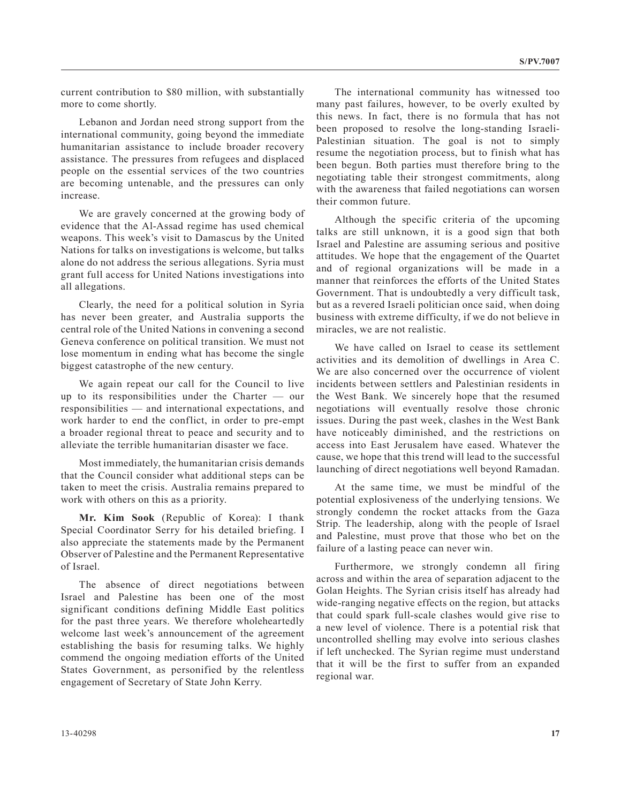current contribution to \$80 million, with substantially more to come shortly.

Lebanon and Jordan need strong support from the international community, going beyond the immediate humanitarian assistance to include broader recovery assistance. The pressures from refugees and displaced people on the essential services of the two countries are becoming untenable, and the pressures can only increase.

We are gravely concerned at the growing body of evidence that the Al-Assad regime has used chemical weapons. This week's visit to Damascus by the United Nations for talks on investigations is welcome, but talks alone do not address the serious allegations. Syria must grant full access for United Nations investigations into all allegations.

Clearly, the need for a political solution in Syria has never been greater, and Australia supports the central role of the United Nations in convening a second Geneva conference on political transition. We must not lose momentum in ending what has become the single biggest catastrophe of the new century.

We again repeat our call for the Council to live up to its responsibilities under the Charter — our responsibilities — and international expectations, and work harder to end the conflict, in order to pre-empt a broader regional threat to peace and security and to alleviate the terrible humanitarian disaster we face.

Most immediately, the humanitarian crisis demands that the Council consider what additional steps can be taken to meet the crisis. Australia remains prepared to work with others on this as a priority.

**Mr. Kim Sook** (Republic of Korea): I thank Special Coordinator Serry for his detailed briefing. I also appreciate the statements made by the Permanent Observer of Palestine and the Permanent Representative of Israel.

The absence of direct negotiations between Israel and Palestine has been one of the most significant conditions defining Middle East politics for the past three years. We therefore wholeheartedly welcome last week's announcement of the agreement establishing the basis for resuming talks. We highly commend the ongoing mediation efforts of the United States Government, as personified by the relentless engagement of Secretary of State John Kerry.

The international community has witnessed too many past failures, however, to be overly exulted by this news. In fact, there is no formula that has not been proposed to resolve the long-standing Israeli-Palestinian situation. The goal is not to simply resume the negotiation process, but to finish what has been begun. Both parties must therefore bring to the negotiating table their strongest commitments, along with the awareness that failed negotiations can worsen their common future.

Although the specific criteria of the upcoming talks are still unknown, it is a good sign that both Israel and Palestine are assuming serious and positive attitudes. We hope that the engagement of the Quartet and of regional organizations will be made in a manner that reinforces the efforts of the United States Government. That is undoubtedly a very difficult task, but as a revered Israeli politician once said, when doing business with extreme difficulty, if we do not believe in miracles, we are not realistic.

We have called on Israel to cease its settlement activities and its demolition of dwellings in Area C. We are also concerned over the occurrence of violent incidents between settlers and Palestinian residents in the West Bank. We sincerely hope that the resumed negotiations will eventually resolve those chronic issues. During the past week, clashes in the West Bank have noticeably diminished, and the restrictions on access into East Jerusalem have eased. Whatever the cause, we hope that this trend will lead to the successful launching of direct negotiations well beyond Ramadan.

At the same time, we must be mindful of the potential explosiveness of the underlying tensions. We strongly condemn the rocket attacks from the Gaza Strip. The leadership, along with the people of Israel and Palestine, must prove that those who bet on the failure of a lasting peace can never win.

Furthermore, we strongly condemn all firing across and within the area of separation adjacent to the Golan Heights. The Syrian crisis itself has already had wide-ranging negative effects on the region, but attacks that could spark full-scale clashes would give rise to a new level of violence. There is a potential risk that uncontrolled shelling may evolve into serious clashes if left unchecked. The Syrian regime must understand that it will be the first to suffer from an expanded regional war.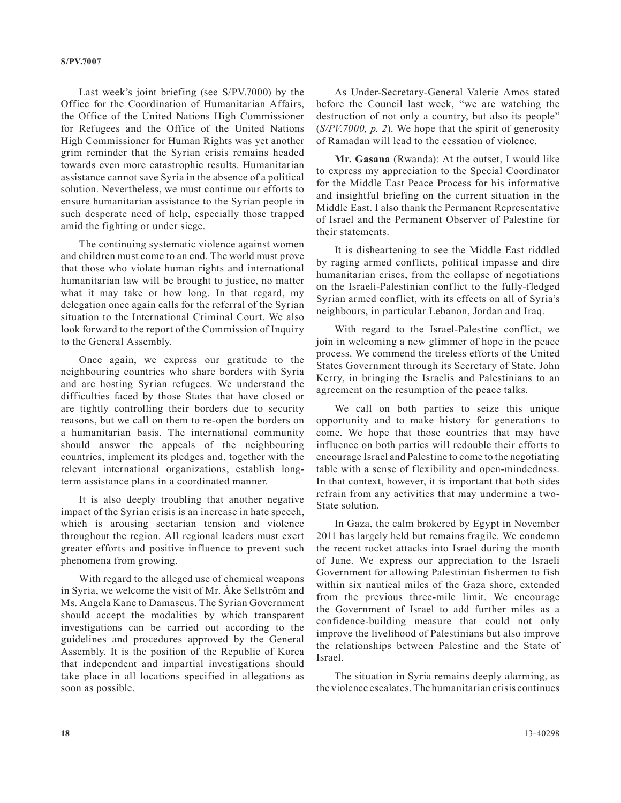Last week's joint briefing (see S/PV.7000) by the Office for the Coordination of Humanitarian Affairs, the Office of the United Nations High Commissioner for Refugees and the Office of the United Nations High Commissioner for Human Rights was yet another grim reminder that the Syrian crisis remains headed towards even more catastrophic results. Humanitarian assistance cannot save Syria in the absence of a political solution. Nevertheless, we must continue our efforts to ensure humanitarian assistance to the Syrian people in such desperate need of help, especially those trapped amid the fighting or under siege.

The continuing systematic violence against women and children must come to an end. The world must prove that those who violate human rights and international humanitarian law will be brought to justice, no matter what it may take or how long. In that regard, my delegation once again calls for the referral of the Syrian situation to the International Criminal Court. We also look forward to the report of the Commission of Inquiry to the General Assembly.

Once again, we express our gratitude to the neighbouring countries who share borders with Syria and are hosting Syrian refugees. We understand the difficulties faced by those States that have closed or are tightly controlling their borders due to security reasons, but we call on them to re-open the borders on a humanitarian basis. The international community should answer the appeals of the neighbouring countries, implement its pledges and, together with the relevant international organizations, establish longterm assistance plans in a coordinated manner.

It is also deeply troubling that another negative impact of the Syrian crisis is an increase in hate speech, which is arousing sectarian tension and violence throughout the region. All regional leaders must exert greater efforts and positive influence to prevent such phenomena from growing.

With regard to the alleged use of chemical weapons in Syria, we welcome the visit of Mr. Åke Sellström and Ms. Angela Kane to Damascus. The Syrian Government should accept the modalities by which transparent investigations can be carried out according to the guidelines and procedures approved by the General Assembly. It is the position of the Republic of Korea that independent and impartial investigations should take place in all locations specified in allegations as soon as possible.

As Under-Secretary-General Valerie Amos stated before the Council last week, "we are watching the destruction of not only a country, but also its people" (*S/PV.7000, p. 2*). We hope that the spirit of generosity of Ramadan will lead to the cessation of violence.

**Mr. Gasana** (Rwanda): At the outset, I would like to express my appreciation to the Special Coordinator for the Middle East Peace Process for his informative and insightful briefing on the current situation in the Middle East. I also thank the Permanent Representative of Israel and the Permanent Observer of Palestine for their statements.

It is disheartening to see the Middle East riddled by raging armed conflicts, political impasse and dire humanitarian crises, from the collapse of negotiations on the Israeli-Palestinian conflict to the fully-fledged Syrian armed conflict, with its effects on all of Syria's neighbours, in particular Lebanon, Jordan and Iraq.

With regard to the Israel-Palestine conflict, we join in welcoming a new glimmer of hope in the peace process. We commend the tireless efforts of the United States Government through its Secretary of State, John Kerry, in bringing the Israelis and Palestinians to an agreement on the resumption of the peace talks.

We call on both parties to seize this unique opportunity and to make history for generations to come. We hope that those countries that may have influence on both parties will redouble their efforts to encourage Israel and Palestine to come to the negotiating table with a sense of flexibility and open-mindedness. In that context, however, it is important that both sides refrain from any activities that may undermine a two-State solution.

In Gaza, the calm brokered by Egypt in November 2011 has largely held but remains fragile. We condemn the recent rocket attacks into Israel during the month of June. We express our appreciation to the Israeli Government for allowing Palestinian fishermen to fish within six nautical miles of the Gaza shore, extended from the previous three-mile limit. We encourage the Government of Israel to add further miles as a confidence-building measure that could not only improve the livelihood of Palestinians but also improve the relationships between Palestine and the State of Israel.

The situation in Syria remains deeply alarming, as the violence escalates. The humanitarian crisis continues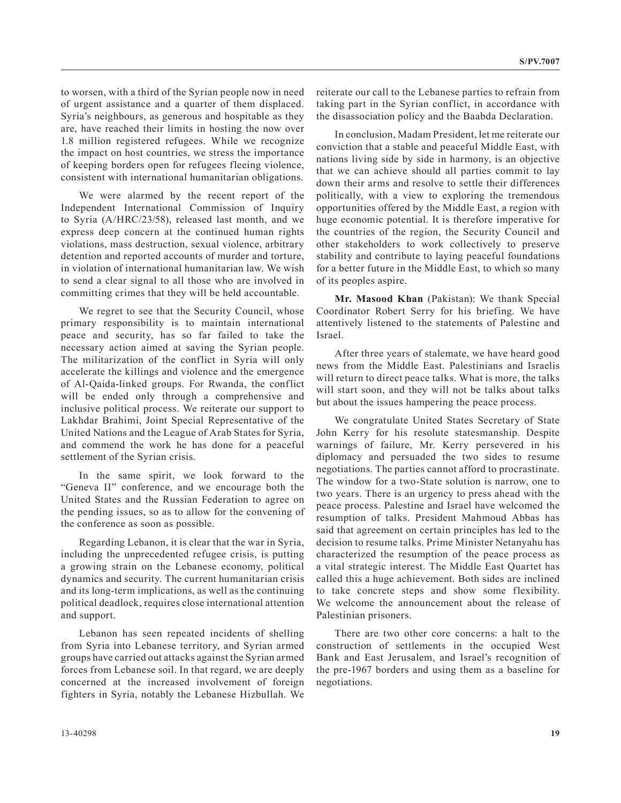to worsen, with a third of the Syrian people now in need of urgent assistance and a quarter of them displaced. Syria's neighbours, as generous and hospitable as they are, have reached their limits in hosting the now over 1.8 million registered refugees. While we recognize the impact on host countries, we stress the importance of keeping borders open for refugees fleeing violence, consistent with international humanitarian obligations.

We were alarmed by the recent report of the Independent International Commission of Inquiry to Syria (A/HRC/23/58), released last month, and we express deep concern at the continued human rights violations, mass destruction, sexual violence, arbitrary detention and reported accounts of murder and torture, in violation of international humanitarian law. We wish to send a clear signal to all those who are involved in committing crimes that they will be held accountable.

We regret to see that the Security Council, whose primary responsibility is to maintain international peace and security, has so far failed to take the necessary action aimed at saving the Syrian people. The militarization of the conflict in Syria will only accelerate the killings and violence and the emergence of Al-Qaida-linked groups. For Rwanda, the conflict will be ended only through a comprehensive and inclusive political process. We reiterate our support to Lakhdar Brahimi, Joint Special Representative of the United Nations and the League of Arab States for Syria, and commend the work he has done for a peaceful settlement of the Syrian crisis.

In the same spirit, we look forward to the "Geneva II" conference, and we encourage both the United States and the Russian Federation to agree on the pending issues, so as to allow for the convening of the conference as soon as possible.

Regarding Lebanon, it is clear that the war in Syria, including the unprecedented refugee crisis, is putting a growing strain on the Lebanese economy, political dynamics and security. The current humanitarian crisis and its long-term implications, as well as the continuing political deadlock, requires close international attention and support.

Lebanon has seen repeated incidents of shelling from Syria into Lebanese territory, and Syrian armed groups have carried out attacks against the Syrian armed forces from Lebanese soil. In that regard, we are deeply concerned at the increased involvement of foreign fighters in Syria, notably the Lebanese Hizbullah. We

reiterate our call to the Lebanese parties to refrain from taking part in the Syrian conflict, in accordance with the disassociation policy and the Baabda Declaration.

In conclusion, Madam President, let me reiterate our conviction that a stable and peaceful Middle East, with nations living side by side in harmony, is an objective that we can achieve should all parties commit to lay down their arms and resolve to settle their differences politically, with a view to exploring the tremendous opportunities offered by the Middle East, a region with huge economic potential. It is therefore imperative for the countries of the region, the Security Council and other stakeholders to work collectively to preserve stability and contribute to laying peaceful foundations for a better future in the Middle East, to which so many of its peoples aspire.

**Mr. Masood Khan** (Pakistan): We thank Special Coordinator Robert Serry for his briefing. We have attentively listened to the statements of Palestine and Israel.

After three years of stalemate, we have heard good news from the Middle East. Palestinians and Israelis will return to direct peace talks. What is more, the talks will start soon, and they will not be talks about talks but about the issues hampering the peace process.

We congratulate United States Secretary of State John Kerry for his resolute statesmanship. Despite warnings of failure, Mr. Kerry persevered in his diplomacy and persuaded the two sides to resume negotiations. The parties cannot afford to procrastinate. The window for a two-State solution is narrow, one to two years. There is an urgency to press ahead with the peace process. Palestine and Israel have welcomed the resumption of talks. President Mahmoud Abbas has said that agreement on certain principles has led to the decision to resume talks. Prime Minister Netanyahu has characterized the resumption of the peace process as a vital strategic interest. The Middle East Quartet has called this a huge achievement. Both sides are inclined to take concrete steps and show some flexibility. We welcome the announcement about the release of Palestinian prisoners.

There are two other core concerns: a halt to the construction of settlements in the occupied West Bank and East Jerusalem, and Israel's recognition of the pre-1967 borders and using them as a baseline for negotiations.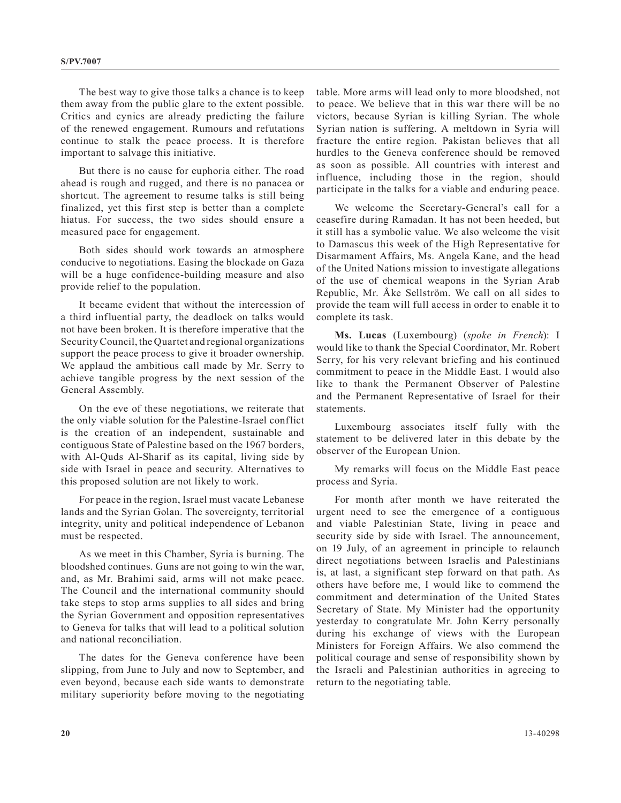The best way to give those talks a chance is to keep them away from the public glare to the extent possible. Critics and cynics are already predicting the failure of the renewed engagement. Rumours and refutations continue to stalk the peace process. It is therefore important to salvage this initiative.

But there is no cause for euphoria either. The road ahead is rough and rugged, and there is no panacea or shortcut. The agreement to resume talks is still being finalized, yet this first step is better than a complete hiatus. For success, the two sides should ensure a measured pace for engagement.

Both sides should work towards an atmosphere conducive to negotiations. Easing the blockade on Gaza will be a huge confidence-building measure and also provide relief to the population.

It became evident that without the intercession of a third influential party, the deadlock on talks would not have been broken. It is therefore imperative that the Security Council, the Quartet and regional organizations support the peace process to give it broader ownership. We applaud the ambitious call made by Mr. Serry to achieve tangible progress by the next session of the General Assembly.

On the eve of these negotiations, we reiterate that the only viable solution for the Palestine-Israel conflict is the creation of an independent, sustainable and contiguous State of Palestine based on the 1967 borders, with Al-Quds Al-Sharif as its capital, living side by side with Israel in peace and security. Alternatives to this proposed solution are not likely to work.

For peace in the region, Israel must vacate Lebanese lands and the Syrian Golan. The sovereignty, territorial integrity, unity and political independence of Lebanon must be respected.

As we meet in this Chamber, Syria is burning. The bloodshed continues. Guns are not going to win the war, and, as Mr. Brahimi said, arms will not make peace. The Council and the international community should take steps to stop arms supplies to all sides and bring the Syrian Government and opposition representatives to Geneva for talks that will lead to a political solution and national reconciliation.

The dates for the Geneva conference have been slipping, from June to July and now to September, and even beyond, because each side wants to demonstrate military superiority before moving to the negotiating table. More arms will lead only to more bloodshed, not to peace. We believe that in this war there will be no victors, because Syrian is killing Syrian. The whole Syrian nation is suffering. A meltdown in Syria will fracture the entire region. Pakistan believes that all hurdles to the Geneva conference should be removed as soon as possible. All countries with interest and influence, including those in the region, should participate in the talks for a viable and enduring peace.

We welcome the Secretary-General's call for a ceasefire during Ramadan. It has not been heeded, but it still has a symbolic value. We also welcome the visit to Damascus this week of the High Representative for Disarmament Affairs, Ms. Angela Kane, and the head of the United Nations mission to investigate allegations of the use of chemical weapons in the Syrian Arab Republic, Mr. Åke Sellström. We call on all sides to provide the team will full access in order to enable it to complete its task.

**Ms. Lucas** (Luxembourg) (*spoke in French*): I would like to thank the Special Coordinator, Mr. Robert Serry, for his very relevant briefing and his continued commitment to peace in the Middle East. I would also like to thank the Permanent Observer of Palestine and the Permanent Representative of Israel for their statements.

Luxembourg associates itself fully with the statement to be delivered later in this debate by the observer of the European Union.

My remarks will focus on the Middle East peace process and Syria.

For month after month we have reiterated the urgent need to see the emergence of a contiguous and viable Palestinian State, living in peace and security side by side with Israel. The announcement, on 19 July, of an agreement in principle to relaunch direct negotiations between Israelis and Palestinians is, at last, a significant step forward on that path. As others have before me, I would like to commend the commitment and determination of the United States Secretary of State. My Minister had the opportunity yesterday to congratulate Mr. John Kerry personally during his exchange of views with the European Ministers for Foreign Affairs. We also commend the political courage and sense of responsibility shown by the Israeli and Palestinian authorities in agreeing to return to the negotiating table.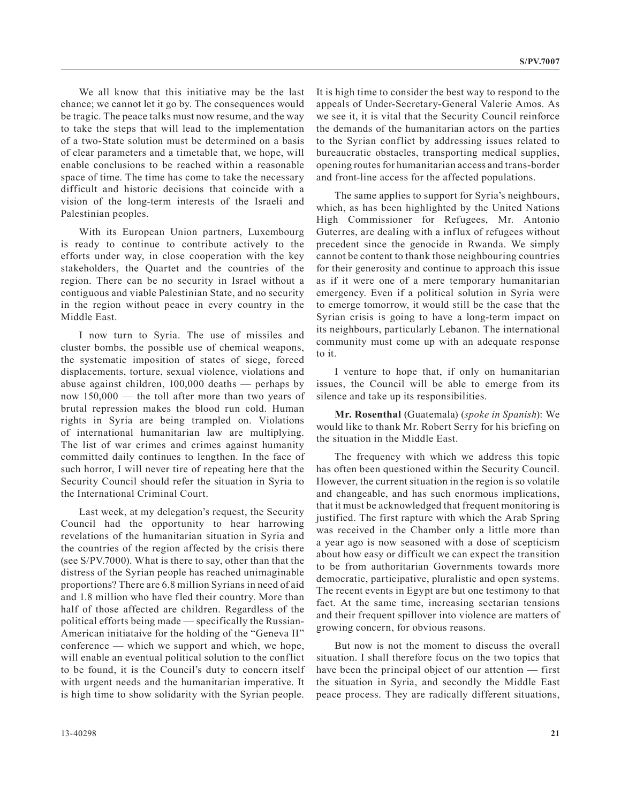We all know that this initiative may be the last chance; we cannot let it go by. The consequences would be tragic. The peace talks must now resume, and the way to take the steps that will lead to the implementation of a two-State solution must be determined on a basis of clear parameters and a timetable that, we hope, will enable conclusions to be reached within a reasonable space of time. The time has come to take the necessary difficult and historic decisions that coincide with a vision of the long-term interests of the Israeli and Palestinian peoples.

With its European Union partners, Luxembourg is ready to continue to contribute actively to the efforts under way, in close cooperation with the key stakeholders, the Quartet and the countries of the region. There can be no security in Israel without a contiguous and viable Palestinian State, and no security in the region without peace in every country in the Middle East.

I now turn to Syria. The use of missiles and cluster bombs, the possible use of chemical weapons, the systematic imposition of states of siege, forced displacements, torture, sexual violence, violations and abuse against children, 100,000 deaths — perhaps by now 150,000 — the toll after more than two years of brutal repression makes the blood run cold. Human rights in Syria are being trampled on. Violations of international humanitarian law are multiplying. The list of war crimes and crimes against humanity committed daily continues to lengthen. In the face of such horror, I will never tire of repeating here that the Security Council should refer the situation in Syria to the International Criminal Court.

Last week, at my delegation's request, the Security Council had the opportunity to hear harrowing revelations of the humanitarian situation in Syria and the countries of the region affected by the crisis there (see S/PV.7000). What is there to say, other than that the distress of the Syrian people has reached unimaginable proportions? There are 6.8 million Syrians in need of aid and 1.8 million who have fled their country. More than half of those affected are children. Regardless of the political efforts being made — specifically the Russian-American initiataive for the holding of the "Geneva II" conference — which we support and which, we hope, will enable an eventual political solution to the conflict to be found, it is the Council's duty to concern itself with urgent needs and the humanitarian imperative. It is high time to show solidarity with the Syrian people.

It is high time to consider the best way to respond to the appeals of Under-Secretary-General Valerie Amos. As we see it, it is vital that the Security Council reinforce the demands of the humanitarian actors on the parties to the Syrian conflict by addressing issues related to bureaucratic obstacles, transporting medical supplies, opening routes for humanitarian access and trans-border and front-line access for the affected populations.

The same applies to support for Syria's neighbours, which, as has been highlighted by the United Nations High Commissioner for Refugees, Mr. Antonio Guterres, are dealing with a influx of refugees without precedent since the genocide in Rwanda. We simply cannot be content to thank those neighbouring countries for their generosity and continue to approach this issue as if it were one of a mere temporary humanitarian emergency. Even if a political solution in Syria were to emerge tomorrow, it would still be the case that the Syrian crisis is going to have a long-term impact on its neighbours, particularly Lebanon. The international community must come up with an adequate response to it.

I venture to hope that, if only on humanitarian issues, the Council will be able to emerge from its silence and take up its responsibilities.

**Mr. Rosenthal** (Guatemala) (*spoke in Spanish*): We would like to thank Mr. Robert Serry for his briefing on the situation in the Middle East.

The frequency with which we address this topic has often been questioned within the Security Council. However, the current situation in the region is so volatile and changeable, and has such enormous implications, that it must be acknowledged that frequent monitoring is justified. The first rapture with which the Arab Spring was received in the Chamber only a little more than a year ago is now seasoned with a dose of scepticism about how easy or difficult we can expect the transition to be from authoritarian Governments towards more democratic, participative, pluralistic and open systems. The recent events in Egypt are but one testimony to that fact. At the same time, increasing sectarian tensions and their frequent spillover into violence are matters of growing concern, for obvious reasons.

But now is not the moment to discuss the overall situation. I shall therefore focus on the two topics that have been the principal object of our attention — first the situation in Syria, and secondly the Middle East peace process. They are radically different situations,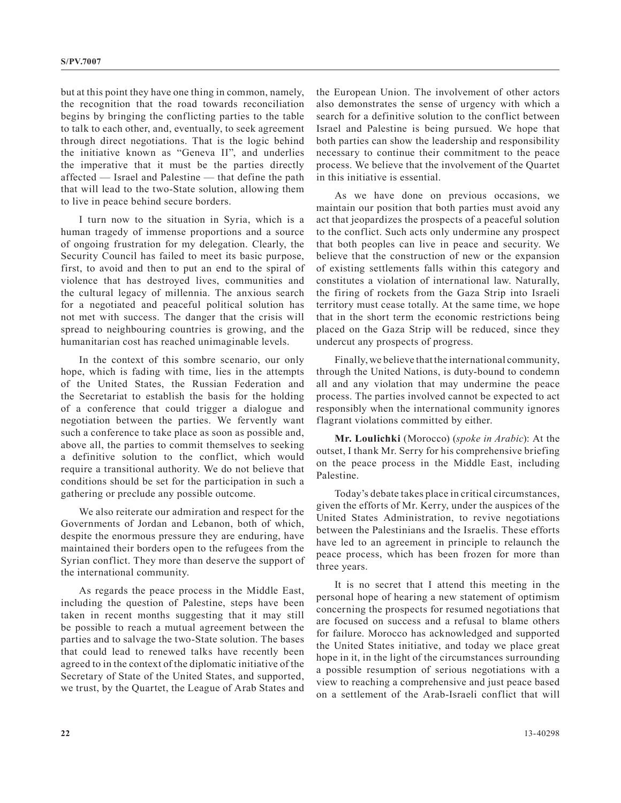but at this point they have one thing in common, namely, the recognition that the road towards reconciliation begins by bringing the conflicting parties to the table to talk to each other, and, eventually, to seek agreement through direct negotiations. That is the logic behind the initiative known as "Geneva II", and underlies the imperative that it must be the parties directly affected — Israel and Palestine — that define the path that will lead to the two-State solution, allowing them to live in peace behind secure borders.

I turn now to the situation in Syria, which is a human tragedy of immense proportions and a source of ongoing frustration for my delegation. Clearly, the Security Council has failed to meet its basic purpose, first, to avoid and then to put an end to the spiral of violence that has destroyed lives, communities and the cultural legacy of millennia. The anxious search for a negotiated and peaceful political solution has not met with success. The danger that the crisis will spread to neighbouring countries is growing, and the humanitarian cost has reached unimaginable levels.

In the context of this sombre scenario, our only hope, which is fading with time, lies in the attempts of the United States, the Russian Federation and the Secretariat to establish the basis for the holding of a conference that could trigger a dialogue and negotiation between the parties. We fervently want such a conference to take place as soon as possible and, above all, the parties to commit themselves to seeking a definitive solution to the conflict, which would require a transitional authority. We do not believe that conditions should be set for the participation in such a gathering or preclude any possible outcome.

We also reiterate our admiration and respect for the Governments of Jordan and Lebanon, both of which, despite the enormous pressure they are enduring, have maintained their borders open to the refugees from the Syrian conflict. They more than deserve the support of the international community.

As regards the peace process in the Middle East, including the question of Palestine, steps have been taken in recent months suggesting that it may still be possible to reach a mutual agreement between the parties and to salvage the two-State solution. The bases that could lead to renewed talks have recently been agreed to in the context of the diplomatic initiative of the Secretary of State of the United States, and supported, we trust, by the Quartet, the League of Arab States and the European Union. The involvement of other actors also demonstrates the sense of urgency with which a search for a definitive solution to the conflict between Israel and Palestine is being pursued. We hope that both parties can show the leadership and responsibility necessary to continue their commitment to the peace process. We believe that the involvement of the Quartet in this initiative is essential.

As we have done on previous occasions, we maintain our position that both parties must avoid any act that jeopardizes the prospects of a peaceful solution to the conflict. Such acts only undermine any prospect that both peoples can live in peace and security. We believe that the construction of new or the expansion of existing settlements falls within this category and constitutes a violation of international law. Naturally, the firing of rockets from the Gaza Strip into Israeli territory must cease totally. At the same time, we hope that in the short term the economic restrictions being placed on the Gaza Strip will be reduced, since they undercut any prospects of progress.

Finally, we believe that the international community, through the United Nations, is duty-bound to condemn all and any violation that may undermine the peace process. The parties involved cannot be expected to act responsibly when the international community ignores flagrant violations committed by either.

**Mr. Loulichki** (Morocco) (*spoke in Arabic*): At the outset, I thank Mr. Serry for his comprehensive briefing on the peace process in the Middle East, including Palestine.

Today's debate takes place in critical circumstances, given the efforts of Mr. Kerry, under the auspices of the United States Administration, to revive negotiations between the Palestinians and the Israelis. These efforts have led to an agreement in principle to relaunch the peace process, which has been frozen for more than three years.

It is no secret that I attend this meeting in the personal hope of hearing a new statement of optimism concerning the prospects for resumed negotiations that are focused on success and a refusal to blame others for failure. Morocco has acknowledged and supported the United States initiative, and today we place great hope in it, in the light of the circumstances surrounding a possible resumption of serious negotiations with a view to reaching a comprehensive and just peace based on a settlement of the Arab-Israeli conflict that will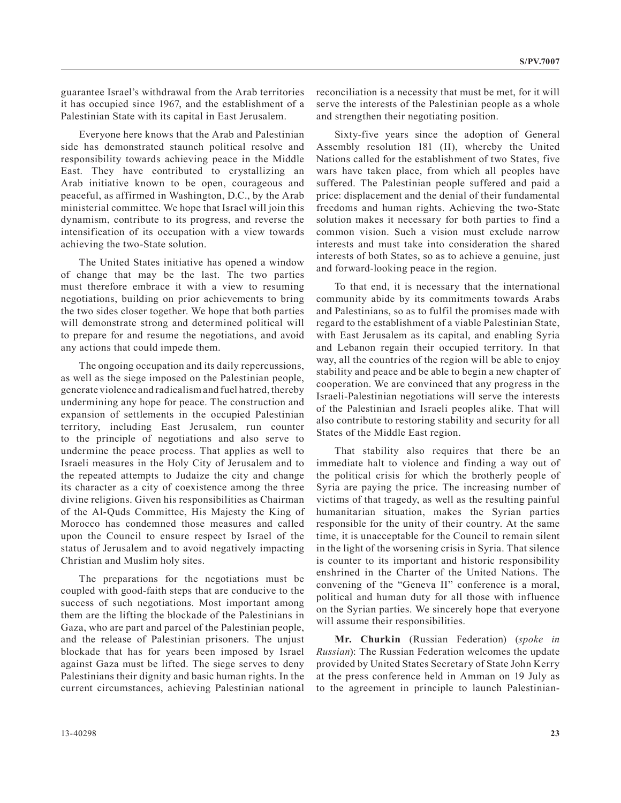guarantee Israel's withdrawal from the Arab territories it has occupied since 1967, and the establishment of a Palestinian State with its capital in East Jerusalem.

Everyone here knows that the Arab and Palestinian side has demonstrated staunch political resolve and responsibility towards achieving peace in the Middle East. They have contributed to crystallizing an Arab initiative known to be open, courageous and peaceful, as affirmed in Washington, D.C., by the Arab ministerial committee. We hope that Israel will join this dynamism, contribute to its progress, and reverse the intensification of its occupation with a view towards achieving the two-State solution.

The United States initiative has opened a window of change that may be the last. The two parties must therefore embrace it with a view to resuming negotiations, building on prior achievements to bring the two sides closer together. We hope that both parties will demonstrate strong and determined political will to prepare for and resume the negotiations, and avoid any actions that could impede them.

The ongoing occupation and its daily repercussions, as well as the siege imposed on the Palestinian people, generate violence and radicalism and fuel hatred, thereby undermining any hope for peace. The construction and expansion of settlements in the occupied Palestinian territory, including East Jerusalem, run counter to the principle of negotiations and also serve to undermine the peace process. That applies as well to Israeli measures in the Holy City of Jerusalem and to the repeated attempts to Judaize the city and change its character as a city of coexistence among the three divine religions. Given his responsibilities as Chairman of the Al-Quds Committee, His Majesty the King of Morocco has condemned those measures and called upon the Council to ensure respect by Israel of the status of Jerusalem and to avoid negatively impacting Christian and Muslim holy sites.

The preparations for the negotiations must be coupled with good-faith steps that are conducive to the success of such negotiations. Most important among them are the lifting the blockade of the Palestinians in Gaza, who are part and parcel of the Palestinian people, and the release of Palestinian prisoners. The unjust blockade that has for years been imposed by Israel against Gaza must be lifted. The siege serves to deny Palestinians their dignity and basic human rights. In the current circumstances, achieving Palestinian national

reconciliation is a necessity that must be met, for it will serve the interests of the Palestinian people as a whole and strengthen their negotiating position.

Sixty-five years since the adoption of General Assembly resolution 181 (II), whereby the United Nations called for the establishment of two States, five wars have taken place, from which all peoples have suffered. The Palestinian people suffered and paid a price: displacement and the denial of their fundamental freedoms and human rights. Achieving the two-State solution makes it necessary for both parties to find a common vision. Such a vision must exclude narrow interests and must take into consideration the shared interests of both States, so as to achieve a genuine, just and forward-looking peace in the region.

To that end, it is necessary that the international community abide by its commitments towards Arabs and Palestinians, so as to fulfil the promises made with regard to the establishment of a viable Palestinian State, with East Jerusalem as its capital, and enabling Syria and Lebanon regain their occupied territory. In that way, all the countries of the region will be able to enjoy stability and peace and be able to begin a new chapter of cooperation. We are convinced that any progress in the Israeli-Palestinian negotiations will serve the interests of the Palestinian and Israeli peoples alike. That will also contribute to restoring stability and security for all States of the Middle East region.

That stability also requires that there be an immediate halt to violence and finding a way out of the political crisis for which the brotherly people of Syria are paying the price. The increasing number of victims of that tragedy, as well as the resulting painful humanitarian situation, makes the Syrian parties responsible for the unity of their country. At the same time, it is unacceptable for the Council to remain silent in the light of the worsening crisis in Syria. That silence is counter to its important and historic responsibility enshrined in the Charter of the United Nations. The convening of the "Geneva II" conference is a moral, political and human duty for all those with influence on the Syrian parties. We sincerely hope that everyone will assume their responsibilities.

**Mr. Churkin** (Russian Federation) (*spoke in Russian*): The Russian Federation welcomes the update provided by United States Secretary of State John Kerry at the press conference held in Amman on 19 July as to the agreement in principle to launch Palestinian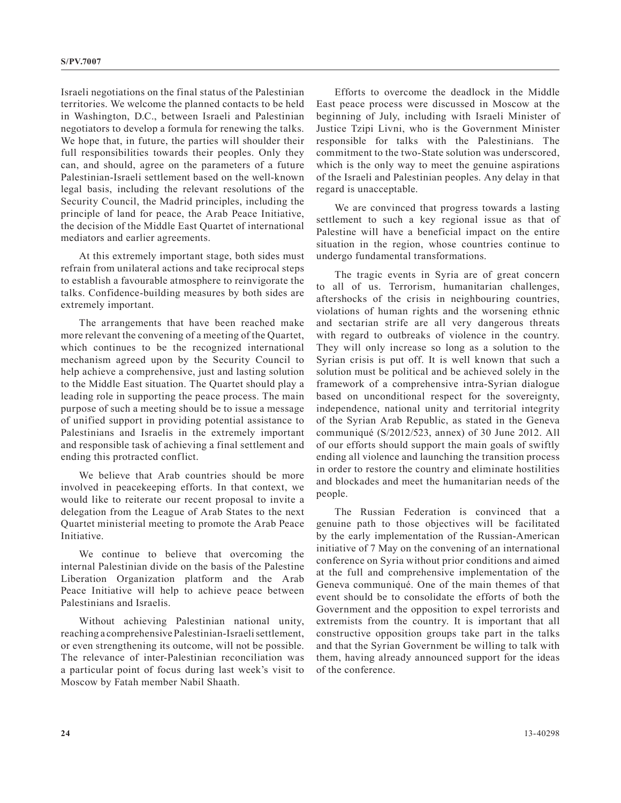Israeli negotiations on the final status of the Palestinian territories. We welcome the planned contacts to be held in Washington, D.C., between Israeli and Palestinian negotiators to develop a formula for renewing the talks. We hope that, in future, the parties will shoulder their full responsibilities towards their peoples. Only they can, and should, agree on the parameters of a future Palestinian-Israeli settlement based on the well-known legal basis, including the relevant resolutions of the Security Council, the Madrid principles, including the principle of land for peace, the Arab Peace Initiative, the decision of the Middle East Quartet of international mediators and earlier agreements.

At this extremely important stage, both sides must refrain from unilateral actions and take reciprocal steps to establish a favourable atmosphere to reinvigorate the talks. Confidence-building measures by both sides are extremely important.

The arrangements that have been reached make more relevant the convening of a meeting of the Quartet, which continues to be the recognized international mechanism agreed upon by the Security Council to help achieve a comprehensive, just and lasting solution to the Middle East situation. The Quartet should play a leading role in supporting the peace process. The main purpose of such a meeting should be to issue a message of unified support in providing potential assistance to Palestinians and Israelis in the extremely important and responsible task of achieving a final settlement and ending this protracted conflict.

We believe that Arab countries should be more involved in peacekeeping efforts. In that context, we would like to reiterate our recent proposal to invite a delegation from the League of Arab States to the next Quartet ministerial meeting to promote the Arab Peace Initiative.

We continue to believe that overcoming the internal Palestinian divide on the basis of the Palestine Liberation Organization platform and the Arab Peace Initiative will help to achieve peace between Palestinians and Israelis.

Without achieving Palestinian national unity, reaching a comprehensive Palestinian-Israeli settlement, or even strengthening its outcome, will not be possible. The relevance of inter-Palestinian reconciliation was a particular point of focus during last week's visit to Moscow by Fatah member Nabil Shaath.

Efforts to overcome the deadlock in the Middle East peace process were discussed in Moscow at the beginning of July, including with Israeli Minister of Justice Tzipi Livni, who is the Government Minister responsible for talks with the Palestinians. The commitment to the two-State solution was underscored, which is the only way to meet the genuine aspirations of the Israeli and Palestinian peoples. Any delay in that regard is unacceptable.

We are convinced that progress towards a lasting settlement to such a key regional issue as that of Palestine will have a beneficial impact on the entire situation in the region, whose countries continue to undergo fundamental transformations.

The tragic events in Syria are of great concern to all of us. Terrorism, humanitarian challenges, aftershocks of the crisis in neighbouring countries, violations of human rights and the worsening ethnic and sectarian strife are all very dangerous threats with regard to outbreaks of violence in the country. They will only increase so long as a solution to the Syrian crisis is put off. It is well known that such a solution must be political and be achieved solely in the framework of a comprehensive intra-Syrian dialogue based on unconditional respect for the sovereignty, independence, national unity and territorial integrity of the Syrian Arab Republic, as stated in the Geneva communiqué (S/2012/523, annex) of 30 June 2012. All of our efforts should support the main goals of swiftly ending all violence and launching the transition process in order to restore the country and eliminate hostilities and blockades and meet the humanitarian needs of the people.

The Russian Federation is convinced that a genuine path to those objectives will be facilitated by the early implementation of the Russian-American initiative of 7 May on the convening of an international conference on Syria without prior conditions and aimed at the full and comprehensive implementation of the Geneva communiqué. One of the main themes of that event should be to consolidate the efforts of both the Government and the opposition to expel terrorists and extremists from the country. It is important that all constructive opposition groups take part in the talks and that the Syrian Government be willing to talk with them, having already announced support for the ideas of the conference.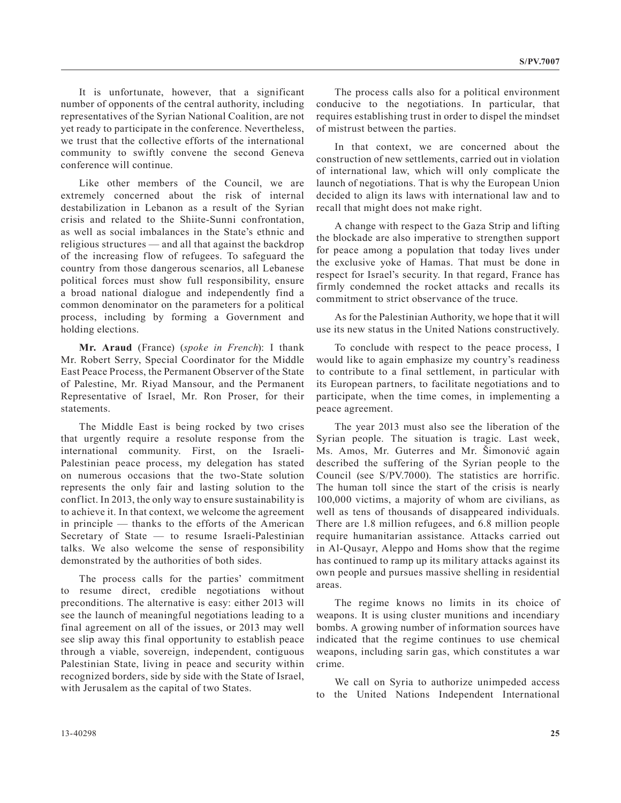It is unfortunate, however, that a significant number of opponents of the central authority, including representatives of the Syrian National Coalition, are not yet ready to participate in the conference. Nevertheless, we trust that the collective efforts of the international community to swiftly convene the second Geneva conference will continue.

Like other members of the Council, we are extremely concerned about the risk of internal destabilization in Lebanon as a result of the Syrian crisis and related to the Shiite-Sunni confrontation, as well as social imbalances in the State's ethnic and religious structures — and all that against the backdrop of the increasing flow of refugees. To safeguard the country from those dangerous scenarios, all Lebanese political forces must show full responsibility, ensure a broad national dialogue and independently find a common denominator on the parameters for a political process, including by forming a Government and holding elections.

**Mr. Araud** (France) (*spoke in French*): I thank Mr. Robert Serry, Special Coordinator for the Middle East Peace Process, the Permanent Observer of the State of Palestine, Mr. Riyad Mansour, and the Permanent Representative of Israel, Mr. Ron Proser, for their statements.

The Middle East is being rocked by two crises that urgently require a resolute response from the international community. First, on the Israeli-Palestinian peace process, my delegation has stated on numerous occasions that the two-State solution represents the only fair and lasting solution to the conflict. In 2013, the only way to ensure sustainability is to achieve it. In that context, we welcome the agreement in principle — thanks to the efforts of the American Secretary of State — to resume Israeli-Palestinian talks. We also welcome the sense of responsibility demonstrated by the authorities of both sides.

The process calls for the parties' commitment to resume direct, credible negotiations without preconditions. The alternative is easy: either 2013 will see the launch of meaningful negotiations leading to a final agreement on all of the issues, or 2013 may well see slip away this final opportunity to establish peace through a viable, sovereign, independent, contiguous Palestinian State, living in peace and security within recognized borders, side by side with the State of Israel, with Jerusalem as the capital of two States.

The process calls also for a political environment conducive to the negotiations. In particular, that requires establishing trust in order to dispel the mindset of mistrust between the parties.

In that context, we are concerned about the construction of new settlements, carried out in violation of international law, which will only complicate the launch of negotiations. That is why the European Union decided to align its laws with international law and to recall that might does not make right.

A change with respect to the Gaza Strip and lifting the blockade are also imperative to strengthen support for peace among a population that today lives under the exclusive yoke of Hamas. That must be done in respect for Israel's security. In that regard, France has firmly condemned the rocket attacks and recalls its commitment to strict observance of the truce.

As for the Palestinian Authority, we hope that it will use its new status in the United Nations constructively.

To conclude with respect to the peace process, I would like to again emphasize my country's readiness to contribute to a final settlement, in particular with its European partners, to facilitate negotiations and to participate, when the time comes, in implementing a peace agreement.

The year 2013 must also see the liberation of the Syrian people. The situation is tragic. Last week, Ms. Amos, Mr. Guterres and Mr. Šimonović again described the suffering of the Syrian people to the Council (see S/PV.7000). The statistics are horrific. The human toll since the start of the crisis is nearly 100,000 victims, a majority of whom are civilians, as well as tens of thousands of disappeared individuals. There are 1.8 million refugees, and 6.8 million people require humanitarian assistance. Attacks carried out in Al-Qusayr, Aleppo and Homs show that the regime has continued to ramp up its military attacks against its own people and pursues massive shelling in residential areas.

The regime knows no limits in its choice of weapons. It is using cluster munitions and incendiary bombs. A growing number of information sources have indicated that the regime continues to use chemical weapons, including sarin gas, which constitutes a war crime.

We call on Syria to authorize unimpeded access to the United Nations Independent International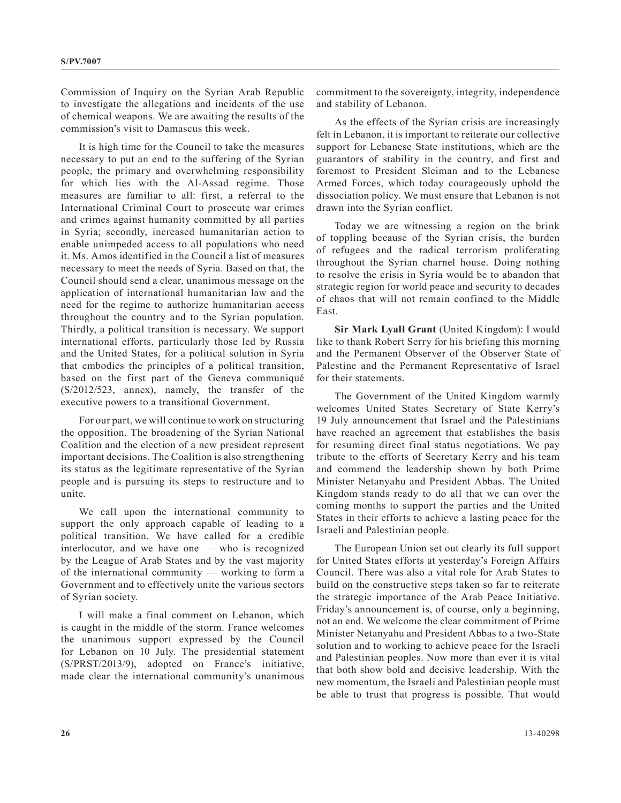Commission of Inquiry on the Syrian Arab Republic to investigate the allegations and incidents of the use of chemical weapons. We are awaiting the results of the commission's visit to Damascus this week.

It is high time for the Council to take the measures necessary to put an end to the suffering of the Syrian people, the primary and overwhelming responsibility for which lies with the Al-Assad regime. Those measures are familiar to all: first, a referral to the International Criminal Court to prosecute war crimes and crimes against humanity committed by all parties in Syria; secondly, increased humanitarian action to enable unimpeded access to all populations who need it. Ms. Amos identified in the Council a list of measures necessary to meet the needs of Syria. Based on that, the Council should send a clear, unanimous message on the application of international humanitarian law and the need for the regime to authorize humanitarian access throughout the country and to the Syrian population. Thirdly, a political transition is necessary. We support international efforts, particularly those led by Russia and the United States, for a political solution in Syria that embodies the principles of a political transition, based on the first part of the Geneva communiqué (S/2012/523, annex), namely, the transfer of the executive powers to a transitional Government.

For our part, we will continue to work on structuring the opposition. The broadening of the Syrian National Coalition and the election of a new president represent important decisions. The Coalition is also strengthening its status as the legitimate representative of the Syrian people and is pursuing its steps to restructure and to unite.

We call upon the international community to support the only approach capable of leading to a political transition. We have called for a credible interlocutor, and we have one — who is recognized by the League of Arab States and by the vast majority of the international community — working to form a Government and to effectively unite the various sectors of Syrian society.

I will make a final comment on Lebanon, which is caught in the middle of the storm. France welcomes the unanimous support expressed by the Council for Lebanon on 10 July. The presidential statement (S/PRST/2013/9), adopted on France's initiative, made clear the international community's unanimous

commitment to the sovereignty, integrity, independence and stability of Lebanon.

As the effects of the Syrian crisis are increasingly felt in Lebanon, it is important to reiterate our collective support for Lebanese State institutions, which are the guarantors of stability in the country, and first and foremost to President Sleiman and to the Lebanese Armed Forces, which today courageously uphold the dissociation policy. We must ensure that Lebanon is not drawn into the Syrian conflict.

Today we are witnessing a region on the brink of toppling because of the Syrian crisis, the burden of refugees and the radical terrorism proliferating throughout the Syrian charnel house. Doing nothing to resolve the crisis in Syria would be to abandon that strategic region for world peace and security to decades of chaos that will not remain confined to the Middle East.

**Sir Mark Lyall Grant** (United Kingdom): I would like to thank Robert Serry for his briefing this morning and the Permanent Observer of the Observer State of Palestine and the Permanent Representative of Israel for their statements.

The Government of the United Kingdom warmly welcomes United States Secretary of State Kerry's 19 July announcement that Israel and the Palestinians have reached an agreement that establishes the basis for resuming direct final status negotiations. We pay tribute to the efforts of Secretary Kerry and his team and commend the leadership shown by both Prime Minister Netanyahu and President Abbas. The United Kingdom stands ready to do all that we can over the coming months to support the parties and the United States in their efforts to achieve a lasting peace for the Israeli and Palestinian people.

The European Union set out clearly its full support for United States efforts at yesterday's Foreign Affairs Council. There was also a vital role for Arab States to build on the constructive steps taken so far to reiterate the strategic importance of the Arab Peace Initiative. Friday's announcement is, of course, only a beginning, not an end. We welcome the clear commitment of Prime Minister Netanyahu and President Abbas to a two-State solution and to working to achieve peace for the Israeli and Palestinian peoples. Now more than ever it is vital that both show bold and decisive leadership. With the new momentum, the Israeli and Palestinian people must be able to trust that progress is possible. That would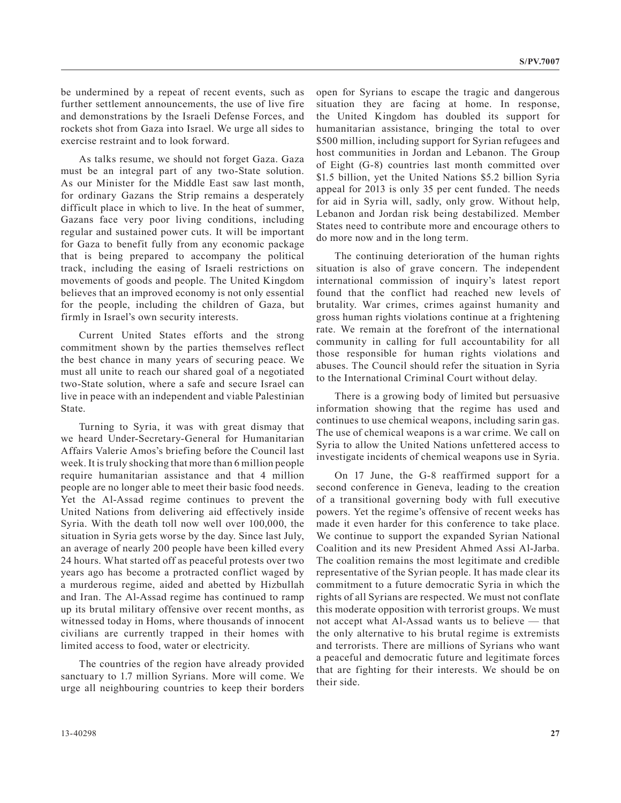be undermined by a repeat of recent events, such as further settlement announcements, the use of live fire and demonstrations by the Israeli Defense Forces, and rockets shot from Gaza into Israel. We urge all sides to exercise restraint and to look forward.

As talks resume, we should not forget Gaza. Gaza must be an integral part of any two-State solution. As our Minister for the Middle East saw last month, for ordinary Gazans the Strip remains a desperately difficult place in which to live. In the heat of summer, Gazans face very poor living conditions, including regular and sustained power cuts. It will be important for Gaza to benefit fully from any economic package that is being prepared to accompany the political track, including the easing of Israeli restrictions on movements of goods and people. The United Kingdom believes that an improved economy is not only essential for the people, including the children of Gaza, but firmly in Israel's own security interests.

Current United States efforts and the strong commitment shown by the parties themselves reflect the best chance in many years of securing peace. We must all unite to reach our shared goal of a negotiated two-State solution, where a safe and secure Israel can live in peace with an independent and viable Palestinian State.

Turning to Syria, it was with great dismay that we heard Under-Secretary-General for Humanitarian Affairs Valerie Amos's briefing before the Council last week. It is truly shocking that more than 6 million people require humanitarian assistance and that 4 million people are no longer able to meet their basic food needs. Yet the Al-Assad regime continues to prevent the United Nations from delivering aid effectively inside Syria. With the death toll now well over 100,000, the situation in Syria gets worse by the day. Since last July, an average of nearly 200 people have been killed every 24 hours. What started off as peaceful protests over two years ago has become a protracted conflict waged by a murderous regime, aided and abetted by Hizbullah and Iran. The Al-Assad regime has continued to ramp up its brutal military offensive over recent months, as witnessed today in Homs, where thousands of innocent civilians are currently trapped in their homes with limited access to food, water or electricity.

The countries of the region have already provided sanctuary to 1.7 million Syrians. More will come. We urge all neighbouring countries to keep their borders open for Syrians to escape the tragic and dangerous situation they are facing at home. In response, the United Kingdom has doubled its support for humanitarian assistance, bringing the total to over \$500 million, including support for Syrian refugees and host communities in Jordan and Lebanon. The Group of Eight (G-8) countries last month committed over \$1.5 billion, yet the United Nations \$5.2 billion Syria appeal for 2013 is only 35 per cent funded. The needs for aid in Syria will, sadly, only grow. Without help, Lebanon and Jordan risk being destabilized. Member States need to contribute more and encourage others to do more now and in the long term.

The continuing deterioration of the human rights situation is also of grave concern. The independent international commission of inquiry's latest report found that the conflict had reached new levels of brutality. War crimes, crimes against humanity and gross human rights violations continue at a frightening rate. We remain at the forefront of the international community in calling for full accountability for all those responsible for human rights violations and abuses. The Council should refer the situation in Syria to the International Criminal Court without delay.

There is a growing body of limited but persuasive information showing that the regime has used and continues to use chemical weapons, including sarin gas. The use of chemical weapons is a war crime. We call on Syria to allow the United Nations unfettered access to investigate incidents of chemical weapons use in Syria.

On 17 June, the G-8 reaffirmed support for a second conference in Geneva, leading to the creation of a transitional governing body with full executive powers. Yet the regime's offensive of recent weeks has made it even harder for this conference to take place. We continue to support the expanded Syrian National Coalition and its new President Ahmed Assi Al-Jarba. The coalition remains the most legitimate and credible representative of the Syrian people. It has made clear its commitment to a future democratic Syria in which the rights of all Syrians are respected. We must not conflate this moderate opposition with terrorist groups. We must not accept what Al-Assad wants us to believe — that the only alternative to his brutal regime is extremists and terrorists. There are millions of Syrians who want a peaceful and democratic future and legitimate forces that are fighting for their interests. We should be on their side.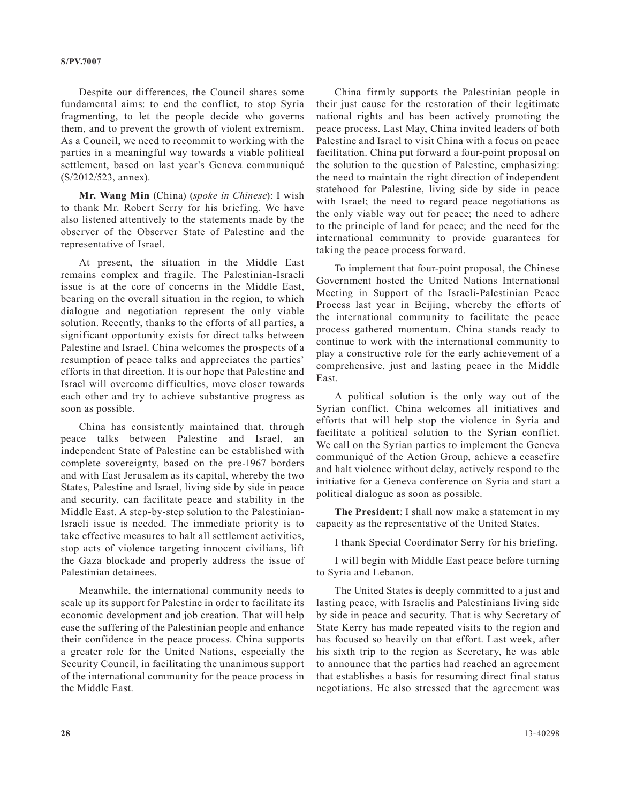Despite our differences, the Council shares some fundamental aims: to end the conflict, to stop Syria fragmenting, to let the people decide who governs them, and to prevent the growth of violent extremism. As a Council, we need to recommit to working with the parties in a meaningful way towards a viable political settlement, based on last year's Geneva communiqué (S/2012/523, annex).

**Mr. Wang Min** (China) (*spoke in Chinese*): I wish to thank Mr. Robert Serry for his briefing. We have also listened attentively to the statements made by the observer of the Observer State of Palestine and the representative of Israel.

At present, the situation in the Middle East remains complex and fragile. The Palestinian-Israeli issue is at the core of concerns in the Middle East, bearing on the overall situation in the region, to which dialogue and negotiation represent the only viable solution. Recently, thanks to the efforts of all parties, a significant opportunity exists for direct talks between Palestine and Israel. China welcomes the prospects of a resumption of peace talks and appreciates the parties' efforts in that direction. It is our hope that Palestine and Israel will overcome difficulties, move closer towards each other and try to achieve substantive progress as soon as possible.

China has consistently maintained that, through peace talks between Palestine and Israel, independent State of Palestine can be established with complete sovereignty, based on the pre-1967 borders and with East Jerusalem as its capital, whereby the two States, Palestine and Israel, living side by side in peace and security, can facilitate peace and stability in the Middle East. A step-by-step solution to the Palestinian-Israeli issue is needed. The immediate priority is to take effective measures to halt all settlement activities, stop acts of violence targeting innocent civilians, lift the Gaza blockade and properly address the issue of Palestinian detainees.

Meanwhile, the international community needs to scale up its support for Palestine in order to facilitate its economic development and job creation. That will help ease the suffering of the Palestinian people and enhance their confidence in the peace process. China supports a greater role for the United Nations, especially the Security Council, in facilitating the unanimous support of the international community for the peace process in the Middle East.

China firmly supports the Palestinian people in their just cause for the restoration of their legitimate national rights and has been actively promoting the peace process. Last May, China invited leaders of both Palestine and Israel to visit China with a focus on peace facilitation. China put forward a four-point proposal on the solution to the question of Palestine, emphasizing: the need to maintain the right direction of independent statehood for Palestine, living side by side in peace with Israel; the need to regard peace negotiations as the only viable way out for peace; the need to adhere to the principle of land for peace; and the need for the international community to provide guarantees for taking the peace process forward.

To implement that four-point proposal, the Chinese Government hosted the United Nations International Meeting in Support of the Israeli-Palestinian Peace Process last year in Beijing, whereby the efforts of the international community to facilitate the peace process gathered momentum. China stands ready to continue to work with the international community to play a constructive role for the early achievement of a comprehensive, just and lasting peace in the Middle East.

A political solution is the only way out of the Syrian conflict. China welcomes all initiatives and efforts that will help stop the violence in Syria and facilitate a political solution to the Syrian conflict. We call on the Syrian parties to implement the Geneva communiqué of the Action Group, achieve a ceasefire and halt violence without delay, actively respond to the initiative for a Geneva conference on Syria and start a political dialogue as soon as possible.

**The President**: I shall now make a statement in my capacity as the representative of the United States.

I thank Special Coordinator Serry for his briefing.

I will begin with Middle East peace before turning to Syria and Lebanon.

The United States is deeply committed to a just and lasting peace, with Israelis and Palestinians living side by side in peace and security. That is why Secretary of State Kerry has made repeated visits to the region and has focused so heavily on that effort. Last week, after his sixth trip to the region as Secretary, he was able to announce that the parties had reached an agreement that establishes a basis for resuming direct final status negotiations. He also stressed that the agreement was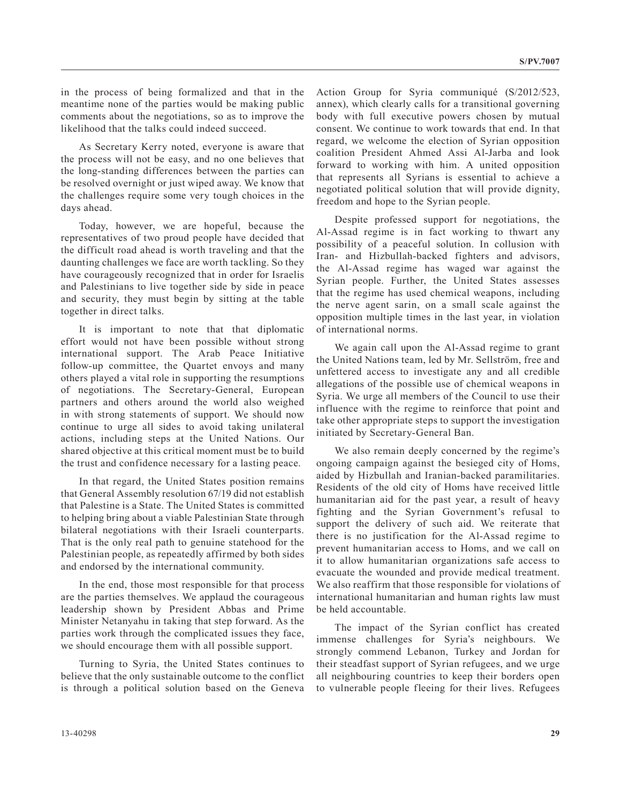in the process of being formalized and that in the meantime none of the parties would be making public comments about the negotiations, so as to improve the likelihood that the talks could indeed succeed.

As Secretary Kerry noted, everyone is aware that the process will not be easy, and no one believes that the long-standing differences between the parties can be resolved overnight or just wiped away. We know that the challenges require some very tough choices in the days ahead.

Today, however, we are hopeful, because the representatives of two proud people have decided that the difficult road ahead is worth traveling and that the daunting challenges we face are worth tackling. So they have courageously recognized that in order for Israelis and Palestinians to live together side by side in peace and security, they must begin by sitting at the table together in direct talks.

It is important to note that that diplomatic effort would not have been possible without strong international support. The Arab Peace Initiative follow-up committee, the Quartet envoys and many others played a vital role in supporting the resumptions of negotiations. The Secretary-General, European partners and others around the world also weighed in with strong statements of support. We should now continue to urge all sides to avoid taking unilateral actions, including steps at the United Nations. Our shared objective at this critical moment must be to build the trust and confidence necessary for a lasting peace.

In that regard, the United States position remains that General Assembly resolution 67/19 did not establish that Palestine is a State. The United States is committed to helping bring about a viable Palestinian State through bilateral negotiations with their Israeli counterparts. That is the only real path to genuine statehood for the Palestinian people, as repeatedly affirmed by both sides and endorsed by the international community.

In the end, those most responsible for that process are the parties themselves. We applaud the courageous leadership shown by President Abbas and Prime Minister Netanyahu in taking that step forward. As the parties work through the complicated issues they face, we should encourage them with all possible support.

Turning to Syria, the United States continues to believe that the only sustainable outcome to the conflict is through a political solution based on the Geneva Action Group for Syria communiqué (S/2012/523, annex), which clearly calls for a transitional governing body with full executive powers chosen by mutual consent. We continue to work towards that end. In that regard, we welcome the election of Syrian opposition coalition President Ahmed Assi Al-Jarba and look forward to working with him. A united opposition that represents all Syrians is essential to achieve a negotiated political solution that will provide dignity, freedom and hope to the Syrian people.

Despite professed support for negotiations, the Al-Assad regime is in fact working to thwart any possibility of a peaceful solution. In collusion with Iran- and Hizbullah-backed fighters and advisors, the Al-Assad regime has waged war against the Syrian people. Further, the United States assesses that the regime has used chemical weapons, including the nerve agent sarin, on a small scale against the opposition multiple times in the last year, in violation of international norms.

We again call upon the Al-Assad regime to grant the United Nations team, led by Mr. Sellström, free and unfettered access to investigate any and all credible allegations of the possible use of chemical weapons in Syria. We urge all members of the Council to use their influence with the regime to reinforce that point and take other appropriate steps to support the investigation initiated by Secretary-General Ban.

We also remain deeply concerned by the regime's ongoing campaign against the besieged city of Homs, aided by Hizbullah and Iranian-backed paramilitaries. Residents of the old city of Homs have received little humanitarian aid for the past year, a result of heavy fighting and the Syrian Government's refusal to support the delivery of such aid. We reiterate that there is no justification for the Al-Assad regime to prevent humanitarian access to Homs, and we call on it to allow humanitarian organizations safe access to evacuate the wounded and provide medical treatment. We also reaffirm that those responsible for violations of international humanitarian and human rights law must be held accountable.

The impact of the Syrian conflict has created immense challenges for Syria's neighbours. We strongly commend Lebanon, Turkey and Jordan for their steadfast support of Syrian refugees, and we urge all neighbouring countries to keep their borders open to vulnerable people fleeing for their lives. Refugees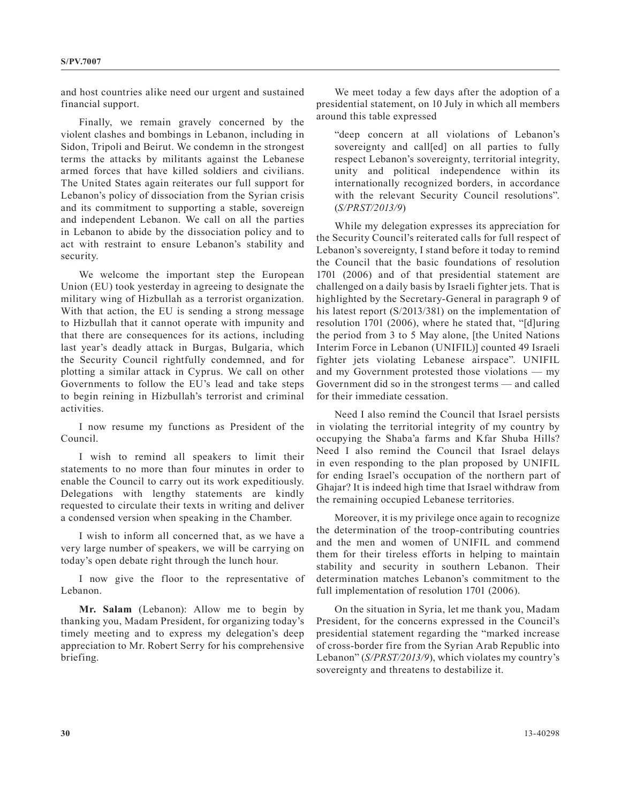and host countries alike need our urgent and sustained financial support.

Finally, we remain gravely concerned by the violent clashes and bombings in Lebanon, including in Sidon, Tripoli and Beirut. We condemn in the strongest terms the attacks by militants against the Lebanese armed forces that have killed soldiers and civilians. The United States again reiterates our full support for Lebanon's policy of dissociation from the Syrian crisis and its commitment to supporting a stable, sovereign and independent Lebanon. We call on all the parties in Lebanon to abide by the dissociation policy and to act with restraint to ensure Lebanon's stability and security.

We welcome the important step the European Union (EU) took yesterday in agreeing to designate the military wing of Hizbullah as a terrorist organization. With that action, the EU is sending a strong message to Hizbullah that it cannot operate with impunity and that there are consequences for its actions, including last year's deadly attack in Burgas, Bulgaria, which the Security Council rightfully condemned, and for plotting a similar attack in Cyprus. We call on other Governments to follow the EU's lead and take steps to begin reining in Hizbullah's terrorist and criminal activities.

I now resume my functions as President of the Council.

I wish to remind all speakers to limit their statements to no more than four minutes in order to enable the Council to carry out its work expeditiously. Delegations with lengthy statements are kindly requested to circulate their texts in writing and deliver a condensed version when speaking in the Chamber.

I wish to inform all concerned that, as we have a very large number of speakers, we will be carrying on today's open debate right through the lunch hour.

I now give the floor to the representative of Lebanon.

**Mr. Salam** (Lebanon): Allow me to begin by thanking you, Madam President, for organizing today's timely meeting and to express my delegation's deep appreciation to Mr. Robert Serry for his comprehensive briefing.

We meet today a few days after the adoption of a presidential statement, on 10 July in which all members around this table expressed

"deep concern at all violations of Lebanon's sovereignty and call[ed] on all parties to fully respect Lebanon's sovereignty, territorial integrity, unity and political independence within its internationally recognized borders, in accordance with the relevant Security Council resolutions". (*S/PRST/2013/9*)

While my delegation expresses its appreciation for the Security Council's reiterated calls for full respect of Lebanon's sovereignty, I stand before it today to remind the Council that the basic foundations of resolution 1701 (2006) and of that presidential statement are challenged on a daily basis by Israeli fighter jets. That is highlighted by the Secretary-General in paragraph 9 of his latest report (S/2013/381) on the implementation of resolution 1701 (2006), where he stated that, "[d]uring the period from 3 to 5 May alone, [the United Nations Interim Force in Lebanon (UNIFIL)] counted 49 Israeli fighter jets violating Lebanese airspace". UNIFIL and my Government protested those violations — my Government did so in the strongest terms — and called for their immediate cessation.

Need I also remind the Council that Israel persists in violating the territorial integrity of my country by occupying the Shaba'a farms and Kfar Shuba Hills? Need I also remind the Council that Israel delays in even responding to the plan proposed by UNIFIL for ending Israel's occupation of the northern part of Ghajar? It is indeed high time that Israel withdraw from the remaining occupied Lebanese territories.

Moreover, it is my privilege once again to recognize the determination of the troop-contributing countries and the men and women of UNIFIL and commend them for their tireless efforts in helping to maintain stability and security in southern Lebanon. Their determination matches Lebanon's commitment to the full implementation of resolution 1701 (2006).

On the situation in Syria, let me thank you, Madam President, for the concerns expressed in the Council's presidential statement regarding the "marked increase of cross-border fire from the Syrian Arab Republic into Lebanon" (*S/PRST/2013/9*), which violates my country's sovereignty and threatens to destabilize it.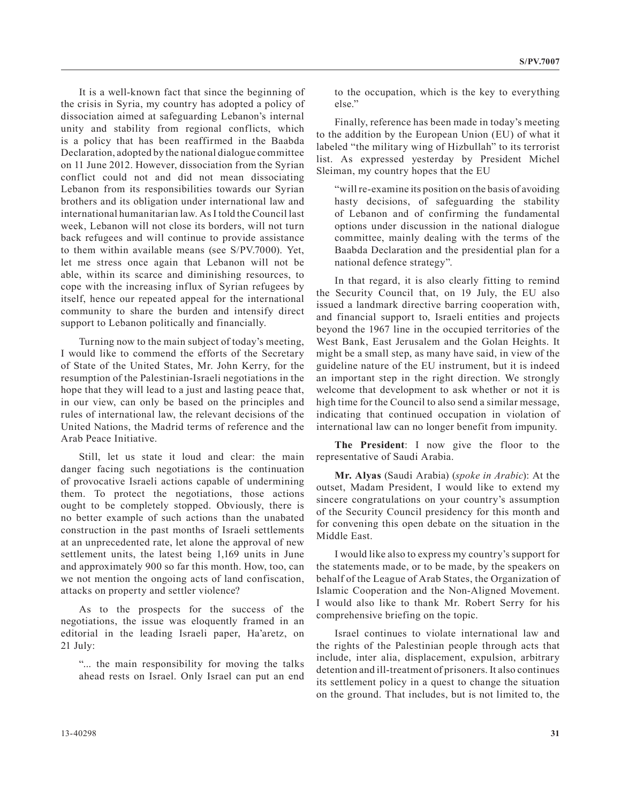It is a well-known fact that since the beginning of the crisis in Syria, my country has adopted a policy of dissociation aimed at safeguarding Lebanon's internal unity and stability from regional conflicts, which is a policy that has been reaffirmed in the Baabda Declaration, adopted by the national dialogue committee on 11 June 2012. However, dissociation from the Syrian conflict could not and did not mean dissociating Lebanon from its responsibilities towards our Syrian brothers and its obligation under international law and international humanitarian law. As I told the Council last week, Lebanon will not close its borders, will not turn back refugees and will continue to provide assistance to them within available means (see S/PV.7000). Yet, let me stress once again that Lebanon will not be able, within its scarce and diminishing resources, to cope with the increasing influx of Syrian refugees by itself, hence our repeated appeal for the international community to share the burden and intensify direct support to Lebanon politically and financially.

Turning now to the main subject of today's meeting, I would like to commend the efforts of the Secretary of State of the United States, Mr. John Kerry, for the resumption of the Palestinian-Israeli negotiations in the hope that they will lead to a just and lasting peace that, in our view, can only be based on the principles and rules of international law, the relevant decisions of the United Nations, the Madrid terms of reference and the Arab Peace Initiative.

Still, let us state it loud and clear: the main danger facing such negotiations is the continuation of provocative Israeli actions capable of undermining them. To protect the negotiations, those actions ought to be completely stopped. Obviously, there is no better example of such actions than the unabated construction in the past months of Israeli settlements at an unprecedented rate, let alone the approval of new settlement units, the latest being 1,169 units in June and approximately 900 so far this month. How, too, can we not mention the ongoing acts of land confiscation, attacks on property and settler violence?

As to the prospects for the success of the negotiations, the issue was eloquently framed in an editorial in the leading Israeli paper, Ha'aretz, on 21 July:

"... the main responsibility for moving the talks ahead rests on Israel. Only Israel can put an end to the occupation, which is the key to everything else."

Finally, reference has been made in today's meeting to the addition by the European Union (EU) of what it labeled "the military wing of Hizbullah" to its terrorist list. As expressed yesterday by President Michel Sleiman, my country hopes that the EU

"will re-examine its position on the basis of avoiding hasty decisions, of safeguarding the stability of Lebanon and of confirming the fundamental options under discussion in the national dialogue committee, mainly dealing with the terms of the Baabda Declaration and the presidential plan for a national defence strategy".

In that regard, it is also clearly fitting to remind the Security Council that, on 19 July, the EU also issued a landmark directive barring cooperation with, and financial support to, Israeli entities and projects beyond the 1967 line in the occupied territories of the West Bank, East Jerusalem and the Golan Heights. It might be a small step, as many have said, in view of the guideline nature of the EU instrument, but it is indeed an important step in the right direction. We strongly welcome that development to ask whether or not it is high time for the Council to also send a similar message, indicating that continued occupation in violation of international law can no longer benefit from impunity.

**The President**: I now give the floor to the representative of Saudi Arabia.

**Mr. Alyas** (Saudi Arabia) (*spoke in Arabic*): At the outset, Madam President, I would like to extend my sincere congratulations on your country's assumption of the Security Council presidency for this month and for convening this open debate on the situation in the Middle East.

I would like also to express my country's support for the statements made, or to be made, by the speakers on behalf of the League of Arab States, the Organization of Islamic Cooperation and the Non-Aligned Movement. I would also like to thank Mr. Robert Serry for his comprehensive briefing on the topic.

Israel continues to violate international law and the rights of the Palestinian people through acts that include, inter alia, displacement, expulsion, arbitrary detention and ill-treatment of prisoners. It also continues its settlement policy in a quest to change the situation on the ground. That includes, but is not limited to, the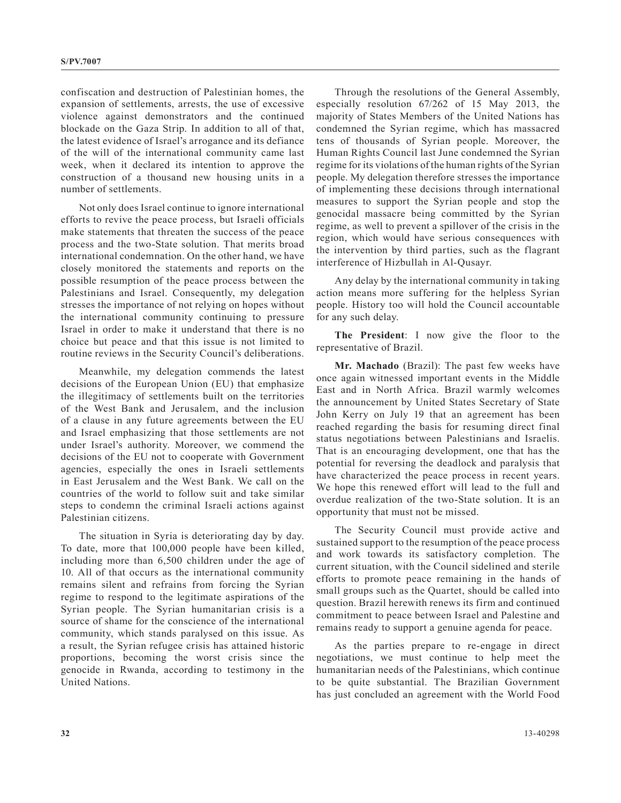confiscation and destruction of Palestinian homes, the expansion of settlements, arrests, the use of excessive violence against demonstrators and the continued blockade on the Gaza Strip. In addition to all of that, the latest evidence of Israel's arrogance and its defiance of the will of the international community came last week, when it declared its intention to approve the construction of a thousand new housing units in a number of settlements.

Not only does Israel continue to ignore international efforts to revive the peace process, but Israeli officials make statements that threaten the success of the peace process and the two-State solution. That merits broad international condemnation. On the other hand, we have closely monitored the statements and reports on the possible resumption of the peace process between the Palestinians and Israel. Consequently, my delegation stresses the importance of not relying on hopes without the international community continuing to pressure Israel in order to make it understand that there is no choice but peace and that this issue is not limited to routine reviews in the Security Council's deliberations.

Meanwhile, my delegation commends the latest decisions of the European Union (EU) that emphasize the illegitimacy of settlements built on the territories of the West Bank and Jerusalem, and the inclusion of a clause in any future agreements between the EU and Israel emphasizing that those settlements are not under Israel's authority. Moreover, we commend the decisions of the EU not to cooperate with Government agencies, especially the ones in Israeli settlements in East Jerusalem and the West Bank. We call on the countries of the world to follow suit and take similar steps to condemn the criminal Israeli actions against Palestinian citizens.

The situation in Syria is deteriorating day by day. To date, more that 100,000 people have been killed, including more than 6,500 children under the age of 10. All of that occurs as the international community remains silent and refrains from forcing the Syrian regime to respond to the legitimate aspirations of the Syrian people. The Syrian humanitarian crisis is a source of shame for the conscience of the international community, which stands paralysed on this issue. As a result, the Syrian refugee crisis has attained historic proportions, becoming the worst crisis since the genocide in Rwanda, according to testimony in the United Nations.

Through the resolutions of the General Assembly, especially resolution 67/262 of 15 May 2013, the majority of States Members of the United Nations has condemned the Syrian regime, which has massacred tens of thousands of Syrian people. Moreover, the Human Rights Council last June condemned the Syrian regime for its violations of the human rights of the Syrian people. My delegation therefore stresses the importance of implementing these decisions through international measures to support the Syrian people and stop the genocidal massacre being committed by the Syrian regime, as well to prevent a spillover of the crisis in the region, which would have serious consequences with the intervention by third parties, such as the flagrant interference of Hizbullah in Al-Qusayr.

Any delay by the international community in taking action means more suffering for the helpless Syrian people. History too will hold the Council accountable for any such delay.

**The President**: I now give the floor to the representative of Brazil.

**Mr. Machado** (Brazil): The past few weeks have once again witnessed important events in the Middle East and in North Africa. Brazil warmly welcomes the announcement by United States Secretary of State John Kerry on July 19 that an agreement has been reached regarding the basis for resuming direct final status negotiations between Palestinians and Israelis. That is an encouraging development, one that has the potential for reversing the deadlock and paralysis that have characterized the peace process in recent years. We hope this renewed effort will lead to the full and overdue realization of the two-State solution. It is an opportunity that must not be missed.

The Security Council must provide active and sustained support to the resumption of the peace process and work towards its satisfactory completion. The current situation, with the Council sidelined and sterile efforts to promote peace remaining in the hands of small groups such as the Quartet, should be called into question. Brazil herewith renews its firm and continued commitment to peace between Israel and Palestine and remains ready to support a genuine agenda for peace.

As the parties prepare to re-engage in direct negotiations, we must continue to help meet the humanitarian needs of the Palestinians, which continue to be quite substantial. The Brazilian Government has just concluded an agreement with the World Food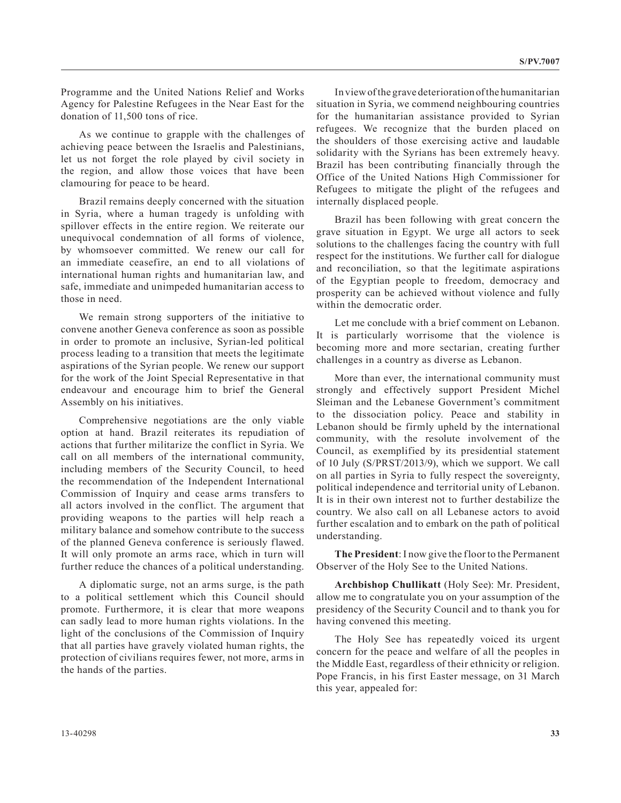Programme and the United Nations Relief and Works Agency for Palestine Refugees in the Near East for the donation of 11,500 tons of rice.

As we continue to grapple with the challenges of achieving peace between the Israelis and Palestinians, let us not forget the role played by civil society in the region, and allow those voices that have been clamouring for peace to be heard.

Brazil remains deeply concerned with the situation in Syria, where a human tragedy is unfolding with spillover effects in the entire region. We reiterate our unequivocal condemnation of all forms of violence, by whomsoever committed. We renew our call for an immediate ceasefire, an end to all violations of international human rights and humanitarian law, and safe, immediate and unimpeded humanitarian access to those in need.

We remain strong supporters of the initiative to convene another Geneva conference as soon as possible in order to promote an inclusive, Syrian-led political process leading to a transition that meets the legitimate aspirations of the Syrian people. We renew our support for the work of the Joint Special Representative in that endeavour and encourage him to brief the General Assembly on his initiatives.

Comprehensive negotiations are the only viable option at hand. Brazil reiterates its repudiation of actions that further militarize the conflict in Syria. We call on all members of the international community, including members of the Security Council, to heed the recommendation of the Independent International Commission of Inquiry and cease arms transfers to all actors involved in the conflict. The argument that providing weapons to the parties will help reach a military balance and somehow contribute to the success of the planned Geneva conference is seriously flawed. It will only promote an arms race, which in turn will further reduce the chances of a political understanding.

A diplomatic surge, not an arms surge, is the path to a political settlement which this Council should promote. Furthermore, it is clear that more weapons can sadly lead to more human rights violations. In the light of the conclusions of the Commission of Inquiry that all parties have gravely violated human rights, the protection of civilians requires fewer, not more, arms in the hands of the parties.

In view of the grave deterioration of the humanitarian situation in Syria, we commend neighbouring countries for the humanitarian assistance provided to Syrian refugees. We recognize that the burden placed on the shoulders of those exercising active and laudable solidarity with the Syrians has been extremely heavy. Brazil has been contributing financially through the Office of the United Nations High Commissioner for Refugees to mitigate the plight of the refugees and internally displaced people.

Brazil has been following with great concern the grave situation in Egypt. We urge all actors to seek solutions to the challenges facing the country with full respect for the institutions. We further call for dialogue and reconciliation, so that the legitimate aspirations of the Egyptian people to freedom, democracy and prosperity can be achieved without violence and fully within the democratic order.

Let me conclude with a brief comment on Lebanon. It is particularly worrisome that the violence is becoming more and more sectarian, creating further challenges in a country as diverse as Lebanon.

More than ever, the international community must strongly and effectively support President Michel Sleiman and the Lebanese Government's commitment to the dissociation policy. Peace and stability in Lebanon should be firmly upheld by the international community, with the resolute involvement of the Council, as exemplified by its presidential statement of 10 July (S/PRST/2013/9), which we support. We call on all parties in Syria to fully respect the sovereignty, political independence and territorial unity of Lebanon. It is in their own interest not to further destabilize the country. We also call on all Lebanese actors to avoid further escalation and to embark on the path of political understanding.

**The President**: I now give the floor to the Permanent Observer of the Holy See to the United Nations.

**Archbishop Chullikatt** (Holy See): Mr. President, allow me to congratulate you on your assumption of the presidency of the Security Council and to thank you for having convened this meeting.

The Holy See has repeatedly voiced its urgent concern for the peace and welfare of all the peoples in the Middle East, regardless of their ethnicity or religion. Pope Francis, in his first Easter message, on 31 March this year, appealed for: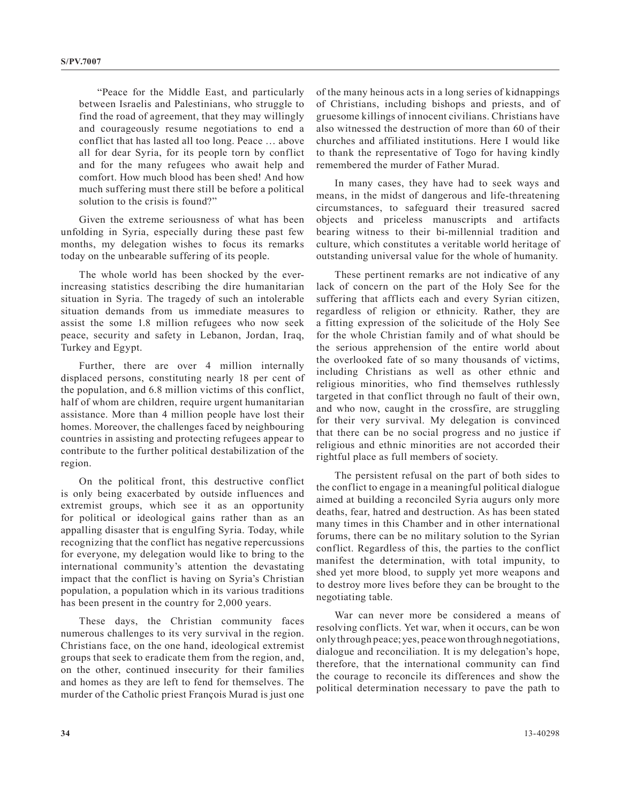"Peace for the Middle East, and particularly between Israelis and Palestinians, who struggle to find the road of agreement, that they may willingly and courageously resume negotiations to end a conflict that has lasted all too long. Peace … above all for dear Syria, for its people torn by conflict and for the many refugees who await help and comfort. How much blood has been shed! And how much suffering must there still be before a political solution to the crisis is found?"

Given the extreme seriousness of what has been unfolding in Syria, especially during these past few months, my delegation wishes to focus its remarks today on the unbearable suffering of its people.

The whole world has been shocked by the everincreasing statistics describing the dire humanitarian situation in Syria. The tragedy of such an intolerable situation demands from us immediate measures to assist the some 1.8 million refugees who now seek peace, security and safety in Lebanon, Jordan, Iraq, Turkey and Egypt.

Further, there are over 4 million internally displaced persons, constituting nearly 18 per cent of the population, and 6.8 million victims of this conflict, half of whom are children, require urgent humanitarian assistance. More than 4 million people have lost their homes. Moreover, the challenges faced by neighbouring countries in assisting and protecting refugees appear to contribute to the further political destabilization of the region.

On the political front, this destructive conflict is only being exacerbated by outside influences and extremist groups, which see it as an opportunity for political or ideological gains rather than as an appalling disaster that is engulfing Syria. Today, while recognizing that the conflict has negative repercussions for everyone, my delegation would like to bring to the international community's attention the devastating impact that the conflict is having on Syria's Christian population, a population which in its various traditions has been present in the country for 2,000 years.

These days, the Christian community faces numerous challenges to its very survival in the region. Christians face, on the one hand, ideological extremist groups that seek to eradicate them from the region, and, on the other, continued insecurity for their families and homes as they are left to fend for themselves. The murder of the Catholic priest François Murad is just one

of the many heinous acts in a long series of kidnappings of Christians, including bishops and priests, and of gruesome killings of innocent civilians. Christians have also witnessed the destruction of more than 60 of their churches and affiliated institutions. Here I would like to thank the representative of Togo for having kindly remembered the murder of Father Murad.

In many cases, they have had to seek ways and means, in the midst of dangerous and life-threatening circumstances, to safeguard their treasured sacred objects and priceless manuscripts and artifacts bearing witness to their bi-millennial tradition and culture, which constitutes a veritable world heritage of outstanding universal value for the whole of humanity.

These pertinent remarks are not indicative of any lack of concern on the part of the Holy See for the suffering that afflicts each and every Syrian citizen, regardless of religion or ethnicity. Rather, they are a fitting expression of the solicitude of the Holy See for the whole Christian family and of what should be the serious apprehension of the entire world about the overlooked fate of so many thousands of victims, including Christians as well as other ethnic and religious minorities, who find themselves ruthlessly targeted in that conflict through no fault of their own, and who now, caught in the crossfire, are struggling for their very survival. My delegation is convinced that there can be no social progress and no justice if religious and ethnic minorities are not accorded their rightful place as full members of society.

The persistent refusal on the part of both sides to the conflict to engage in a meaningful political dialogue aimed at building a reconciled Syria augurs only more deaths, fear, hatred and destruction. As has been stated many times in this Chamber and in other international forums, there can be no military solution to the Syrian conflict. Regardless of this, the parties to the conflict manifest the determination, with total impunity, to shed yet more blood, to supply yet more weapons and to destroy more lives before they can be brought to the negotiating table.

War can never more be considered a means of resolving conflicts. Yet war, when it occurs, can be won only through peace; yes, peace won through negotiations, dialogue and reconciliation. It is my delegation's hope, therefore, that the international community can find the courage to reconcile its differences and show the political determination necessary to pave the path to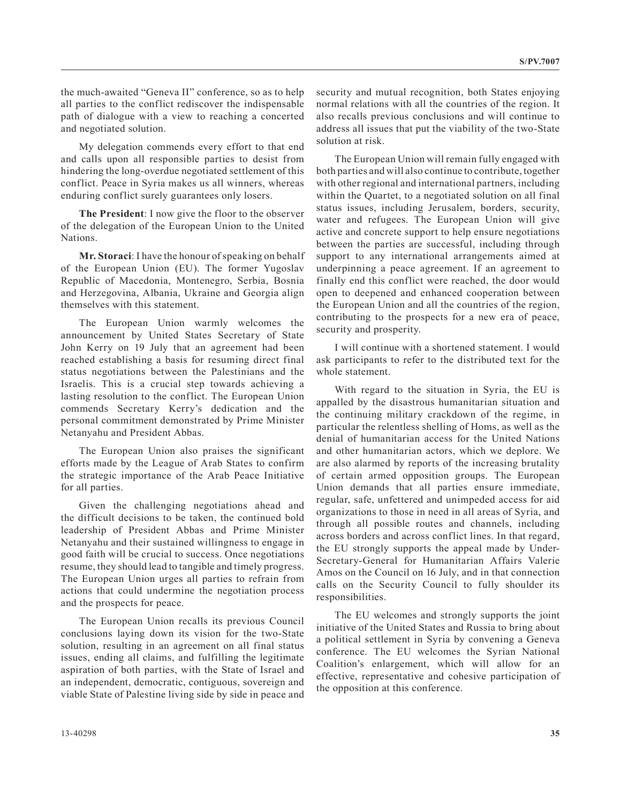the much-awaited "Geneva II" conference, so as to help all parties to the conflict rediscover the indispensable path of dialogue with a view to reaching a concerted and negotiated solution.

My delegation commends every effort to that end and calls upon all responsible parties to desist from hindering the long-overdue negotiated settlement of this conflict. Peace in Syria makes us all winners, whereas enduring conflict surely guarantees only losers.

**The President**: I now give the floor to the observer of the delegation of the European Union to the United Nations.

**Mr. Storaci**: I have the honour of speaking on behalf of the European Union (EU). The former Yugoslav Republic of Macedonia, Montenegro, Serbia, Bosnia and Herzegovina, Albania, Ukraine and Georgia align themselves with this statement.

The European Union warmly welcomes the announcement by United States Secretary of State John Kerry on 19 July that an agreement had been reached establishing a basis for resuming direct final status negotiations between the Palestinians and the Israelis. This is a crucial step towards achieving a lasting resolution to the conflict. The European Union commends Secretary Kerry's dedication and the personal commitment demonstrated by Prime Minister Netanyahu and President Abbas.

The European Union also praises the significant efforts made by the League of Arab States to confirm the strategic importance of the Arab Peace Initiative for all parties.

Given the challenging negotiations ahead and the difficult decisions to be taken, the continued bold leadership of President Abbas and Prime Minister Netanyahu and their sustained willingness to engage in good faith will be crucial to success. Once negotiations resume, they should lead to tangible and timely progress. The European Union urges all parties to refrain from actions that could undermine the negotiation process and the prospects for peace.

The European Union recalls its previous Council conclusions laying down its vision for the two-State solution, resulting in an agreement on all final status issues, ending all claims, and fulfilling the legitimate aspiration of both parties, with the State of Israel and an independent, democratic, contiguous, sovereign and viable State of Palestine living side by side in peace and

security and mutual recognition, both States enjoying normal relations with all the countries of the region. It also recalls previous conclusions and will continue to address all issues that put the viability of the two-State solution at risk.

The European Union will remain fully engaged with both parties and will also continue to contribute, together with other regional and international partners, including within the Quartet, to a negotiated solution on all final status issues, including Jerusalem, borders, security, water and refugees. The European Union will give active and concrete support to help ensure negotiations between the parties are successful, including through support to any international arrangements aimed at underpinning a peace agreement. If an agreement to finally end this conflict were reached, the door would open to deepened and enhanced cooperation between the European Union and all the countries of the region, contributing to the prospects for a new era of peace, security and prosperity.

I will continue with a shortened statement. I would ask participants to refer to the distributed text for the whole statement.

With regard to the situation in Syria, the EU is appalled by the disastrous humanitarian situation and the continuing military crackdown of the regime, in particular the relentless shelling of Homs, as well as the denial of humanitarian access for the United Nations and other humanitarian actors, which we deplore. We are also alarmed by reports of the increasing brutality of certain armed opposition groups. The European Union demands that all parties ensure immediate, regular, safe, unfettered and unimpeded access for aid organizations to those in need in all areas of Syria, and through all possible routes and channels, including across borders and across conflict lines. In that regard, the EU strongly supports the appeal made by Under-Secretary-General for Humanitarian Affairs Valerie Amos on the Council on 16 July, and in that connection calls on the Security Council to fully shoulder its responsibilities.

The EU welcomes and strongly supports the joint initiative of the United States and Russia to bring about a political settlement in Syria by convening a Geneva conference. The EU welcomes the Syrian National Coalition's enlargement, which will allow for an effective, representative and cohesive participation of the opposition at this conference.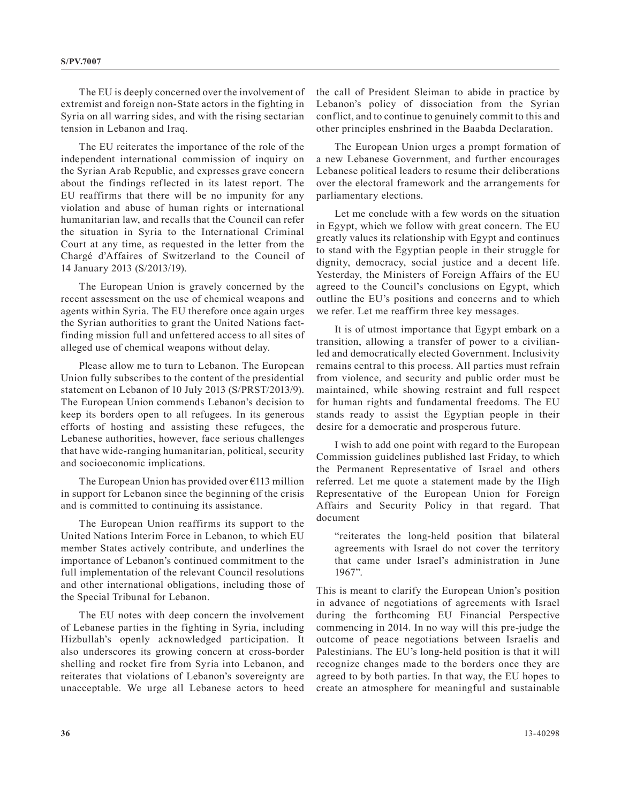The EU is deeply concerned over the involvement of extremist and foreign non-State actors in the fighting in Syria on all warring sides, and with the rising sectarian tension in Lebanon and Iraq.

The EU reiterates the importance of the role of the independent international commission of inquiry on the Syrian Arab Republic, and expresses grave concern about the findings reflected in its latest report. The EU reaffirms that there will be no impunity for any violation and abuse of human rights or international humanitarian law, and recalls that the Council can refer the situation in Syria to the International Criminal Court at any time, as requested in the letter from the Chargé d'Affaires of Switzerland to the Council of 14 January 2013 (S/2013/19).

The European Union is gravely concerned by the recent assessment on the use of chemical weapons and agents within Syria. The EU therefore once again urges the Syrian authorities to grant the United Nations factfinding mission full and unfettered access to all sites of alleged use of chemical weapons without delay.

Please allow me to turn to Lebanon. The European Union fully subscribes to the content of the presidential statement on Lebanon of 10 July 2013 (S/PRST/2013/9). The European Union commends Lebanon's decision to keep its borders open to all refugees. In its generous efforts of hosting and assisting these refugees, the Lebanese authorities, however, face serious challenges that have wide-ranging humanitarian, political, security and socioeconomic implications.

The European Union has provided over  $\epsilon$ 113 million in support for Lebanon since the beginning of the crisis and is committed to continuing its assistance.

The European Union reaffirms its support to the United Nations Interim Force in Lebanon, to which EU member States actively contribute, and underlines the importance of Lebanon's continued commitment to the full implementation of the relevant Council resolutions and other international obligations, including those of the Special Tribunal for Lebanon.

The EU notes with deep concern the involvement of Lebanese parties in the fighting in Syria, including Hizbullah's openly acknowledged participation. It also underscores its growing concern at cross-border shelling and rocket fire from Syria into Lebanon, and reiterates that violations of Lebanon's sovereignty are unacceptable. We urge all Lebanese actors to heed

the call of President Sleiman to abide in practice by Lebanon's policy of dissociation from the Syrian conflict, and to continue to genuinely commit to this and other principles enshrined in the Baabda Declaration.

The European Union urges a prompt formation of a new Lebanese Government, and further encourages Lebanese political leaders to resume their deliberations over the electoral framework and the arrangements for parliamentary elections.

Let me conclude with a few words on the situation in Egypt, which we follow with great concern. The EU greatly values its relationship with Egypt and continues to stand with the Egyptian people in their struggle for dignity, democracy, social justice and a decent life. Yesterday, the Ministers of Foreign Affairs of the EU agreed to the Council's conclusions on Egypt, which outline the EU's positions and concerns and to which we refer. Let me reaffirm three key messages.

It is of utmost importance that Egypt embark on a transition, allowing a transfer of power to a civilianled and democratically elected Government. Inclusivity remains central to this process. All parties must refrain from violence, and security and public order must be maintained, while showing restraint and full respect for human rights and fundamental freedoms. The EU stands ready to assist the Egyptian people in their desire for a democratic and prosperous future.

I wish to add one point with regard to the European Commission guidelines published last Friday, to which the Permanent Representative of Israel and others referred. Let me quote a statement made by the High Representative of the European Union for Foreign Affairs and Security Policy in that regard. That document

"reiterates the long-held position that bilateral agreements with Israel do not cover the territory that came under Israel's administration in June 1967".

This is meant to clarify the European Union's position in advance of negotiations of agreements with Israel during the forthcoming EU Financial Perspective commencing in 2014. In no way will this pre-judge the outcome of peace negotiations between Israelis and Palestinians. The EU's long-held position is that it will recognize changes made to the borders once they are agreed to by both parties. In that way, the EU hopes to create an atmosphere for meaningful and sustainable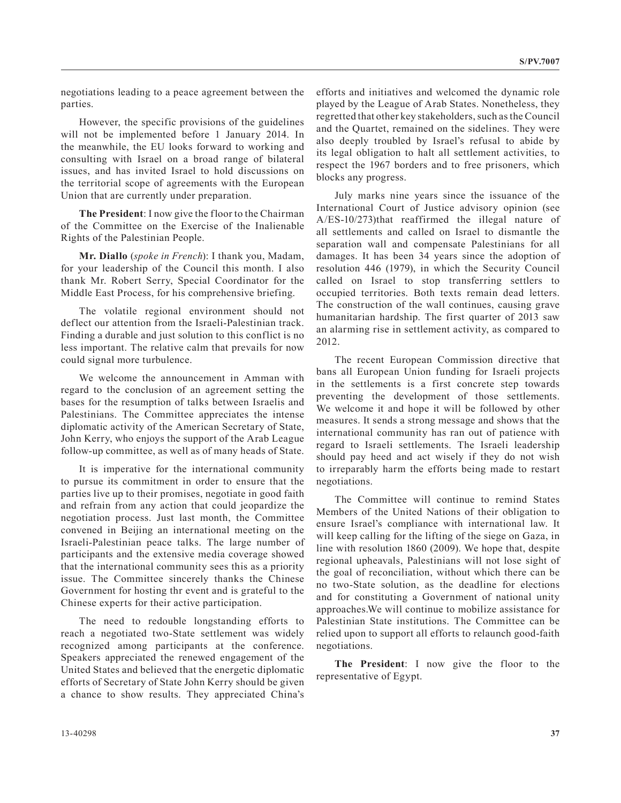negotiations leading to a peace agreement between the parties.

However, the specific provisions of the guidelines will not be implemented before 1 January 2014. In the meanwhile, the EU looks forward to working and consulting with Israel on a broad range of bilateral issues, and has invited Israel to hold discussions on the territorial scope of agreements with the European Union that are currently under preparation.

**The President**: I now give the floor to the Chairman of the Committee on the Exercise of the Inalienable Rights of the Palestinian People.

**Mr. Diallo** (*spoke in French*): I thank you, Madam, for your leadership of the Council this month. I also thank Mr. Robert Serry, Special Coordinator for the Middle East Process, for his comprehensive briefing.

The volatile regional environment should not deflect our attention from the Israeli-Palestinian track. Finding a durable and just solution to this conflict is no less important. The relative calm that prevails for now could signal more turbulence.

We welcome the announcement in Amman with regard to the conclusion of an agreement setting the bases for the resumption of talks between Israelis and Palestinians. The Committee appreciates the intense diplomatic activity of the American Secretary of State, John Kerry, who enjoys the support of the Arab League follow-up committee, as well as of many heads of State.

It is imperative for the international community to pursue its commitment in order to ensure that the parties live up to their promises, negotiate in good faith and refrain from any action that could jeopardize the negotiation process. Just last month, the Committee convened in Beijing an international meeting on the Israeli-Palestinian peace talks. The large number of participants and the extensive media coverage showed that the international community sees this as a priority issue. The Committee sincerely thanks the Chinese Government for hosting thr event and is grateful to the Chinese experts for their active participation.

The need to redouble longstanding efforts to reach a negotiated two-State settlement was widely recognized among participants at the conference. Speakers appreciated the renewed engagement of the United States and believed that the energetic diplomatic efforts of Secretary of State John Kerry should be given a chance to show results. They appreciated China's efforts and initiatives and welcomed the dynamic role played by the League of Arab States. Nonetheless, they regretted that other key stakeholders, such as the Council and the Quartet, remained on the sidelines. They were also deeply troubled by Israel's refusal to abide by its legal obligation to halt all settlement activities, to respect the 1967 borders and to free prisoners, which blocks any progress.

July marks nine years since the issuance of the International Court of Justice advisory opinion (see A/ES-10/273)that reaffirmed the illegal nature of all settlements and called on Israel to dismantle the separation wall and compensate Palestinians for all damages. It has been 34 years since the adoption of resolution 446 (1979), in which the Security Council called on Israel to stop transferring settlers to occupied territories. Both texts remain dead letters. The construction of the wall continues, causing grave humanitarian hardship. The first quarter of 2013 saw an alarming rise in settlement activity, as compared to 2012.

The recent European Commission directive that bans all European Union funding for Israeli projects in the settlements is a first concrete step towards preventing the development of those settlements. We welcome it and hope it will be followed by other measures. It sends a strong message and shows that the international community has ran out of patience with regard to Israeli settlements. The Israeli leadership should pay heed and act wisely if they do not wish to irreparably harm the efforts being made to restart negotiations.

The Committee will continue to remind States Members of the United Nations of their obligation to ensure Israel's compliance with international law. It will keep calling for the lifting of the siege on Gaza, in line with resolution 1860 (2009). We hope that, despite regional upheavals, Palestinians will not lose sight of the goal of reconciliation, without which there can be no two-State solution, as the deadline for elections and for constituting a Government of national unity approaches.We will continue to mobilize assistance for Palestinian State institutions. The Committee can be relied upon to support all efforts to relaunch good-faith negotiations.

**The President**: I now give the floor to the representative of Egypt.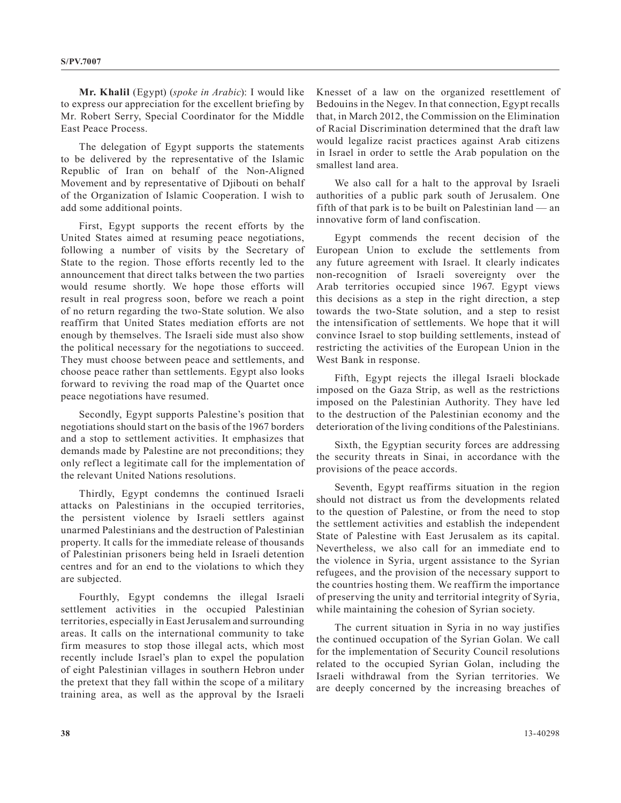**Mr. Khalil** (Egypt) (*spoke in Arabic*): I would like to express our appreciation for the excellent briefing by Mr. Robert Serry, Special Coordinator for the Middle East Peace Process.

The delegation of Egypt supports the statements to be delivered by the representative of the Islamic Republic of Iran on behalf of the Non-Aligned Movement and by representative of Djibouti on behalf of the Organization of Islamic Cooperation. I wish to add some additional points.

First, Egypt supports the recent efforts by the United States aimed at resuming peace negotiations, following a number of visits by the Secretary of State to the region. Those efforts recently led to the announcement that direct talks between the two parties would resume shortly. We hope those efforts will result in real progress soon, before we reach a point of no return regarding the two-State solution. We also reaffirm that United States mediation efforts are not enough by themselves. The Israeli side must also show the political necessary for the negotiations to succeed. They must choose between peace and settlements, and choose peace rather than settlements. Egypt also looks forward to reviving the road map of the Quartet once peace negotiations have resumed.

Secondly, Egypt supports Palestine's position that negotiations should start on the basis of the 1967 borders and a stop to settlement activities. It emphasizes that demands made by Palestine are not preconditions; they only reflect a legitimate call for the implementation of the relevant United Nations resolutions.

Thirdly, Egypt condemns the continued Israeli attacks on Palestinians in the occupied territories, the persistent violence by Israeli settlers against unarmed Palestinians and the destruction of Palestinian property. It calls for the immediate release of thousands of Palestinian prisoners being held in Israeli detention centres and for an end to the violations to which they are subjected.

Fourthly, Egypt condemns the illegal Israeli settlement activities in the occupied Palestinian territories, especially in East Jerusalem and surrounding areas. It calls on the international community to take firm measures to stop those illegal acts, which most recently include Israel's plan to expel the population of eight Palestinian villages in southern Hebron under the pretext that they fall within the scope of a military training area, as well as the approval by the Israeli

Knesset of a law on the organized resettlement of Bedouins in the Negev. In that connection, Egypt recalls that, in March 2012, the Commission on the Elimination of Racial Discrimination determined that the draft law would legalize racist practices against Arab citizens in Israel in order to settle the Arab population on the smallest land area.

We also call for a halt to the approval by Israeli authorities of a public park south of Jerusalem. One fifth of that park is to be built on Palestinian land — an innovative form of land confiscation.

Egypt commends the recent decision of the European Union to exclude the settlements from any future agreement with Israel. It clearly indicates non-recognition of Israeli sovereignty over the Arab territories occupied since 1967. Egypt views this decisions as a step in the right direction, a step towards the two-State solution, and a step to resist the intensification of settlements. We hope that it will convince Israel to stop building settlements, instead of restricting the activities of the European Union in the West Bank in response.

Fifth, Egypt rejects the illegal Israeli blockade imposed on the Gaza Strip, as well as the restrictions imposed on the Palestinian Authority. They have led to the destruction of the Palestinian economy and the deterioration of the living conditions of the Palestinians.

Sixth, the Egyptian security forces are addressing the security threats in Sinai, in accordance with the provisions of the peace accords.

Seventh, Egypt reaffirms situation in the region should not distract us from the developments related to the question of Palestine, or from the need to stop the settlement activities and establish the independent State of Palestine with East Jerusalem as its capital. Nevertheless, we also call for an immediate end to the violence in Syria, urgent assistance to the Syrian refugees, and the provision of the necessary support to the countries hosting them. We reaffirm the importance of preserving the unity and territorial integrity of Syria, while maintaining the cohesion of Syrian society.

The current situation in Syria in no way justifies the continued occupation of the Syrian Golan. We call for the implementation of Security Council resolutions related to the occupied Syrian Golan, including the Israeli withdrawal from the Syrian territories. We are deeply concerned by the increasing breaches of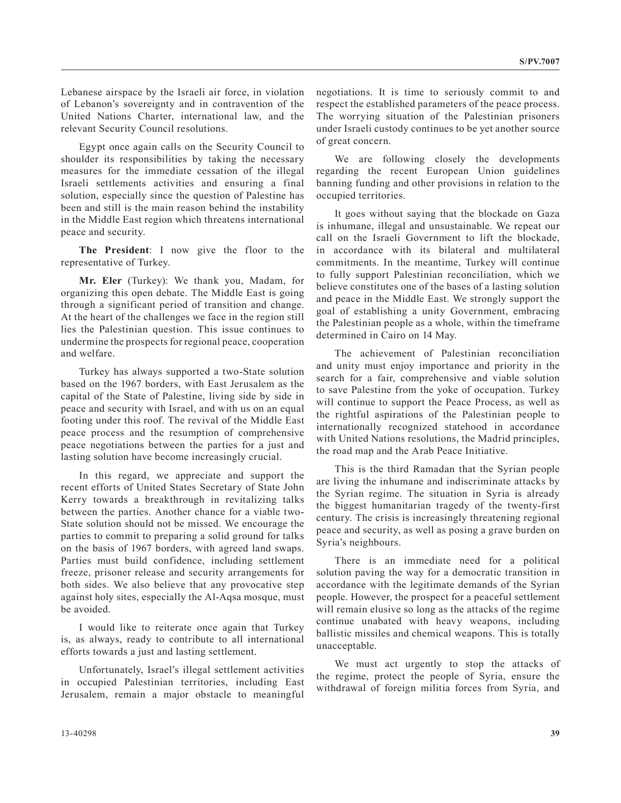Lebanese airspace by the Israeli air force, in violation of Lebanon's sovereignty and in contravention of the United Nations Charter, international law, and the relevant Security Council resolutions.

Egypt once again calls on the Security Council to shoulder its responsibilities by taking the necessary measures for the immediate cessation of the illegal Israeli settlements activities and ensuring a final solution, especially since the question of Palestine has been and still is the main reason behind the instability in the Middle East region which threatens international peace and security.

**The President**: I now give the floor to the representative of Turkey.

**Mr. Eler** (Turkey): We thank you, Madam, for organizing this open debate. The Middle East is going through a significant period of transition and change. At the heart of the challenges we face in the region still lies the Palestinian question. This issue continues to undermine the prospects for regional peace, cooperation and welfare.

Turkey has always supported a two-State solution based on the 1967 borders, with East Jerusalem as the capital of the State of Palestine, living side by side in peace and security with Israel, and with us on an equal footing under this roof. The revival of the Middle East peace process and the resumption of comprehensive peace negotiations between the parties for a just and lasting solution have become increasingly crucial.

In this regard, we appreciate and support the recent efforts of United States Secretary of State John Kerry towards a breakthrough in revitalizing talks between the parties. Another chance for a viable two-State solution should not be missed. We encourage the parties to commit to preparing a solid ground for talks on the basis of 1967 borders, with agreed land swaps. Parties must build confidence, including settlement freeze, prisoner release and security arrangements for both sides. We also believe that any provocative step against holy sites, especially the Al-Aqsa mosque, must be avoided.

I would like to reiterate once again that Turkey is, as always, ready to contribute to all international efforts towards a just and lasting settlement.

Unfortunately, Israel's illegal settlement activities in occupied Palestinian territories, including East Jerusalem, remain a major obstacle to meaningful negotiations. It is time to seriously commit to and respect the established parameters of the peace process. The worrying situation of the Palestinian prisoners under Israeli custody continues to be yet another source of great concern.

We are following closely the developments regarding the recent European Union guidelines banning funding and other provisions in relation to the occupied territories.

It goes without saying that the blockade on Gaza is inhumane, illegal and unsustainable. We repeat our call on the Israeli Government to lift the blockade, in accordance with its bilateral and multilateral commitments. In the meantime, Turkey will continue to fully support Palestinian reconciliation, which we believe constitutes one of the bases of a lasting solution and peace in the Middle East. We strongly support the goal of establishing a unity Government, embracing the Palestinian people as a whole, within the timeframe determined in Cairo on 14 May.

The achievement of Palestinian reconciliation and unity must enjoy importance and priority in the search for a fair, comprehensive and viable solution to save Palestine from the yoke of occupation. Turkey will continue to support the Peace Process, as well as the rightful aspirations of the Palestinian people to internationally recognized statehood in accordance with United Nations resolutions, the Madrid principles, the road map and the Arab Peace Initiative.

This is the third Ramadan that the Syrian people are living the inhumane and indiscriminate attacks by the Syrian regime. The situation in Syria is already the biggest humanitarian tragedy of the twenty-first century. The crisis is increasingly threatening regional peace and security, as well as posing a grave burden on Syria's neighbours.

There is an immediate need for a political solution paving the way for a democratic transition in accordance with the legitimate demands of the Syrian people. However, the prospect for a peaceful settlement will remain elusive so long as the attacks of the regime continue unabated with heavy weapons, including ballistic missiles and chemical weapons. This is totally unacceptable.

We must act urgently to stop the attacks of the regime, protect the people of Syria, ensure the withdrawal of foreign militia forces from Syria, and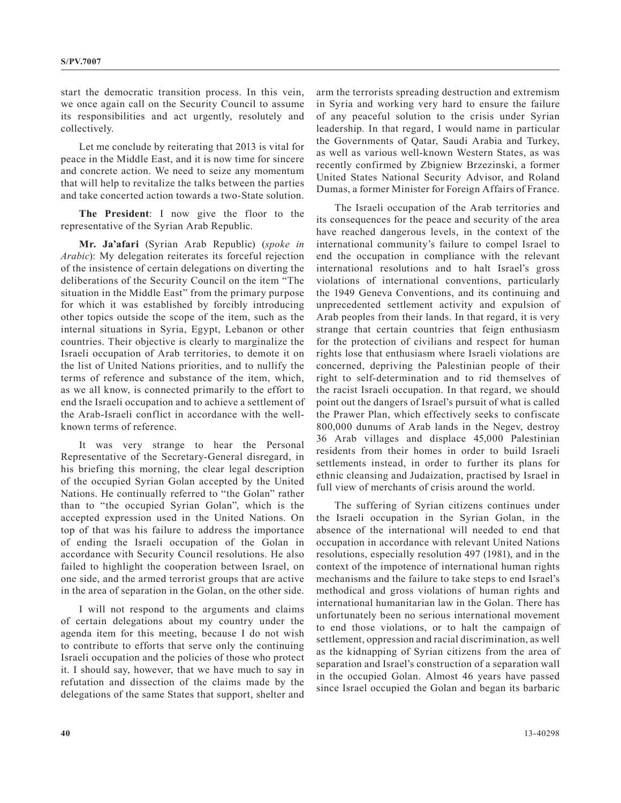start the democratic transition process. In this vein, we once again call on the Security Council to assume its responsibilities and act urgently, resolutely and collectively.

Let me conclude by reiterating that 2013 is vital for peace in the Middle East, and it is now time for sincere and concrete action. We need to seize any momentum that will help to revitalize the talks between the parties and take concerted action towards a two-State solution.

**The President**: I now give the floor to the representative of the Syrian Arab Republic.

**Mr. Ja'afari** (Syrian Arab Republic) (*spoke in Arabic*): My delegation reiterates its forceful rejection of the insistence of certain delegations on diverting the deliberations of the Security Council on the item "The situation in the Middle East" from the primary purpose for which it was established by forcibly introducing other topics outside the scope of the item, such as the internal situations in Syria, Egypt, Lebanon or other countries. Their objective is clearly to marginalize the Israeli occupation of Arab territories, to demote it on the list of United Nations priorities, and to nullify the terms of reference and substance of the item, which, as we all know, is connected primarily to the effort to end the Israeli occupation and to achieve a settlement of the Arab-Israeli conflict in accordance with the wellknown terms of reference.

It was very strange to hear the Personal Representative of the Secretary-General disregard, in his briefing this morning, the clear legal description of the occupied Syrian Golan accepted by the United Nations. He continually referred to "the Golan" rather than to "the occupied Syrian Golan", which is the accepted expression used in the United Nations. On top of that was his failure to address the importance of ending the Israeli occupation of the Golan in accordance with Security Council resolutions. He also failed to highlight the cooperation between Israel, on one side, and the armed terrorist groups that are active in the area of separation in the Golan, on the other side.

I will not respond to the arguments and claims of certain delegations about my country under the agenda item for this meeting, because I do not wish to contribute to efforts that serve only the continuing Israeli occupation and the policies of those who protect it. I should say, however, that we have much to say in refutation and dissection of the claims made by the delegations of the same States that support, shelter and

arm the terrorists spreading destruction and extremism in Syria and working very hard to ensure the failure of any peaceful solution to the crisis under Syrian leadership. In that regard, I would name in particular the Governments of Qatar, Saudi Arabia and Turkey, as well as various well-known Western States, as was recently confirmed by Zbigniew Brzezinski, a former United States National Security Advisor, and Roland Dumas, a former Minister for Foreign Affairs of France.

The Israeli occupation of the Arab territories and its consequences for the peace and security of the area have reached dangerous levels, in the context of the international community's failure to compel Israel to end the occupation in compliance with the relevant international resolutions and to halt Israel's gross violations of international conventions, particularly the 1949 Geneva Conventions, and its continuing and unprecedented settlement activity and expulsion of Arab peoples from their lands. In that regard, it is very strange that certain countries that feign enthusiasm for the protection of civilians and respect for human rights lose that enthusiasm where Israeli violations are concerned, depriving the Palestinian people of their right to self-determination and to rid themselves of the racist Israeli occupation. In that regard, we should point out the dangers of Israel's pursuit of what is called the Prawer Plan, which effectively seeks to confiscate 800,000 dunums of Arab lands in the Negev, destroy 36 Arab villages and displace 45,000 Palestinian residents from their homes in order to build Israeli settlements instead, in order to further its plans for ethnic cleansing and Judaization, practised by Israel in full view of merchants of crisis around the world.

The suffering of Syrian citizens continues under the Israeli occupation in the Syrian Golan, in the absence of the international will needed to end that occupation in accordance with relevant United Nations resolutions, especially resolution 497 (1981), and in the context of the impotence of international human rights mechanisms and the failure to take steps to end Israel's methodical and gross violations of human rights and international humanitarian law in the Golan. There has unfortunately been no serious international movement to end those violations, or to halt the campaign of settlement, oppression and racial discrimination, as well as the kidnapping of Syrian citizens from the area of separation and Israel's construction of a separation wall in the occupied Golan. Almost 46 years have passed since Israel occupied the Golan and began its barbaric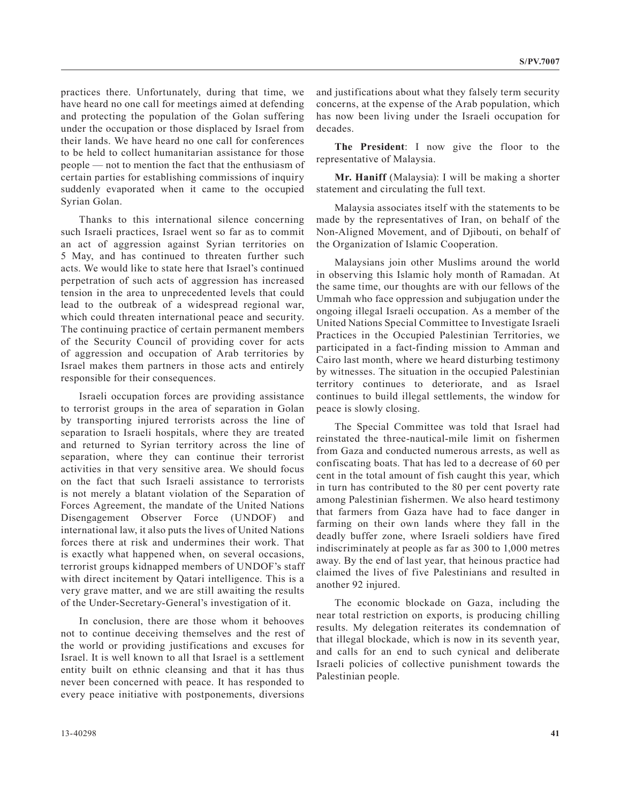practices there. Unfortunately, during that time, we have heard no one call for meetings aimed at defending and protecting the population of the Golan suffering under the occupation or those displaced by Israel from their lands. We have heard no one call for conferences to be held to collect humanitarian assistance for those people — not to mention the fact that the enthusiasm of certain parties for establishing commissions of inquiry suddenly evaporated when it came to the occupied Syrian Golan.

Thanks to this international silence concerning such Israeli practices, Israel went so far as to commit an act of aggression against Syrian territories on 5 May, and has continued to threaten further such acts. We would like to state here that Israel's continued perpetration of such acts of aggression has increased tension in the area to unprecedented levels that could lead to the outbreak of a widespread regional war, which could threaten international peace and security. The continuing practice of certain permanent members of the Security Council of providing cover for acts of aggression and occupation of Arab territories by Israel makes them partners in those acts and entirely responsible for their consequences.

Israeli occupation forces are providing assistance to terrorist groups in the area of separation in Golan by transporting injured terrorists across the line of separation to Israeli hospitals, where they are treated and returned to Syrian territory across the line of separation, where they can continue their terrorist activities in that very sensitive area. We should focus on the fact that such Israeli assistance to terrorists is not merely a blatant violation of the Separation of Forces Agreement, the mandate of the United Nations Disengagement Observer Force (UNDOF) and international law, it also puts the lives of United Nations forces there at risk and undermines their work. That is exactly what happened when, on several occasions, terrorist groups kidnapped members of UNDOF's staff with direct incitement by Qatari intelligence. This is a very grave matter, and we are still awaiting the results of the Under-Secretary-General's investigation of it.

In conclusion, there are those whom it behooves not to continue deceiving themselves and the rest of the world or providing justifications and excuses for Israel. It is well known to all that Israel is a settlement entity built on ethnic cleansing and that it has thus never been concerned with peace. It has responded to every peace initiative with postponements, diversions

and justifications about what they falsely term security concerns, at the expense of the Arab population, which has now been living under the Israeli occupation for decades.

**The President**: I now give the floor to the representative of Malaysia.

**Mr. Haniff** (Malaysia): I will be making a shorter statement and circulating the full text.

Malaysia associates itself with the statements to be made by the representatives of Iran, on behalf of the Non-Aligned Movement, and of Djibouti, on behalf of the Organization of Islamic Cooperation.

Malaysians join other Muslims around the world in observing this Islamic holy month of Ramadan. At the same time, our thoughts are with our fellows of the Ummah who face oppression and subjugation under the ongoing illegal Israeli occupation. As a member of the United Nations Special Committee to Investigate Israeli Practices in the Occupied Palestinian Territories, we participated in a fact-finding mission to Amman and Cairo last month, where we heard disturbing testimony by witnesses. The situation in the occupied Palestinian territory continues to deteriorate, and as Israel continues to build illegal settlements, the window for peace is slowly closing.

The Special Committee was told that Israel had reinstated the three-nautical-mile limit on fishermen from Gaza and conducted numerous arrests, as well as confiscating boats. That has led to a decrease of 60 per cent in the total amount of fish caught this year, which in turn has contributed to the 80 per cent poverty rate among Palestinian fishermen. We also heard testimony that farmers from Gaza have had to face danger in farming on their own lands where they fall in the deadly buffer zone, where Israeli soldiers have fired indiscriminately at people as far as 300 to 1,000 metres away. By the end of last year, that heinous practice had claimed the lives of five Palestinians and resulted in another 92 injured.

The economic blockade on Gaza, including the near total restriction on exports, is producing chilling results. My delegation reiterates its condemnation of that illegal blockade, which is now in its seventh year, and calls for an end to such cynical and deliberate Israeli policies of collective punishment towards the Palestinian people.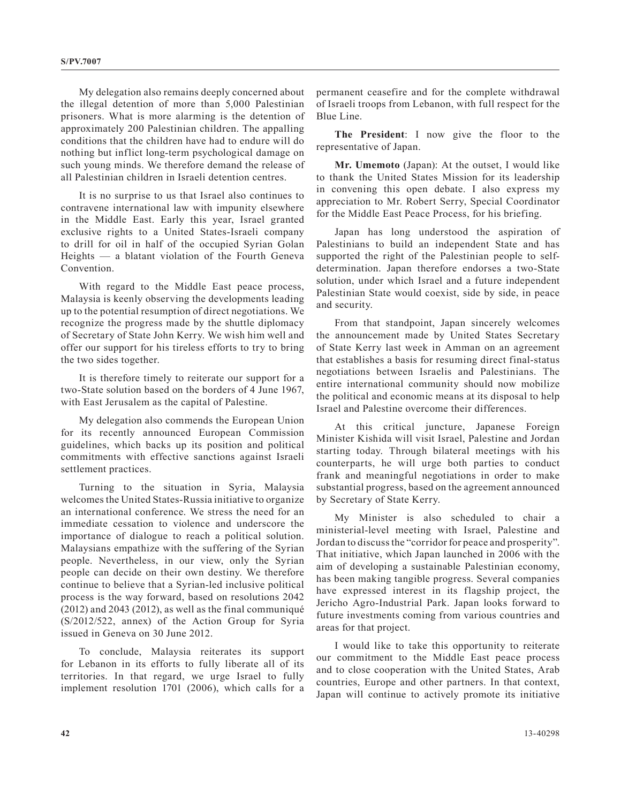My delegation also remains deeply concerned about the illegal detention of more than 5,000 Palestinian prisoners. What is more alarming is the detention of approximately 200 Palestinian children. The appalling conditions that the children have had to endure will do nothing but inflict long-term psychological damage on such young minds. We therefore demand the release of all Palestinian children in Israeli detention centres.

It is no surprise to us that Israel also continues to contravene international law with impunity elsewhere in the Middle East. Early this year, Israel granted exclusive rights to a United States-Israeli company to drill for oil in half of the occupied Syrian Golan Heights — a blatant violation of the Fourth Geneva Convention.

With regard to the Middle East peace process, Malaysia is keenly observing the developments leading up to the potential resumption of direct negotiations. We recognize the progress made by the shuttle diplomacy of Secretary of State John Kerry. We wish him well and offer our support for his tireless efforts to try to bring the two sides together.

It is therefore timely to reiterate our support for a two-State solution based on the borders of 4 June 1967, with East Jerusalem as the capital of Palestine.

My delegation also commends the European Union for its recently announced European Commission guidelines, which backs up its position and political commitments with effective sanctions against Israeli settlement practices.

Turning to the situation in Syria, Malaysia welcomes the United States-Russia initiative to organize an international conference. We stress the need for an immediate cessation to violence and underscore the importance of dialogue to reach a political solution. Malaysians empathize with the suffering of the Syrian people. Nevertheless, in our view, only the Syrian people can decide on their own destiny. We therefore continue to believe that a Syrian-led inclusive political process is the way forward, based on resolutions 2042 (2012) and 2043 (2012), as well as the final communiqué (S/2012/522, annex) of the Action Group for Syria issued in Geneva on 30 June 2012.

To conclude, Malaysia reiterates its support for Lebanon in its efforts to fully liberate all of its territories. In that regard, we urge Israel to fully implement resolution 1701 (2006), which calls for a

permanent ceasefire and for the complete withdrawal of Israeli troops from Lebanon, with full respect for the Blue Line.

**The President**: I now give the floor to the representative of Japan.

**Mr. Umemoto** (Japan): At the outset, I would like to thank the United States Mission for its leadership in convening this open debate. I also express my appreciation to Mr. Robert Serry, Special Coordinator for the Middle East Peace Process, for his briefing.

Japan has long understood the aspiration of Palestinians to build an independent State and has supported the right of the Palestinian people to selfdetermination. Japan therefore endorses a two-State solution, under which Israel and a future independent Palestinian State would coexist, side by side, in peace and security.

From that standpoint, Japan sincerely welcomes the announcement made by United States Secretary of State Kerry last week in Amman on an agreement that establishes a basis for resuming direct final-status negotiations between Israelis and Palestinians. The entire international community should now mobilize the political and economic means at its disposal to help Israel and Palestine overcome their differences.

At this critical juncture, Japanese Foreign Minister Kishida will visit Israel, Palestine and Jordan starting today. Through bilateral meetings with his counterparts, he will urge both parties to conduct frank and meaningful negotiations in order to make substantial progress, based on the agreement announced by Secretary of State Kerry.

My Minister is also scheduled to chair a ministerial-level meeting with Israel, Palestine and Jordan to discuss the "corridor for peace and prosperity". That initiative, which Japan launched in 2006 with the aim of developing a sustainable Palestinian economy, has been making tangible progress. Several companies have expressed interest in its flagship project, the Jericho Agro-Industrial Park. Japan looks forward to future investments coming from various countries and areas for that project.

I would like to take this opportunity to reiterate our commitment to the Middle East peace process and to close cooperation with the United States, Arab countries, Europe and other partners. In that context, Japan will continue to actively promote its initiative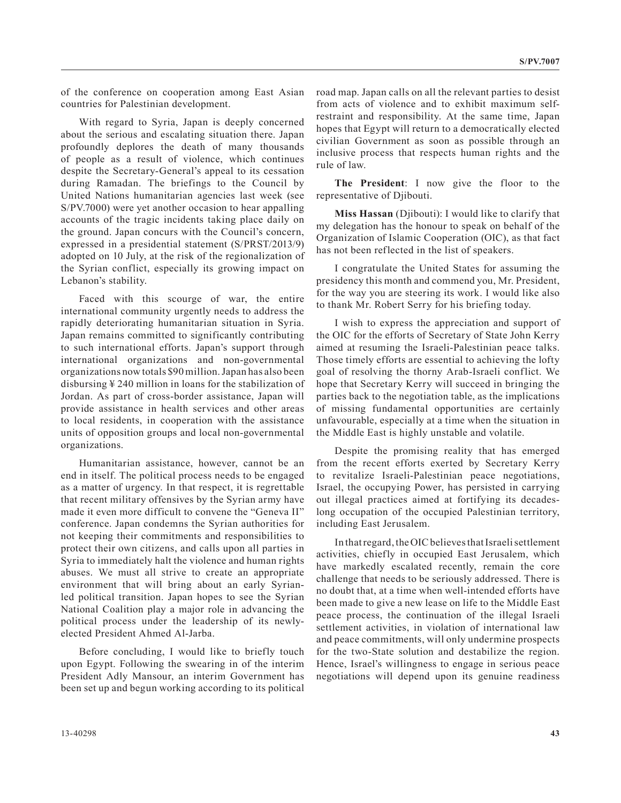of the conference on cooperation among East Asian countries for Palestinian development.

With regard to Syria, Japan is deeply concerned about the serious and escalating situation there. Japan profoundly deplores the death of many thousands of people as a result of violence, which continues despite the Secretary-General's appeal to its cessation during Ramadan. The briefings to the Council by United Nations humanitarian agencies last week (see S/PV.7000) were yet another occasion to hear appalling accounts of the tragic incidents taking place daily on the ground. Japan concurs with the Council's concern, expressed in a presidential statement (S/PRST/2013/9) adopted on 10 July, at the risk of the regionalization of the Syrian conflict, especially its growing impact on Lebanon's stability.

Faced with this scourge of war, the entire international community urgently needs to address the rapidly deteriorating humanitarian situation in Syria. Japan remains committed to significantly contributing to such international efforts. Japan's support through international organizations and non-governmental organizations now totals \$90 million. Japan has also been disbursing ¥ 240 million in loans for the stabilization of Jordan. As part of cross-border assistance, Japan will provide assistance in health services and other areas to local residents, in cooperation with the assistance units of opposition groups and local non-governmental organizations.

Humanitarian assistance, however, cannot be an end in itself. The political process needs to be engaged as a matter of urgency. In that respect, it is regrettable that recent military offensives by the Syrian army have made it even more difficult to convene the "Geneva II" conference. Japan condemns the Syrian authorities for not keeping their commitments and responsibilities to protect their own citizens, and calls upon all parties in Syria to immediately halt the violence and human rights abuses. We must all strive to create an appropriate environment that will bring about an early Syrianled political transition. Japan hopes to see the Syrian National Coalition play a major role in advancing the political process under the leadership of its newlyelected President Ahmed Al-Jarba.

Before concluding, I would like to briefly touch upon Egypt. Following the swearing in of the interim President Adly Mansour, an interim Government has been set up and begun working according to its political road map. Japan calls on all the relevant parties to desist from acts of violence and to exhibit maximum selfrestraint and responsibility. At the same time, Japan hopes that Egypt will return to a democratically elected civilian Government as soon as possible through an inclusive process that respects human rights and the rule of law.

**The President**: I now give the floor to the representative of Djibouti.

**Miss Hassan** (Djibouti): I would like to clarify that my delegation has the honour to speak on behalf of the Organization of Islamic Cooperation (OIC), as that fact has not been reflected in the list of speakers.

I congratulate the United States for assuming the presidency this month and commend you, Mr. President, for the way you are steering its work. I would like also to thank Mr. Robert Serry for his briefing today.

I wish to express the appreciation and support of the OIC for the efforts of Secretary of State John Kerry aimed at resuming the Israeli-Palestinian peace talks. Those timely efforts are essential to achieving the lofty goal of resolving the thorny Arab-Israeli conflict. We hope that Secretary Kerry will succeed in bringing the parties back to the negotiation table, as the implications of missing fundamental opportunities are certainly unfavourable, especially at a time when the situation in the Middle East is highly unstable and volatile.

Despite the promising reality that has emerged from the recent efforts exerted by Secretary Kerry to revitalize Israeli-Palestinian peace negotiations, Israel, the occupying Power, has persisted in carrying out illegal practices aimed at fortifying its decadeslong occupation of the occupied Palestinian territory, including East Jerusalem.

In that regard, the OIC believes that Israeli settlement activities, chiefly in occupied East Jerusalem, which have markedly escalated recently, remain the core challenge that needs to be seriously addressed. There is no doubt that, at a time when well-intended efforts have been made to give a new lease on life to the Middle East peace process, the continuation of the illegal Israeli settlement activities, in violation of international law and peace commitments, will only undermine prospects for the two-State solution and destabilize the region. Hence, Israel's willingness to engage in serious peace negotiations will depend upon its genuine readiness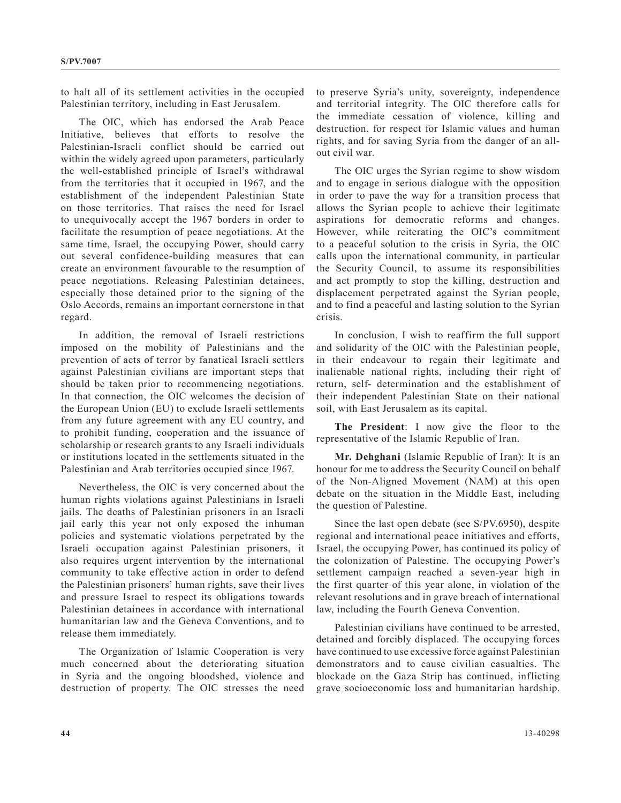to halt all of its settlement activities in the occupied Palestinian territory, including in East Jerusalem.

The OIC, which has endorsed the Arab Peace Initiative, believes that efforts to resolve the Palestinian-Israeli conflict should be carried out within the widely agreed upon parameters, particularly the well-established principle of Israel's withdrawal from the territories that it occupied in 1967, and the establishment of the independent Palestinian State on those territories. That raises the need for Israel to unequivocally accept the 1967 borders in order to facilitate the resumption of peace negotiations. At the same time, Israel, the occupying Power, should carry out several confidence-building measures that can create an environment favourable to the resumption of peace negotiations. Releasing Palestinian detainees, especially those detained prior to the signing of the Oslo Accords, remains an important cornerstone in that regard.

In addition, the removal of Israeli restrictions imposed on the mobility of Palestinians and the prevention of acts of terror by fanatical Israeli settlers against Palestinian civilians are important steps that should be taken prior to recommencing negotiations. In that connection, the OIC welcomes the decision of the European Union (EU) to exclude Israeli settlements from any future agreement with any EU country, and to prohibit funding, cooperation and the issuance of scholarship or research grants to any Israeli individuals or institutions located in the settlements situated in the Palestinian and Arab territories occupied since 1967.

Nevertheless, the OIC is very concerned about the human rights violations against Palestinians in Israeli jails. The deaths of Palestinian prisoners in an Israeli jail early this year not only exposed the inhuman policies and systematic violations perpetrated by the Israeli occupation against Palestinian prisoners, it also requires urgent intervention by the international community to take effective action in order to defend the Palestinian prisoners' human rights, save their lives and pressure Israel to respect its obligations towards Palestinian detainees in accordance with international humanitarian law and the Geneva Conventions, and to release them immediately.

The Organization of Islamic Cooperation is very much concerned about the deteriorating situation in Syria and the ongoing bloodshed, violence and destruction of property. The OIC stresses the need to preserve Syria's unity, sovereignty, independence and territorial integrity. The OIC therefore calls for the immediate cessation of violence, killing and destruction, for respect for Islamic values and human rights, and for saving Syria from the danger of an allout civil war.

The OIC urges the Syrian regime to show wisdom and to engage in serious dialogue with the opposition in order to pave the way for a transition process that allows the Syrian people to achieve their legitimate aspirations for democratic reforms and changes. However, while reiterating the OIC's commitment to a peaceful solution to the crisis in Syria, the OIC calls upon the international community, in particular the Security Council, to assume its responsibilities and act promptly to stop the killing, destruction and displacement perpetrated against the Syrian people, and to find a peaceful and lasting solution to the Syrian crisis.

In conclusion, I wish to reaffirm the full support and solidarity of the OIC with the Palestinian people, in their endeavour to regain their legitimate and inalienable national rights, including their right of return, self- determination and the establishment of their independent Palestinian State on their national soil, with East Jerusalem as its capital.

**The President**: I now give the floor to the representative of the Islamic Republic of Iran.

**Mr. Dehghani** (Islamic Republic of Iran): It is an honour for me to address the Security Council on behalf of the Non-Aligned Movement (NAM) at this open debate on the situation in the Middle East, including the question of Palestine.

Since the last open debate (see S/PV.6950), despite regional and international peace initiatives and efforts, Israel, the occupying Power, has continued its policy of the colonization of Palestine. The occupying Power's settlement campaign reached a seven-year high in the first quarter of this year alone, in violation of the relevant resolutions and in grave breach of international law, including the Fourth Geneva Convention.

Palestinian civilians have continued to be arrested, detained and forcibly displaced. The occupying forces have continued to use excessive force against Palestinian demonstrators and to cause civilian casualties. The blockade on the Gaza Strip has continued, inflicting grave socioeconomic loss and humanitarian hardship.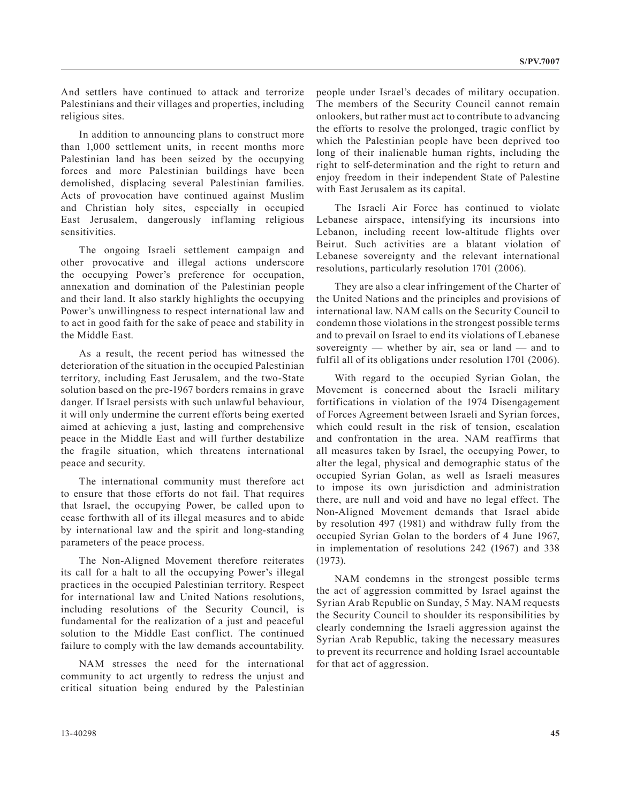And settlers have continued to attack and terrorize Palestinians and their villages and properties, including religious sites.

In addition to announcing plans to construct more than 1,000 settlement units, in recent months more Palestinian land has been seized by the occupying forces and more Palestinian buildings have been demolished, displacing several Palestinian families. Acts of provocation have continued against Muslim and Christian holy sites, especially in occupied East Jerusalem, dangerously inflaming religious sensitivities.

The ongoing Israeli settlement campaign and other provocative and illegal actions underscore the occupying Power's preference for occupation, annexation and domination of the Palestinian people and their land. It also starkly highlights the occupying Power's unwillingness to respect international law and to act in good faith for the sake of peace and stability in the Middle East.

As a result, the recent period has witnessed the deterioration of the situation in the occupied Palestinian territory, including East Jerusalem, and the two-State solution based on the pre-1967 borders remains in grave danger. If Israel persists with such unlawful behaviour, it will only undermine the current efforts being exerted aimed at achieving a just, lasting and comprehensive peace in the Middle East and will further destabilize the fragile situation, which threatens international peace and security.

The international community must therefore act to ensure that those efforts do not fail. That requires that Israel, the occupying Power, be called upon to cease forthwith all of its illegal measures and to abide by international law and the spirit and long-standing parameters of the peace process.

The Non-Aligned Movement therefore reiterates its call for a halt to all the occupying Power's illegal practices in the occupied Palestinian territory. Respect for international law and United Nations resolutions, including resolutions of the Security Council, is fundamental for the realization of a just and peaceful solution to the Middle East conflict. The continued failure to comply with the law demands accountability.

NAM stresses the need for the international community to act urgently to redress the unjust and critical situation being endured by the Palestinian people under Israel's decades of military occupation. The members of the Security Council cannot remain onlookers, but rather must act to contribute to advancing the efforts to resolve the prolonged, tragic conflict by which the Palestinian people have been deprived too long of their inalienable human rights, including the right to self-determination and the right to return and enjoy freedom in their independent State of Palestine with East Jerusalem as its capital.

The Israeli Air Force has continued to violate Lebanese airspace, intensifying its incursions into Lebanon, including recent low-altitude flights over Beirut. Such activities are a blatant violation of Lebanese sovereignty and the relevant international resolutions, particularly resolution 1701 (2006).

They are also a clear infringement of the Charter of the United Nations and the principles and provisions of international law. NAM calls on the Security Council to condemn those violations in the strongest possible terms and to prevail on Israel to end its violations of Lebanese sovereignty — whether by air, sea or land — and to fulfil all of its obligations under resolution 1701 (2006).

With regard to the occupied Syrian Golan, the Movement is concerned about the Israeli military fortifications in violation of the 1974 Disengagement of Forces Agreement between Israeli and Syrian forces, which could result in the risk of tension, escalation and confrontation in the area. NAM reaffirms that all measures taken by Israel, the occupying Power, to alter the legal, physical and demographic status of the occupied Syrian Golan, as well as Israeli measures to impose its own jurisdiction and administration there, are null and void and have no legal effect. The Non-Aligned Movement demands that Israel abide by resolution 497 (1981) and withdraw fully from the occupied Syrian Golan to the borders of 4 June 1967, in implementation of resolutions 242 (1967) and 338 (1973).

NAM condemns in the strongest possible terms the act of aggression committed by Israel against the Syrian Arab Republic on Sunday, 5 May. NAM requests the Security Council to shoulder its responsibilities by clearly condemning the Israeli aggression against the Syrian Arab Republic, taking the necessary measures to prevent its recurrence and holding Israel accountable for that act of aggression.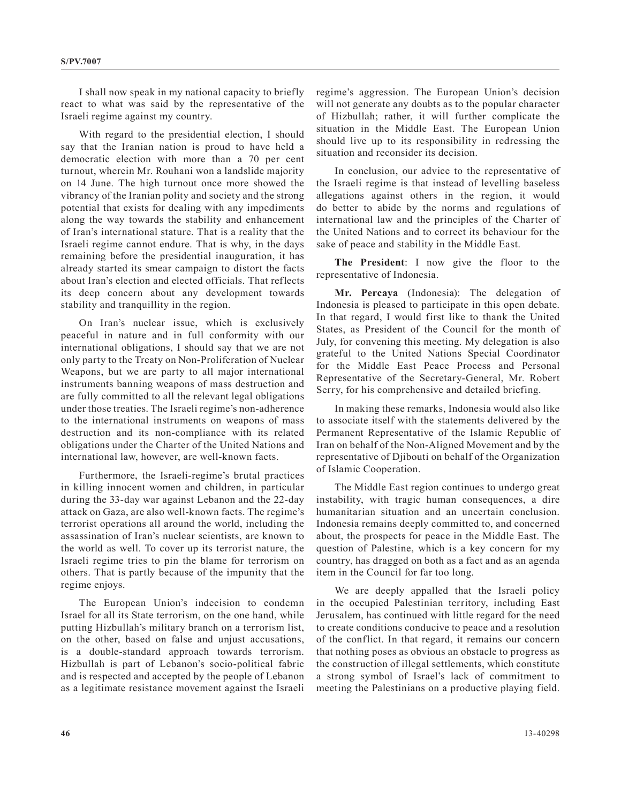I shall now speak in my national capacity to briefly react to what was said by the representative of the Israeli regime against my country.

With regard to the presidential election, I should say that the Iranian nation is proud to have held a democratic election with more than a 70 per cent turnout, wherein Mr. Rouhani won a landslide majority on 14 June. The high turnout once more showed the vibrancy of the Iranian polity and society and the strong potential that exists for dealing with any impediments along the way towards the stability and enhancement of Iran's international stature. That is a reality that the Israeli regime cannot endure. That is why, in the days remaining before the presidential inauguration, it has already started its smear campaign to distort the facts about Iran's election and elected officials. That reflects its deep concern about any development towards stability and tranquillity in the region.

On Iran's nuclear issue, which is exclusively peaceful in nature and in full conformity with our international obligations, I should say that we are not only party to the Treaty on Non-Proliferation of Nuclear Weapons, but we are party to all major international instruments banning weapons of mass destruction and are fully committed to all the relevant legal obligations under those treaties. The Israeli regime's non-adherence to the international instruments on weapons of mass destruction and its non-compliance with its related obligations under the Charter of the United Nations and international law, however, are well-known facts.

Furthermore, the Israeli-regime's brutal practices in killing innocent women and children, in particular during the 33-day war against Lebanon and the 22-day attack on Gaza, are also well-known facts. The regime's terrorist operations all around the world, including the assassination of Iran's nuclear scientists, are known to the world as well. To cover up its terrorist nature, the Israeli regime tries to pin the blame for terrorism on others. That is partly because of the impunity that the regime enjoys.

The European Union's indecision to condemn Israel for all its State terrorism, on the one hand, while putting Hizbullah's military branch on a terrorism list, on the other, based on false and unjust accusations, is a double-standard approach towards terrorism. Hizbullah is part of Lebanon's socio-political fabric and is respected and accepted by the people of Lebanon as a legitimate resistance movement against the Israeli regime's aggression. The European Union's decision will not generate any doubts as to the popular character of Hizbullah; rather, it will further complicate the situation in the Middle East. The European Union should live up to its responsibility in redressing the situation and reconsider its decision.

In conclusion, our advice to the representative of the Israeli regime is that instead of levelling baseless allegations against others in the region, it would do better to abide by the norms and regulations of international law and the principles of the Charter of the United Nations and to correct its behaviour for the sake of peace and stability in the Middle East.

**The President**: I now give the floor to the representative of Indonesia.

**Mr. Percaya** (Indonesia): The delegation of Indonesia is pleased to participate in this open debate. In that regard, I would first like to thank the United States, as President of the Council for the month of July, for convening this meeting. My delegation is also grateful to the United Nations Special Coordinator for the Middle East Peace Process and Personal Representative of the Secretary-General, Mr. Robert Serry, for his comprehensive and detailed briefing.

In making these remarks, Indonesia would also like to associate itself with the statements delivered by the Permanent Representative of the Islamic Republic of Iran on behalf of the Non-Aligned Movement and by the representative of Djibouti on behalf of the Organization of Islamic Cooperation.

The Middle East region continues to undergo great instability, with tragic human consequences, a dire humanitarian situation and an uncertain conclusion. Indonesia remains deeply committed to, and concerned about, the prospects for peace in the Middle East. The question of Palestine, which is a key concern for my country, has dragged on both as a fact and as an agenda item in the Council for far too long.

We are deeply appalled that the Israeli policy in the occupied Palestinian territory, including East Jerusalem, has continued with little regard for the need to create conditions conducive to peace and a resolution of the conflict. In that regard, it remains our concern that nothing poses as obvious an obstacle to progress as the construction of illegal settlements, which constitute a strong symbol of Israel's lack of commitment to meeting the Palestinians on a productive playing field.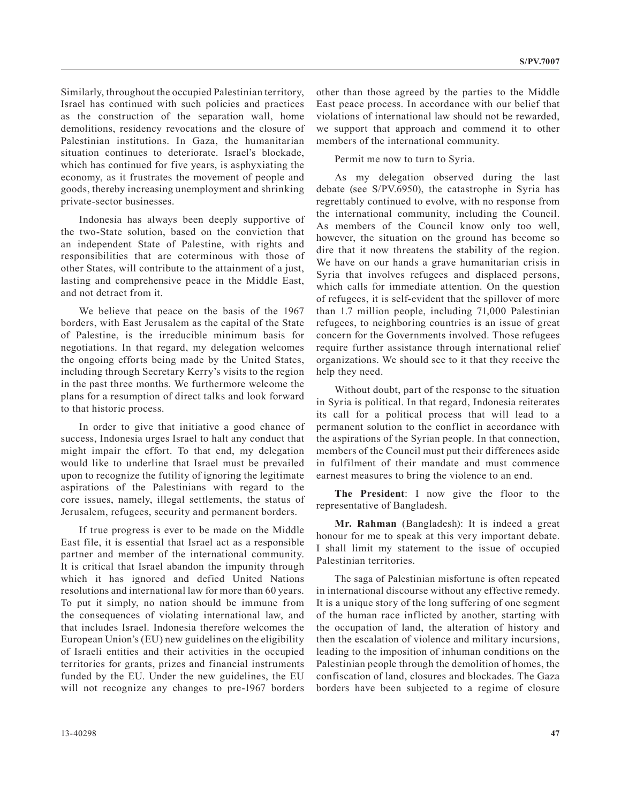Similarly, throughout the occupied Palestinian territory, Israel has continued with such policies and practices as the construction of the separation wall, home demolitions, residency revocations and the closure of Palestinian institutions. In Gaza, the humanitarian situation continues to deteriorate. Israel's blockade, which has continued for five years, is asphyxiating the economy, as it frustrates the movement of people and goods, thereby increasing unemployment and shrinking private-sector businesses.

Indonesia has always been deeply supportive of the two-State solution, based on the conviction that an independent State of Palestine, with rights and responsibilities that are coterminous with those of other States, will contribute to the attainment of a just, lasting and comprehensive peace in the Middle East, and not detract from it.

We believe that peace on the basis of the 1967 borders, with East Jerusalem as the capital of the State of Palestine, is the irreducible minimum basis for negotiations. In that regard, my delegation welcomes the ongoing efforts being made by the United States, including through Secretary Kerry's visits to the region in the past three months. We furthermore welcome the plans for a resumption of direct talks and look forward to that historic process.

In order to give that initiative a good chance of success, Indonesia urges Israel to halt any conduct that might impair the effort. To that end, my delegation would like to underline that Israel must be prevailed upon to recognize the futility of ignoring the legitimate aspirations of the Palestinians with regard to the core issues, namely, illegal settlements, the status of Jerusalem, refugees, security and permanent borders.

If true progress is ever to be made on the Middle East file, it is essential that Israel act as a responsible partner and member of the international community. It is critical that Israel abandon the impunity through which it has ignored and defied United Nations resolutions and international law for more than 60 years. To put it simply, no nation should be immune from the consequences of violating international law, and that includes Israel. Indonesia therefore welcomes the European Union's (EU) new guidelines on the eligibility of Israeli entities and their activities in the occupied territories for grants, prizes and financial instruments funded by the EU. Under the new guidelines, the EU will not recognize any changes to pre-1967 borders

other than those agreed by the parties to the Middle East peace process. In accordance with our belief that violations of international law should not be rewarded, we support that approach and commend it to other members of the international community.

Permit me now to turn to Syria.

As my delegation observed during the last debate (see S/PV.6950), the catastrophe in Syria has regrettably continued to evolve, with no response from the international community, including the Council. As members of the Council know only too well, however, the situation on the ground has become so dire that it now threatens the stability of the region. We have on our hands a grave humanitarian crisis in Syria that involves refugees and displaced persons, which calls for immediate attention. On the question of refugees, it is self-evident that the spillover of more than 1.7 million people, including 71,000 Palestinian refugees, to neighboring countries is an issue of great concern for the Governments involved. Those refugees require further assistance through international relief organizations. We should see to it that they receive the help they need.

Without doubt, part of the response to the situation in Syria is political. In that regard, Indonesia reiterates its call for a political process that will lead to a permanent solution to the conflict in accordance with the aspirations of the Syrian people. In that connection, members of the Council must put their differences aside in fulfilment of their mandate and must commence earnest measures to bring the violence to an end.

**The President**: I now give the floor to the representative of Bangladesh.

**Mr. Rahman** (Bangladesh): It is indeed a great honour for me to speak at this very important debate. I shall limit my statement to the issue of occupied Palestinian territories.

The saga of Palestinian misfortune is often repeated in international discourse without any effective remedy. It is a unique story of the long suffering of one segment of the human race inflicted by another, starting with the occupation of land, the alteration of history and then the escalation of violence and military incursions, leading to the imposition of inhuman conditions on the Palestinian people through the demolition of homes, the confiscation of land, closures and blockades. The Gaza borders have been subjected to a regime of closure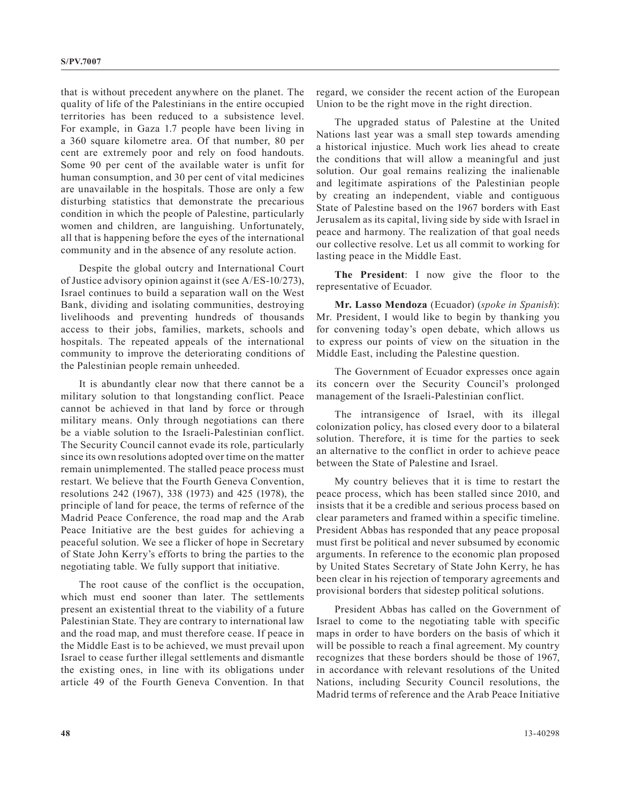that is without precedent anywhere on the planet. The quality of life of the Palestinians in the entire occupied territories has been reduced to a subsistence level. For example, in Gaza 1.7 people have been living in a 360 square kilometre area. Of that number, 80 per cent are extremely poor and rely on food handouts. Some 90 per cent of the available water is unfit for human consumption, and 30 per cent of vital medicines are unavailable in the hospitals. Those are only a few disturbing statistics that demonstrate the precarious condition in which the people of Palestine, particularly women and children, are languishing. Unfortunately, all that is happening before the eyes of the international community and in the absence of any resolute action.

Despite the global outcry and International Court of Justice advisory opinion against it (see A/ES-10/273), Israel continues to build a separation wall on the West Bank, dividing and isolating communities, destroying livelihoods and preventing hundreds of thousands access to their jobs, families, markets, schools and hospitals. The repeated appeals of the international community to improve the deteriorating conditions of the Palestinian people remain unheeded.

It is abundantly clear now that there cannot be a military solution to that longstanding conflict. Peace cannot be achieved in that land by force or through military means. Only through negotiations can there be a viable solution to the Israeli-Palestinian conflict. The Security Council cannot evade its role, particularly since its own resolutions adopted over time on the matter remain unimplemented. The stalled peace process must restart. We believe that the Fourth Geneva Convention, resolutions 242 (1967), 338 (1973) and 425 (1978), the principle of land for peace, the terms of refernce of the Madrid Peace Conference, the road map and the Arab Peace Initiative are the best guides for achieving a peaceful solution. We see a flicker of hope in Secretary of State John Kerry's efforts to bring the parties to the negotiating table. We fully support that initiative.

The root cause of the conflict is the occupation, which must end sooner than later. The settlements present an existential threat to the viability of a future Palestinian State. They are contrary to international law and the road map, and must therefore cease. If peace in the Middle East is to be achieved, we must prevail upon Israel to cease further illegal settlements and dismantle the existing ones, in line with its obligations under article 49 of the Fourth Geneva Convention. In that regard, we consider the recent action of the European Union to be the right move in the right direction.

The upgraded status of Palestine at the United Nations last year was a small step towards amending a historical injustice. Much work lies ahead to create the conditions that will allow a meaningful and just solution. Our goal remains realizing the inalienable and legitimate aspirations of the Palestinian people by creating an independent, viable and contiguous State of Palestine based on the 1967 borders with East Jerusalem as its capital, living side by side with Israel in peace and harmony. The realization of that goal needs our collective resolve. Let us all commit to working for lasting peace in the Middle East.

**The President**: I now give the floor to the representative of Ecuador.

**Mr. Lasso Mendoza** (Ecuador) (*spoke in Spanish*): Mr. President, I would like to begin by thanking you for convening today's open debate, which allows us to express our points of view on the situation in the Middle East, including the Palestine question.

The Government of Ecuador expresses once again its concern over the Security Council's prolonged management of the Israeli-Palestinian conflict.

The intransigence of Israel, with its illegal colonization policy, has closed every door to a bilateral solution. Therefore, it is time for the parties to seek an alternative to the conflict in order to achieve peace between the State of Palestine and Israel.

My country believes that it is time to restart the peace process, which has been stalled since 2010, and insists that it be a credible and serious process based on clear parameters and framed within a specific timeline. President Abbas has responded that any peace proposal must first be political and never subsumed by economic arguments. In reference to the economic plan proposed by United States Secretary of State John Kerry, he has been clear in his rejection of temporary agreements and provisional borders that sidestep political solutions.

President Abbas has called on the Government of Israel to come to the negotiating table with specific maps in order to have borders on the basis of which it will be possible to reach a final agreement. My country recognizes that these borders should be those of 1967, in accordance with relevant resolutions of the United Nations, including Security Council resolutions, the Madrid terms of reference and the Arab Peace Initiative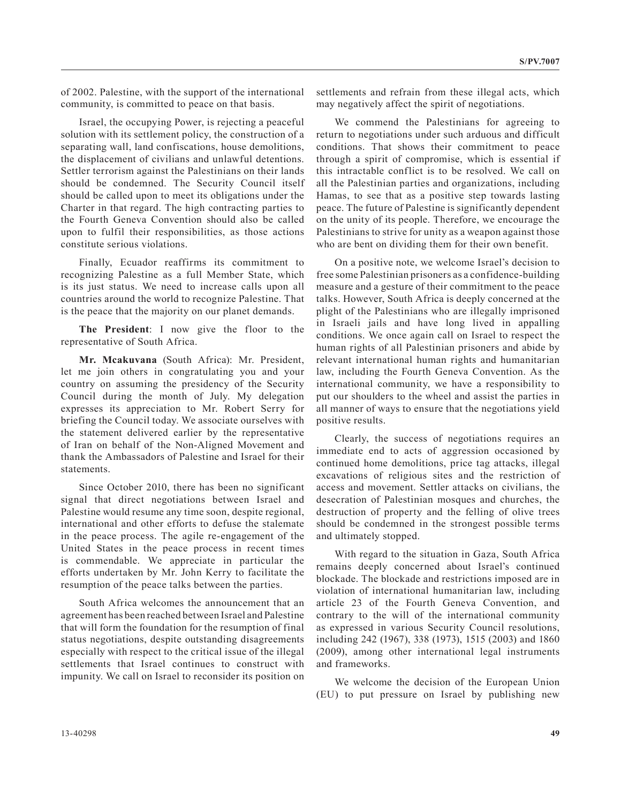of 2002. Palestine, with the support of the international community, is committed to peace on that basis.

Israel, the occupying Power, is rejecting a peaceful solution with its settlement policy, the construction of a separating wall, land confiscations, house demolitions, the displacement of civilians and unlawful detentions. Settler terrorism against the Palestinians on their lands should be condemned. The Security Council itself should be called upon to meet its obligations under the Charter in that regard. The high contracting parties to the Fourth Geneva Convention should also be called upon to fulfil their responsibilities, as those actions constitute serious violations.

Finally, Ecuador reaffirms its commitment to recognizing Palestine as a full Member State, which is its just status. We need to increase calls upon all countries around the world to recognize Palestine. That is the peace that the majority on our planet demands.

**The President**: I now give the floor to the representative of South Africa.

**Mr. Mcakuvana** (South Africa): Mr. President, let me join others in congratulating you and your country on assuming the presidency of the Security Council during the month of July. My delegation expresses its appreciation to Mr. Robert Serry for briefing the Council today. We associate ourselves with the statement delivered earlier by the representative of Iran on behalf of the Non-Aligned Movement and thank the Ambassadors of Palestine and Israel for their statements.

Since October 2010, there has been no significant signal that direct negotiations between Israel and Palestine would resume any time soon, despite regional, international and other efforts to defuse the stalemate in the peace process. The agile re-engagement of the United States in the peace process in recent times is commendable. We appreciate in particular the efforts undertaken by Mr. John Kerry to facilitate the resumption of the peace talks between the parties.

South Africa welcomes the announcement that an agreement has been reached between Israel and Palestine that will form the foundation for the resumption of final status negotiations, despite outstanding disagreements especially with respect to the critical issue of the illegal settlements that Israel continues to construct with impunity. We call on Israel to reconsider its position on settlements and refrain from these illegal acts, which may negatively affect the spirit of negotiations.

We commend the Palestinians for agreeing to return to negotiations under such arduous and difficult conditions. That shows their commitment to peace through a spirit of compromise, which is essential if this intractable conflict is to be resolved. We call on all the Palestinian parties and organizations, including Hamas, to see that as a positive step towards lasting peace. The future of Palestine is significantly dependent on the unity of its people. Therefore, we encourage the Palestinians to strive for unity as a weapon against those who are bent on dividing them for their own benefit.

On a positive note, we welcome Israel's decision to free some Palestinian prisoners as a confidence-building measure and a gesture of their commitment to the peace talks. However, South Africa is deeply concerned at the plight of the Palestinians who are illegally imprisoned in Israeli jails and have long lived in appalling conditions. We once again call on Israel to respect the human rights of all Palestinian prisoners and abide by relevant international human rights and humanitarian law, including the Fourth Geneva Convention. As the international community, we have a responsibility to put our shoulders to the wheel and assist the parties in all manner of ways to ensure that the negotiations yield positive results.

Clearly, the success of negotiations requires an immediate end to acts of aggression occasioned by continued home demolitions, price tag attacks, illegal excavations of religious sites and the restriction of access and movement. Settler attacks on civilians, the desecration of Palestinian mosques and churches, the destruction of property and the felling of olive trees should be condemned in the strongest possible terms and ultimately stopped.

With regard to the situation in Gaza, South Africa remains deeply concerned about Israel's continued blockade. The blockade and restrictions imposed are in violation of international humanitarian law, including article 23 of the Fourth Geneva Convention, and contrary to the will of the international community as expressed in various Security Council resolutions, including 242 (1967), 338 (1973), 1515 (2003) and 1860 (2009), among other international legal instruments and frameworks.

We welcome the decision of the European Union (EU) to put pressure on Israel by publishing new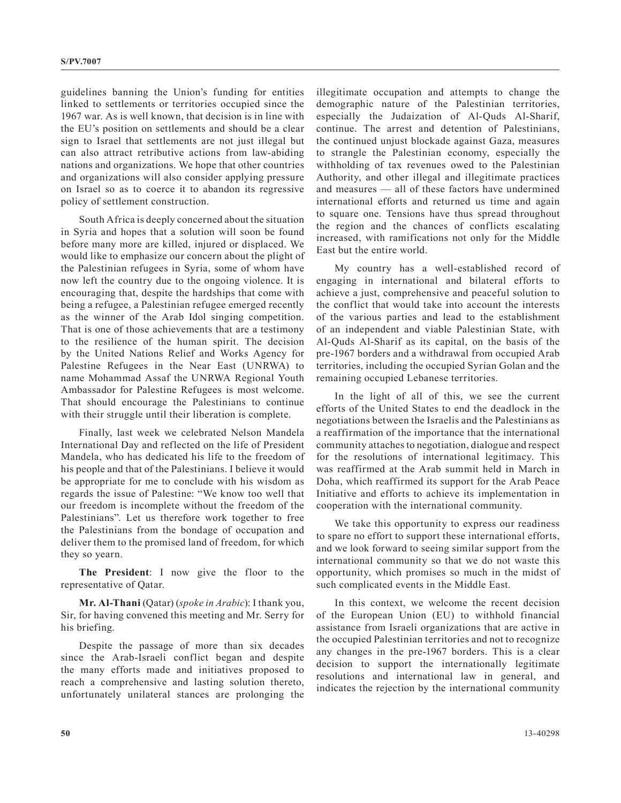guidelines banning the Union's funding for entities linked to settlements or territories occupied since the 1967 war. As is well known, that decision is in line with the EU's position on settlements and should be a clear sign to Israel that settlements are not just illegal but can also attract retributive actions from law-abiding nations and organizations. We hope that other countries and organizations will also consider applying pressure on Israel so as to coerce it to abandon its regressive policy of settlement construction.

South Africa is deeply concerned about the situation in Syria and hopes that a solution will soon be found before many more are killed, injured or displaced. We would like to emphasize our concern about the plight of the Palestinian refugees in Syria, some of whom have now left the country due to the ongoing violence. It is encouraging that, despite the hardships that come with being a refugee, a Palestinian refugee emerged recently as the winner of the Arab Idol singing competition. That is one of those achievements that are a testimony to the resilience of the human spirit. The decision by the United Nations Relief and Works Agency for Palestine Refugees in the Near East (UNRWA) to name Mohammad Assaf the UNRWA Regional Youth Ambassador for Palestine Refugees is most welcome. That should encourage the Palestinians to continue with their struggle until their liberation is complete.

Finally, last week we celebrated Nelson Mandela International Day and reflected on the life of President Mandela, who has dedicated his life to the freedom of his people and that of the Palestinians. I believe it would be appropriate for me to conclude with his wisdom as regards the issue of Palestine: "We know too well that our freedom is incomplete without the freedom of the Palestinians". Let us therefore work together to free the Palestinians from the bondage of occupation and deliver them to the promised land of freedom, for which they so yearn.

**The President**: I now give the floor to the representative of Qatar.

**Mr. Al-Thani** (Qatar) (*spoke in Arabic*): I thank you, Sir, for having convened this meeting and Mr. Serry for his briefing.

Despite the passage of more than six decades since the Arab-Israeli conflict began and despite the many efforts made and initiatives proposed to reach a comprehensive and lasting solution thereto, unfortunately unilateral stances are prolonging the illegitimate occupation and attempts to change the demographic nature of the Palestinian territories, especially the Judaization of Al-Quds Al-Sharif, continue. The arrest and detention of Palestinians, the continued unjust blockade against Gaza, measures to strangle the Palestinian economy, especially the withholding of tax revenues owed to the Palestinian Authority, and other illegal and illegitimate practices and measures — all of these factors have undermined international efforts and returned us time and again to square one. Tensions have thus spread throughout the region and the chances of conflicts escalating increased, with ramifications not only for the Middle East but the entire world.

My country has a well-established record of engaging in international and bilateral efforts to achieve a just, comprehensive and peaceful solution to the conflict that would take into account the interests of the various parties and lead to the establishment of an independent and viable Palestinian State, with Al-Quds Al-Sharif as its capital, on the basis of the pre-1967 borders and a withdrawal from occupied Arab territories, including the occupied Syrian Golan and the remaining occupied Lebanese territories.

In the light of all of this, we see the current efforts of the United States to end the deadlock in the negotiations between the Israelis and the Palestinians as a reaffirmation of the importance that the international community attaches to negotiation, dialogue and respect for the resolutions of international legitimacy. This was reaffirmed at the Arab summit held in March in Doha, which reaffirmed its support for the Arab Peace Initiative and efforts to achieve its implementation in cooperation with the international community.

We take this opportunity to express our readiness to spare no effort to support these international efforts, and we look forward to seeing similar support from the international community so that we do not waste this opportunity, which promises so much in the midst of such complicated events in the Middle East.

In this context, we welcome the recent decision of the European Union (EU) to withhold financial assistance from Israeli organizations that are active in the occupied Palestinian territories and not to recognize any changes in the pre-1967 borders. This is a clear decision to support the internationally legitimate resolutions and international law in general, and indicates the rejection by the international community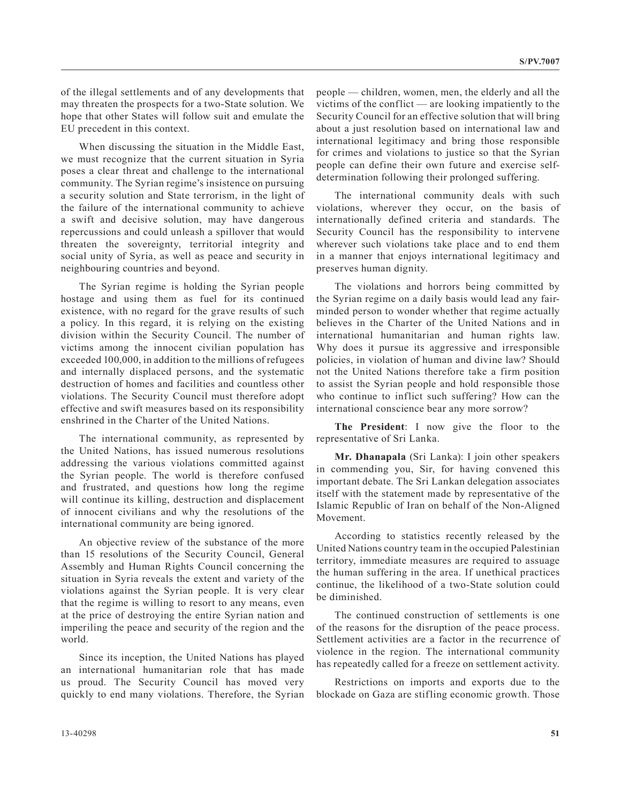of the illegal settlements and of any developments that may threaten the prospects for a two-State solution. We hope that other States will follow suit and emulate the EU precedent in this context.

When discussing the situation in the Middle East, we must recognize that the current situation in Syria poses a clear threat and challenge to the international community. The Syrian regime's insistence on pursuing a security solution and State terrorism, in the light of the failure of the international community to achieve a swift and decisive solution, may have dangerous repercussions and could unleash a spillover that would threaten the sovereignty, territorial integrity and social unity of Syria, as well as peace and security in neighbouring countries and beyond.

The Syrian regime is holding the Syrian people hostage and using them as fuel for its continued existence, with no regard for the grave results of such a policy. In this regard, it is relying on the existing division within the Security Council. The number of victims among the innocent civilian population has exceeded 100,000, in addition to the millions of refugees and internally displaced persons, and the systematic destruction of homes and facilities and countless other violations. The Security Council must therefore adopt effective and swift measures based on its responsibility enshrined in the Charter of the United Nations.

The international community, as represented by the United Nations, has issued numerous resolutions addressing the various violations committed against the Syrian people. The world is therefore confused and frustrated, and questions how long the regime will continue its killing, destruction and displacement of innocent civilians and why the resolutions of the international community are being ignored.

An objective review of the substance of the more than 15 resolutions of the Security Council, General Assembly and Human Rights Council concerning the situation in Syria reveals the extent and variety of the violations against the Syrian people. It is very clear that the regime is willing to resort to any means, even at the price of destroying the entire Syrian nation and imperiling the peace and security of the region and the world.

Since its inception, the United Nations has played an international humanitarian role that has made us proud. The Security Council has moved very quickly to end many violations. Therefore, the Syrian people — children, women, men, the elderly and all the victims of the conflict — are looking impatiently to the Security Council for an effective solution that will bring about a just resolution based on international law and international legitimacy and bring those responsible for crimes and violations to justice so that the Syrian people can define their own future and exercise selfdetermination following their prolonged suffering.

The international community deals with such violations, wherever they occur, on the basis of internationally defined criteria and standards. The Security Council has the responsibility to intervene wherever such violations take place and to end them in a manner that enjoys international legitimacy and preserves human dignity.

The violations and horrors being committed by the Syrian regime on a daily basis would lead any fairminded person to wonder whether that regime actually believes in the Charter of the United Nations and in international humanitarian and human rights law. Why does it pursue its aggressive and irresponsible policies, in violation of human and divine law? Should not the United Nations therefore take a firm position to assist the Syrian people and hold responsible those who continue to inflict such suffering? How can the international conscience bear any more sorrow?

**The President**: I now give the floor to the representative of Sri Lanka.

**Mr. Dhanapala** (Sri Lanka): I join other speakers in commending you, Sir, for having convened this important debate. The Sri Lankan delegation associates itself with the statement made by representative of the Islamic Republic of Iran on behalf of the Non-Aligned Movement.

According to statistics recently released by the United Nations country team in the occupied Palestinian territory, immediate measures are required to assuage the human suffering in the area. If unethical practices continue, the likelihood of a two-State solution could be diminished.

The continued construction of settlements is one of the reasons for the disruption of the peace process. Settlement activities are a factor in the recurrence of violence in the region. The international community has repeatedly called for a freeze on settlement activity.

Restrictions on imports and exports due to the blockade on Gaza are stifling economic growth. Those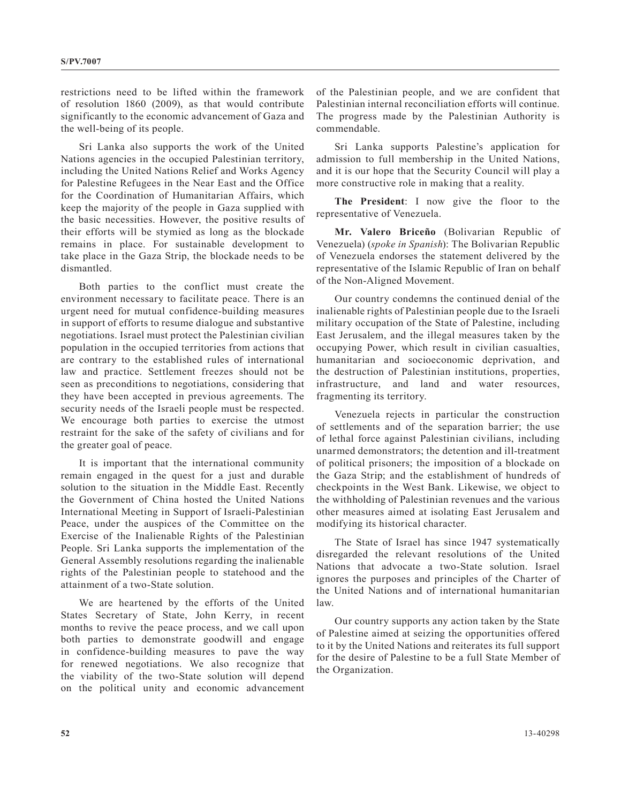restrictions need to be lifted within the framework of resolution 1860 (2009), as that would contribute significantly to the economic advancement of Gaza and the well-being of its people.

Sri Lanka also supports the work of the United Nations agencies in the occupied Palestinian territory, including the United Nations Relief and Works Agency for Palestine Refugees in the Near East and the Office for the Coordination of Humanitarian Affairs, which keep the majority of the people in Gaza supplied with the basic necessities. However, the positive results of their efforts will be stymied as long as the blockade remains in place. For sustainable development to take place in the Gaza Strip, the blockade needs to be dismantled.

Both parties to the conflict must create the environment necessary to facilitate peace. There is an urgent need for mutual confidence-building measures in support of efforts to resume dialogue and substantive negotiations. Israel must protect the Palestinian civilian population in the occupied territories from actions that are contrary to the established rules of international law and practice. Settlement freezes should not be seen as preconditions to negotiations, considering that they have been accepted in previous agreements. The security needs of the Israeli people must be respected. We encourage both parties to exercise the utmost restraint for the sake of the safety of civilians and for the greater goal of peace.

It is important that the international community remain engaged in the quest for a just and durable solution to the situation in the Middle East. Recently the Government of China hosted the United Nations International Meeting in Support of Israeli-Palestinian Peace, under the auspices of the Committee on the Exercise of the Inalienable Rights of the Palestinian People. Sri Lanka supports the implementation of the General Assembly resolutions regarding the inalienable rights of the Palestinian people to statehood and the attainment of a two-State solution.

We are heartened by the efforts of the United States Secretary of State, John Kerry, in recent months to revive the peace process, and we call upon both parties to demonstrate goodwill and engage in confidence-building measures to pave the way for renewed negotiations. We also recognize that the viability of the two-State solution will depend on the political unity and economic advancement

of the Palestinian people, and we are confident that Palestinian internal reconciliation efforts will continue. The progress made by the Palestinian Authority is commendable.

Sri Lanka supports Palestine's application for admission to full membership in the United Nations, and it is our hope that the Security Council will play a more constructive role in making that a reality.

**The President**: I now give the floor to the representative of Venezuela.

**Mr. Valero Briceño** (Bolivarian Republic of Venezuela) (*spoke in Spanish*): The Bolivarian Republic of Venezuela endorses the statement delivered by the representative of the Islamic Republic of Iran on behalf of the Non-Aligned Movement.

Our country condemns the continued denial of the inalienable rights of Palestinian people due to the Israeli military occupation of the State of Palestine, including East Jerusalem, and the illegal measures taken by the occupying Power, which result in civilian casualties, humanitarian and socioeconomic deprivation, and the destruction of Palestinian institutions, properties, infrastructure, and land and water resources, fragmenting its territory.

Venezuela rejects in particular the construction of settlements and of the separation barrier; the use of lethal force against Palestinian civilians, including unarmed demonstrators; the detention and ill-treatment of political prisoners; the imposition of a blockade on the Gaza Strip; and the establishment of hundreds of checkpoints in the West Bank. Likewise, we object to the withholding of Palestinian revenues and the various other measures aimed at isolating East Jerusalem and modifying its historical character.

The State of Israel has since 1947 systematically disregarded the relevant resolutions of the United Nations that advocate a two-State solution. Israel ignores the purposes and principles of the Charter of the United Nations and of international humanitarian law.

Our country supports any action taken by the State of Palestine aimed at seizing the opportunities offered to it by the United Nations and reiterates its full support for the desire of Palestine to be a full State Member of the Organization.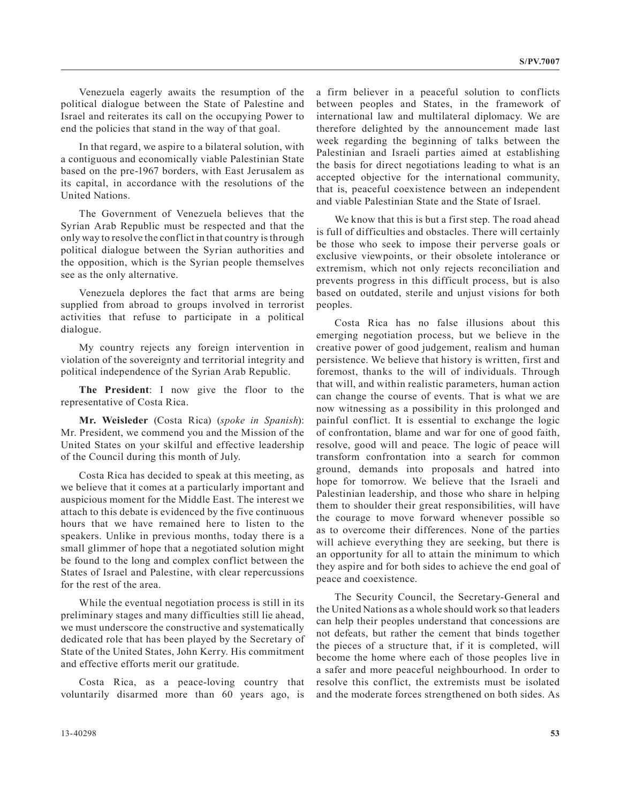Venezuela eagerly awaits the resumption of the political dialogue between the State of Palestine and Israel and reiterates its call on the occupying Power to end the policies that stand in the way of that goal.

In that regard, we aspire to a bilateral solution, with a contiguous and economically viable Palestinian State based on the pre-1967 borders, with East Jerusalem as its capital, in accordance with the resolutions of the United Nations.

The Government of Venezuela believes that the Syrian Arab Republic must be respected and that the only way to resolve the conflict in that country is through political dialogue between the Syrian authorities and the opposition, which is the Syrian people themselves see as the only alternative.

Venezuela deplores the fact that arms are being supplied from abroad to groups involved in terrorist activities that refuse to participate in a political dialogue.

My country rejects any foreign intervention in violation of the sovereignty and territorial integrity and political independence of the Syrian Arab Republic.

**The President**: I now give the floor to the representative of Costa Rica.

**Mr. Weisleder** (Costa Rica) (*spoke in Spanish*): Mr. President, we commend you and the Mission of the United States on your skilful and effective leadership of the Council during this month of July.

Costa Rica has decided to speak at this meeting, as we believe that it comes at a particularly important and auspicious moment for the Middle East. The interest we attach to this debate is evidenced by the five continuous hours that we have remained here to listen to the speakers. Unlike in previous months, today there is a small glimmer of hope that a negotiated solution might be found to the long and complex conflict between the States of Israel and Palestine, with clear repercussions for the rest of the area.

While the eventual negotiation process is still in its preliminary stages and many difficulties still lie ahead, we must underscore the constructive and systematically dedicated role that has been played by the Secretary of State of the United States, John Kerry. His commitment and effective efforts merit our gratitude.

Costa Rica, as a peace-loving country that voluntarily disarmed more than 60 years ago, is a firm believer in a peaceful solution to conflicts between peoples and States, in the framework of international law and multilateral diplomacy. We are therefore delighted by the announcement made last week regarding the beginning of talks between the Palestinian and Israeli parties aimed at establishing the basis for direct negotiations leading to what is an accepted objective for the international community, that is, peaceful coexistence between an independent and viable Palestinian State and the State of Israel.

We know that this is but a first step. The road ahead is full of difficulties and obstacles. There will certainly be those who seek to impose their perverse goals or exclusive viewpoints, or their obsolete intolerance or extremism, which not only rejects reconciliation and prevents progress in this difficult process, but is also based on outdated, sterile and unjust visions for both peoples.

Costa Rica has no false illusions about this emerging negotiation process, but we believe in the creative power of good judgement, realism and human persistence. We believe that history is written, first and foremost, thanks to the will of individuals. Through that will, and within realistic parameters, human action can change the course of events. That is what we are now witnessing as a possibility in this prolonged and painful conflict. It is essential to exchange the logic of confrontation, blame and war for one of good faith, resolve, good will and peace. The logic of peace will transform confrontation into a search for common ground, demands into proposals and hatred into hope for tomorrow. We believe that the Israeli and Palestinian leadership, and those who share in helping them to shoulder their great responsibilities, will have the courage to move forward whenever possible so as to overcome their differences. None of the parties will achieve everything they are seeking, but there is an opportunity for all to attain the minimum to which they aspire and for both sides to achieve the end goal of peace and coexistence.

The Security Council, the Secretary-General and the United Nations as a whole should work so that leaders can help their peoples understand that concessions are not defeats, but rather the cement that binds together the pieces of a structure that, if it is completed, will become the home where each of those peoples live in a safer and more peaceful neighbourhood. In order to resolve this conflict, the extremists must be isolated and the moderate forces strengthened on both sides. As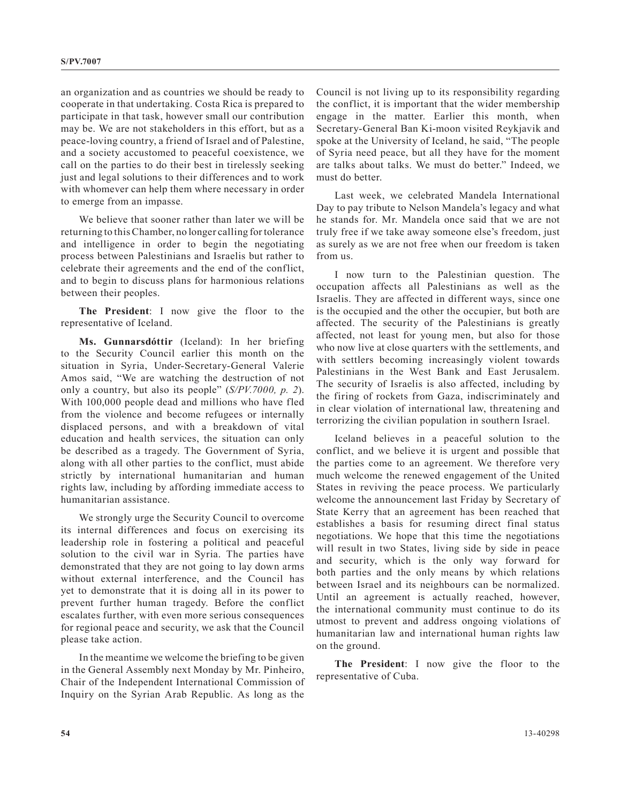an organization and as countries we should be ready to cooperate in that undertaking. Costa Rica is prepared to participate in that task, however small our contribution may be. We are not stakeholders in this effort, but as a peace-loving country, a friend of Israel and of Palestine, and a society accustomed to peaceful coexistence, we call on the parties to do their best in tirelessly seeking just and legal solutions to their differences and to work with whomever can help them where necessary in order to emerge from an impasse.

We believe that sooner rather than later we will be returning to this Chamber, no longer calling for tolerance and intelligence in order to begin the negotiating process between Palestinians and Israelis but rather to celebrate their agreements and the end of the conflict, and to begin to discuss plans for harmonious relations between their peoples.

**The President**: I now give the floor to the representative of Iceland.

**Ms. Gunnarsdóttir** (Iceland): In her briefing to the Security Council earlier this month on the situation in Syria, Under-Secretary-General Valerie Amos said, "We are watching the destruction of not only a country, but also its people" (*S/PV.7000, p. 2*). With 100,000 people dead and millions who have fled from the violence and become refugees or internally displaced persons, and with a breakdown of vital education and health services, the situation can only be described as a tragedy. The Government of Syria, along with all other parties to the conflict, must abide strictly by international humanitarian and human rights law, including by affording immediate access to humanitarian assistance.

We strongly urge the Security Council to overcome its internal differences and focus on exercising its leadership role in fostering a political and peaceful solution to the civil war in Syria. The parties have demonstrated that they are not going to lay down arms without external interference, and the Council has yet to demonstrate that it is doing all in its power to prevent further human tragedy. Before the conflict escalates further, with even more serious consequences for regional peace and security, we ask that the Council please take action.

In the meantime we welcome the briefing to be given in the General Assembly next Monday by Mr. Pinheiro, Chair of the Independent International Commission of Inquiry on the Syrian Arab Republic. As long as the

Council is not living up to its responsibility regarding the conflict, it is important that the wider membership engage in the matter. Earlier this month, when Secretary-General Ban Ki-moon visited Reykjavik and spoke at the University of Iceland, he said, "The people of Syria need peace, but all they have for the moment are talks about talks. We must do better." Indeed, we must do better.

Last week, we celebrated Mandela International Day to pay tribute to Nelson Mandela's legacy and what he stands for. Mr. Mandela once said that we are not truly free if we take away someone else's freedom, just as surely as we are not free when our freedom is taken from us.

I now turn to the Palestinian question. The occupation affects all Palestinians as well as the Israelis. They are affected in different ways, since one is the occupied and the other the occupier, but both are affected. The security of the Palestinians is greatly affected, not least for young men, but also for those who now live at close quarters with the settlements, and with settlers becoming increasingly violent towards Palestinians in the West Bank and East Jerusalem. The security of Israelis is also affected, including by the firing of rockets from Gaza, indiscriminately and in clear violation of international law, threatening and terrorizing the civilian population in southern Israel.

Iceland believes in a peaceful solution to the conflict, and we believe it is urgent and possible that the parties come to an agreement. We therefore very much welcome the renewed engagement of the United States in reviving the peace process. We particularly welcome the announcement last Friday by Secretary of State Kerry that an agreement has been reached that establishes a basis for resuming direct final status negotiations. We hope that this time the negotiations will result in two States, living side by side in peace and security, which is the only way forward for both parties and the only means by which relations between Israel and its neighbours can be normalized. Until an agreement is actually reached, however, the international community must continue to do its utmost to prevent and address ongoing violations of humanitarian law and international human rights law on the ground.

**The President**: I now give the floor to the representative of Cuba.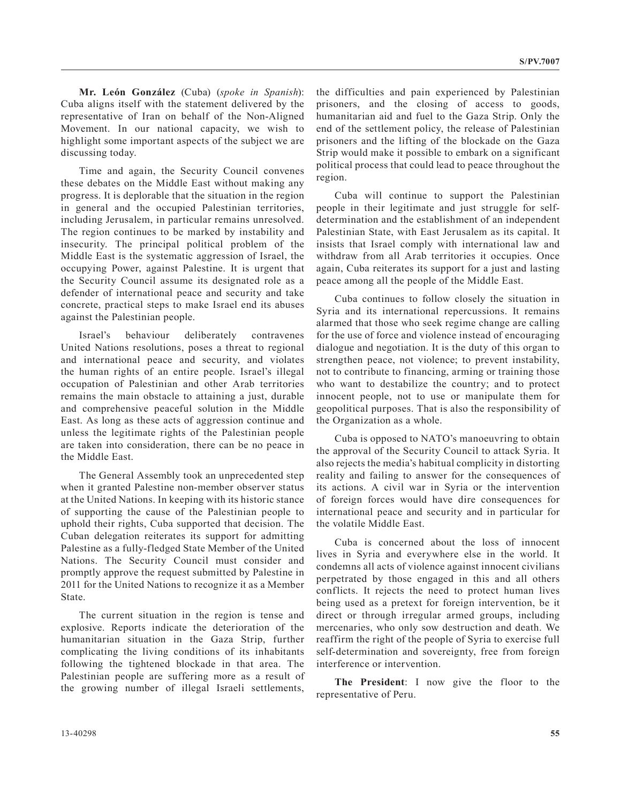**Mr. León González** (Cuba) (*spoke in Spanish*): Cuba aligns itself with the statement delivered by the representative of Iran on behalf of the Non-Aligned Movement. In our national capacity, we wish to highlight some important aspects of the subject we are discussing today.

Time and again, the Security Council convenes these debates on the Middle East without making any progress. It is deplorable that the situation in the region in general and the occupied Palestinian territories, including Jerusalem, in particular remains unresolved. The region continues to be marked by instability and insecurity. The principal political problem of the Middle East is the systematic aggression of Israel, the occupying Power, against Palestine. It is urgent that the Security Council assume its designated role as a defender of international peace and security and take concrete, practical steps to make Israel end its abuses against the Palestinian people.

Israel's behaviour deliberately contravenes United Nations resolutions, poses a threat to regional and international peace and security, and violates the human rights of an entire people. Israel's illegal occupation of Palestinian and other Arab territories remains the main obstacle to attaining a just, durable and comprehensive peaceful solution in the Middle East. As long as these acts of aggression continue and unless the legitimate rights of the Palestinian people are taken into consideration, there can be no peace in the Middle East.

The General Assembly took an unprecedented step when it granted Palestine non-member observer status at the United Nations. In keeping with its historic stance of supporting the cause of the Palestinian people to uphold their rights, Cuba supported that decision. The Cuban delegation reiterates its support for admitting Palestine as a fully-fledged State Member of the United Nations. The Security Council must consider and promptly approve the request submitted by Palestine in 2011 for the United Nations to recognize it as a Member State.

The current situation in the region is tense and explosive. Reports indicate the deterioration of the humanitarian situation in the Gaza Strip, further complicating the living conditions of its inhabitants following the tightened blockade in that area. The Palestinian people are suffering more as a result of the growing number of illegal Israeli settlements,

the difficulties and pain experienced by Palestinian prisoners, and the closing of access to goods, humanitarian aid and fuel to the Gaza Strip. Only the end of the settlement policy, the release of Palestinian prisoners and the lifting of the blockade on the Gaza Strip would make it possible to embark on a significant political process that could lead to peace throughout the region.

Cuba will continue to support the Palestinian people in their legitimate and just struggle for selfdetermination and the establishment of an independent Palestinian State, with East Jerusalem as its capital. It insists that Israel comply with international law and withdraw from all Arab territories it occupies. Once again, Cuba reiterates its support for a just and lasting peace among all the people of the Middle East.

Cuba continues to follow closely the situation in Syria and its international repercussions. It remains alarmed that those who seek regime change are calling for the use of force and violence instead of encouraging dialogue and negotiation. It is the duty of this organ to strengthen peace, not violence; to prevent instability, not to contribute to financing, arming or training those who want to destabilize the country; and to protect innocent people, not to use or manipulate them for geopolitical purposes. That is also the responsibility of the Organization as a whole.

Cuba is opposed to NATO's manoeuvring to obtain the approval of the Security Council to attack Syria. It also rejects the media's habitual complicity in distorting reality and failing to answer for the consequences of its actions. A civil war in Syria or the intervention of foreign forces would have dire consequences for international peace and security and in particular for the volatile Middle East.

Cuba is concerned about the loss of innocent lives in Syria and everywhere else in the world. It condemns all acts of violence against innocent civilians perpetrated by those engaged in this and all others conflicts. It rejects the need to protect human lives being used as a pretext for foreign intervention, be it direct or through irregular armed groups, including mercenaries, who only sow destruction and death. We reaffirm the right of the people of Syria to exercise full self-determination and sovereignty, free from foreign interference or intervention.

**The President**: I now give the floor to the representative of Peru.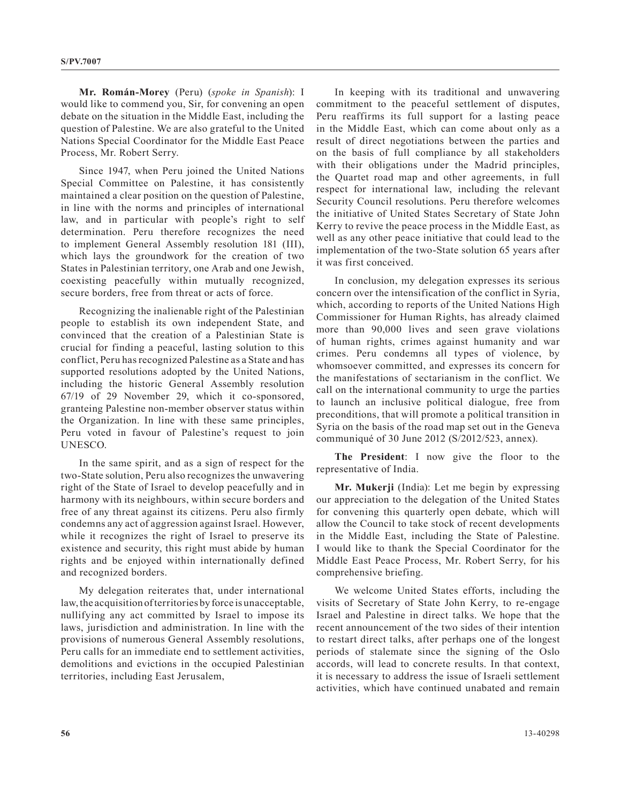**Mr. Román-Morey** (Peru) (*spoke in Spanish*): I would like to commend you, Sir, for convening an open debate on the situation in the Middle East, including the question of Palestine. We are also grateful to the United Nations Special Coordinator for the Middle East Peace Process, Mr. Robert Serry.

Since 1947, when Peru joined the United Nations Special Committee on Palestine, it has consistently maintained a clear position on the question of Palestine, in line with the norms and principles of international law, and in particular with people's right to self determination. Peru therefore recognizes the need to implement General Assembly resolution 181 (III), which lays the groundwork for the creation of two States in Palestinian territory, one Arab and one Jewish, coexisting peacefully within mutually recognized, secure borders, free from threat or acts of force.

Recognizing the inalienable right of the Palestinian people to establish its own independent State, and convinced that the creation of a Palestinian State is crucial for finding a peaceful, lasting solution to this conflict, Peru has recognized Palestine as a State and has supported resolutions adopted by the United Nations, including the historic General Assembly resolution 67/19 of 29 November 29, which it co-sponsored, granteing Palestine non-member observer status within the Organization. In line with these same principles, Peru voted in favour of Palestine's request to join UNESCO.

In the same spirit, and as a sign of respect for the two-State solution, Peru also recognizes the unwavering right of the State of Israel to develop peacefully and in harmony with its neighbours, within secure borders and free of any threat against its citizens. Peru also firmly condemns any act of aggression against Israel. However, while it recognizes the right of Israel to preserve its existence and security, this right must abide by human rights and be enjoyed within internationally defined and recognized borders.

My delegation reiterates that, under international law, the acquisition of territories by force is unacceptable, nullifying any act committed by Israel to impose its laws, jurisdiction and administration. In line with the provisions of numerous General Assembly resolutions, Peru calls for an immediate end to settlement activities, demolitions and evictions in the occupied Palestinian territories, including East Jerusalem,

In keeping with its traditional and unwavering commitment to the peaceful settlement of disputes, Peru reaffirms its full support for a lasting peace in the Middle East, which can come about only as a result of direct negotiations between the parties and on the basis of full compliance by all stakeholders with their obligations under the Madrid principles, the Quartet road map and other agreements, in full respect for international law, including the relevant Security Council resolutions. Peru therefore welcomes the initiative of United States Secretary of State John Kerry to revive the peace process in the Middle East, as well as any other peace initiative that could lead to the implementation of the two-State solution 65 years after it was first conceived.

In conclusion, my delegation expresses its serious concern over the intensification of the conflict in Syria, which, according to reports of the United Nations High Commissioner for Human Rights, has already claimed more than 90,000 lives and seen grave violations of human rights, crimes against humanity and war crimes. Peru condemns all types of violence, by whomsoever committed, and expresses its concern for the manifestations of sectarianism in the conflict. We call on the international community to urge the parties to launch an inclusive political dialogue, free from preconditions, that will promote a political transition in Syria on the basis of the road map set out in the Geneva communiqué of 30 June 2012 (S/2012/523, annex).

**The President**: I now give the floor to the representative of India.

**Mr. Mukerji** (India): Let me begin by expressing our appreciation to the delegation of the United States for convening this quarterly open debate, which will allow the Council to take stock of recent developments in the Middle East, including the State of Palestine. I would like to thank the Special Coordinator for the Middle East Peace Process, Mr. Robert Serry, for his comprehensive briefing.

We welcome United States efforts, including the visits of Secretary of State John Kerry, to re-engage Israel and Palestine in direct talks. We hope that the recent announcement of the two sides of their intention to restart direct talks, after perhaps one of the longest periods of stalemate since the signing of the Oslo accords, will lead to concrete results. In that context, it is necessary to address the issue of Israeli settlement activities, which have continued unabated and remain